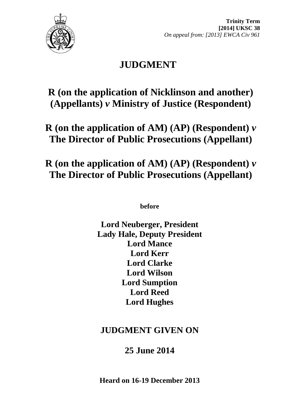

**Trinity Term [2014] UKSC 38** *On appeal from: [2013] EWCA Civ 961*

# **JUDGMENT**

# **R (on the application of Nicklinson and another) (Appellants)** *v* **Ministry of Justice (Respondent)**

# **R (on the application of AM) (AP) (Respondent)** *v* **The Director of Public Prosecutions (Appellant)**

# **R (on the application of AM) (AP) (Respondent)** *v* **The Director of Public Prosecutions (Appellant)**

**before** 

**Lord Neuberger, President Lady Hale, Deputy President Lord Mance Lord Kerr Lord Clarke Lord Wilson Lord Sumption Lord Reed Lord Hughes**

### **JUDGMENT GIVEN ON**

### **25 June 2014**

**Heard on 16-19 December 2013**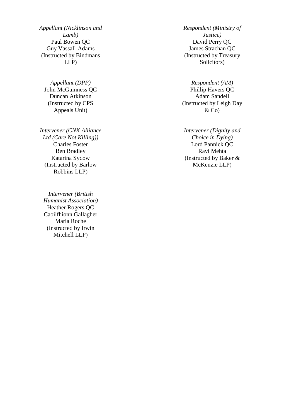*Appellant (Nicklinson and Lamb*)<br>Paul Bowen QC Guy Vassall-Adams (Instructed by Bindmans LLP )

John McGuinness QC Phillip Havers QC Duncan Atkinson (Instructed by CPS Appeals Unit )

*Intervener (CNK Alliance Ltd (Care Not Killing))* Ben Bradley Katarina Sydow (Instructed by Barlow Robbins LLP)

*Intervener (British Humanist Association)* Heather Rogers QC Caoilfhionn Gallagher Maria Roche (Instructed by Irwin Mitchell LLP)

*Respondent (Ministry of Justice)* David Perry QC James Strachan QC (Instructed by Treasury Solicitors )

*Appellant (DPP) Respondent (AM)*<br> *Respondent (AM)*<br>
Phillip Havers QC (Instructed by Leigh Day & Co )

> *Intervener (Dignity and Choice in Dying)* Lord Pannick QC Ravi Mehta (Instructed by Baker & McKenzie LLP)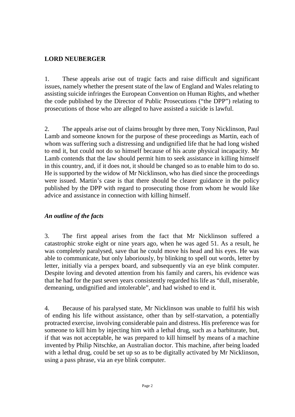#### **LORD NEUBERGER**

1. These appeals arise out of tragic facts and raise difficult and significant issues, namely whether the present state of the law of England and Wales relating to assisting suicide infringes the European Convention on Human Rights, and whether the code published by the Director of Public Prosecutions ("the DPP") relating to prosecutions of those who are alleged to have assisted a suicide is lawful.

2. The appeals arise out of claims brought by three men, Tony Nicklinson, Paul Lamb and someone known for the purpose of these proceedings as Martin, each of whom was suffering such a distressing and undignified life that he had long wished to end it, but could not do so himself because of his acute physical incapacity. Mr Lamb contends that the law should permit him to seek assistance in killing himself in this country, and, if it does not, it should be changed so as to enable him to do so. He is supported by the widow of Mr Nicklinson, who has died since the proceedings were issued. Martin's case is that there should be clearer guidance in the policy published by the DPP with regard to prosecuting those from whom he would like advice and assistance in connection with killing himself.

### *An outline of the facts*

3. The first appeal arises from the fact that Mr Nicklinson suffered a catastrophic stroke eight or nine years ago, when he was aged 51. As a result, he was completely paralysed, save that he could move his head and his eyes. He was able to communicate, but only laboriously, by blinking to spell out words, letter by letter, initially via a perspex board, and subsequently via an eye blink computer. Despite loving and devoted attention from his family and carers, his evidence was that he had for the past seven years consistently regarded his life as "dull, miserable, demeaning, undignified and intolerable", and had wished to end it.

4. Because of his paralysed state, Mr Nicklinson was unable to fulfil his wish of ending his life without assistance, other than by self-starvation, a potentially protracted exercise, involving considerable pain and distress. His preference was for someone to kill him by injecting him with a lethal drug, such as a barbiturate, but, if that was not acceptable, he was prepared to kill himself by means of a machine invented by Philip Nitschke, an Australian doctor. This machine, after being loaded with a lethal drug, could be set up so as to be digitally activated by Mr Nicklinson, using a pass phrase, via an eye blink computer.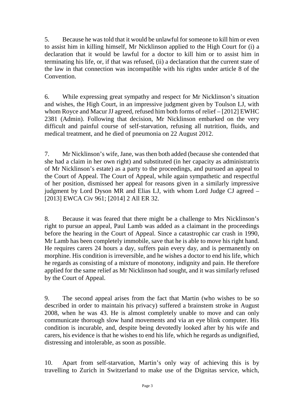5. Because he was told that it would be unlawful for someone to kill him or even to assist him in killing himself, Mr Nicklinson applied to the High Court for (i) a declaration that it would be lawful for a doctor to kill him or to assist him in terminating his life, or, if that was refused, (ii) a declaration that the current state of the law in that connection was incompatible with his rights under article 8 of the **Convention** 

6. While expressing great sympathy and respect for Mr Nicklinson's situation and wishes, the High Court, in an impressive judgment given by Toulson LJ, with whom Royce and Macur JJ agreed, refused him both forms of relief – [2012] EWHC 2381 (Admin). Following that decision, Mr Nicklinson embarked on the very difficult and painful course of self-starvation, refusing all nutrition, fluids, and medical treatment, and he died of pneumonia on 22 August 2012.

7. Mr Nicklinson's wife, Jane, was then both added (because she contended that she had a claim in her own right) and substituted (in her capacity as administratrix of Mr Nicklinson's estate) as a party to the proceedings, and pursued an appeal to the Court of Appeal. The Court of Appeal, while again sympathetic and respectful of her position, dismissed her appeal for reasons given in a similarly impressive judgment by Lord Dyson MR and Elias LJ, with whom Lord Judge CJ agreed – [2013] EWCA Civ 961; [2014] 2 All ER 32.

8. Because it was feared that there might be a challenge to Mrs Nicklinson's right to pursue an appeal, Paul Lamb was added as a claimant in the proceedings before the hearing in the Court of Appeal. Since a catastrophic car crash in 1990, Mr Lamb has been completely immobile, save that he is able to move his right hand. He requires carers 24 hours a day, suffers pain every day, and is permanently on morphine. His condition is irreversible, and he wishes a doctor to end his life, which he regards as consisting of a mixture of monotony, indignity and pain. He therefore applied for the same relief as Mr Nicklinson had sought, and it was similarly refused by the Court of Appeal.

9. The second appeal arises from the fact that Martin (who wishes to be so described in order to maintain his privacy) suffered a brainstem stroke in August 2008, when he was 43. He is almost completely unable to move and can only communicate thorough slow hand movements and via an eye blink computer. His condition is incurable, and, despite being devotedly looked after by his wife and carers, his evidence is that he wishes to end his life, which he regards as undignified, distressing and intolerable, as soon as possible.

10. Apart from self-starvation, Martin's only way of achieving this is by travelling to Zurich in Switzerland to make use of the Dignitas service, which,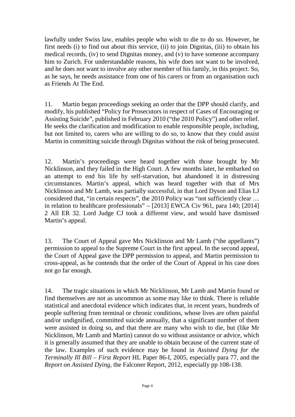lawfully under Swiss law, enables people who wish to die to do so. However, he first needs (i) to find out about this service, (ii) to join Dignitas, (iii) to obtain his medical records, (iv) to send Dignitas money, and (v) to have someone accompany him to Zurich. For understandable reasons, his wife does not want to be involved, and he does not want to involve any other member of his family, in this project. So, as he says, he needs assistance from one of his carers or from an organisation such as Friends At The End.

11. Martin began proceedings seeking an order that the DPP should clarify, and modify, his published "Policy for Prosecutors in respect of Cases of Encouraging or Assisting Suicide", published in February 2010 ("the 2010 Policy") and other relief. He seeks the clarification and modification to enable responsible people, including, but not limited to, carers who are willing to do so, to know that they could assist Martin in committing suicide through Dignitas without the risk of being prosecuted.

12. Martin's proceedings were heard together with those brought by Mr Nicklinson, and they failed in the High Court. A few months later, he embarked on an attempt to end his life by self-starvation, but abandoned it in distressing circumstances. Martin's appeal, which was heard together with that of Mrs Nicklinson and Mr Lamb, was partially successful, in that Lord Dyson and Elias LJ considered that, "in certain respects", the 2010 Policy was "not sufficiently clear … in relation to healthcare professionals" – [2013] EWCA Civ 961, para 140; [2014] 2 All ER 32. Lord Judge CJ took a different view, and would have dismissed Martin's appeal.

13. The Court of Appeal gave Mrs Nicklinson and Mr Lamb ("the appellants") permission to appeal to the Supreme Court in the first appeal. In the second appeal, the Court of Appeal gave the DPP permission to appeal, and Martin permission to cross-appeal, as he contends that the order of the Court of Appeal in his case does not go far enough.

14. The tragic situations in which Mr Nicklinson, Mr Lamb and Martin found or find themselves are not as uncommon as some may like to think. There is reliable statistical and anecdotal evidence which indicates that, in recent years, hundreds of people suffering from terminal or chronic conditions, whose lives are often painful and/or undignified, committed suicide annually, that a significant number of them were assisted in doing so, and that there are many who wish to die, but (like Mr Nicklinson, Mr Lamb and Martin) cannot do so without assistance or advice, which it is generally assumed that they are unable to obtain because of the current state of the law. Examples of such evidence may be found in *Assisted Dying for the Terminally Ill Bill – First Report* HL Paper 86-I, 2005, especially para 77, and the *Report on Assisted Dying*, the Falconer Report, 2012, especially pp 108-138.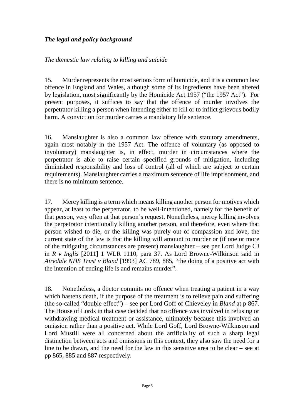### *The legal and policy background*

#### *The domestic law relating to killing and suicide*

15. Murder represents the most serious form of homicide, and it is a common law offence in England and Wales, although some of its ingredients have been altered by legislation, most significantly by the Homicide Act 1957 ("the 1957 Act"). For present purposes, it suffices to say that the offence of murder involves the perpetrator killing a person when intending either to kill or to inflict grievous bodily harm. A conviction for murder carries a mandatory life sentence.

16. Manslaughter is also a common law offence with statutory amendments, again most notably in the 1957 Act. The offence of voluntary (as opposed to involuntary) manslaughter is, in effect, murder in circumstances where the perpetrator is able to raise certain specified grounds of mitigation, including diminished responsibility and loss of control (all of which are subject to certain requirements). Manslaughter carries a maximum sentence of life imprisonment, and there is no minimum sentence.

17. Mercy killing is a term which means killing another person for motives which appear, at least to the perpetrator, to be well-intentioned, namely for the benefit of that person, very often at that person's request. Nonetheless, mercy killing involves the perpetrator intentionally killing another person, and therefore, even where that person wished to die, or the killing was purely out of compassion and love, the current state of the law is that the killing will amount to murder or (if one or more of the mitigating circumstances are present) manslaughter – see per Lord Judge CJ in *R v Inglis* [2011] 1 WLR 1110, para 37. As Lord Browne-Wilkinson said in *Airedale NHS Trust v Bland* [1993] AC 789, 885, "the doing of a positive act with the intention of ending life is and remains murder".

18. Nonetheless, a doctor commits no offence when treating a patient in a way which hastens death, if the purpose of the treatment is to relieve pain and suffering (the so-called "double effect") – see per Lord Goff of Chieveley in *Bland* at p 867. The House of Lords in that case decided that no offence was involved in refusing or withdrawing medical treatment or assistance, ultimately because this involved an omission rather than a positive act. While Lord Goff, Lord Browne-Wilkinson and Lord Mustill were all concerned about the artificiality of such a sharp legal distinction between acts and omissions in this context, they also saw the need for a line to be drawn, and the need for the law in this sensitive area to be clear – see at pp 865, 885 and 887 respectively.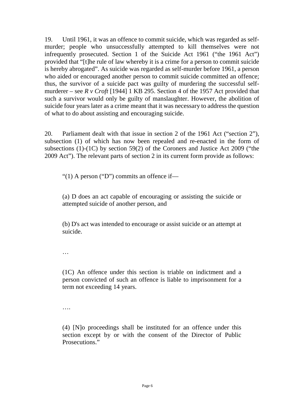19. Until 1961, it was an offence to commit suicide, which was regarded as selfmurder; people who unsuccessfully attempted to kill themselves were not infrequently prosecuted. Section 1 of the Suicide Act 1961 ("the 1961 Act") provided that "[t]he rule of law whereby it is a crime for a person to commit suicide is hereby abrogated". As suicide was regarded as self-murder before 1961, a person who aided or encouraged another person to commit suicide committed an offence; thus, the survivor of a suicide pact was guilty of murdering the successful selfmurderer – see *R v Croft* [1944] 1 KB 295. Section 4 of the 1957 Act provided that such a survivor would only be guilty of manslaughter. However, the abolition of suicide four years later as a crime meant that it was necessary to address the question of what to do about assisting and encouraging suicide.

20. Parliament dealt with that issue in section 2 of the 1961 Act ("section 2"), subsection (1) of which has now been repealed and re-enacted in the form of subsections (1)-(1C) by section 59(2) of the Coroners and Justice Act 2009 ("the 2009 Act"). The relevant parts of section 2 in its current form provide as follows:

"(1) A person ("D") commits an offence if—

(a) D does an act capable of encouraging or assisting the suicide or attempted suicide of another person, and

(b) D's act was intended to encourage or assist suicide or an attempt at suicide.

…

(1C) An offence under this section is triable on indictment and a person convicted of such an offence is liable to imprisonment for a term not exceeding 14 years.

….

(4) [N]o proceedings shall be instituted for an offence under this section except by or with the consent of the Director of Public Prosecutions."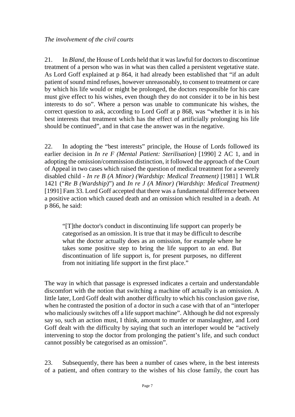21. In *Bland,* the House of Lords held that it was lawful for doctors to discontinue treatment of a person who was in what was then called a persistent vegetative state. As Lord Goff explained at p 864, it had already been established that "if an adult patient of sound mind refuses, however unreasonably, to consent to treatment or care by which his life would or might be prolonged, the doctors responsible for his care must give effect to his wishes, even though they do not consider it to be in his best interests to do so". Where a person was unable to communicate his wishes, the correct question to ask, according to Lord Goff at p 868, was "whether it is in his best interests that treatment which has the effect of artificially prolonging his life should be continued", and in that case the answer was in the negative.

22. In adopting the "best interests" principle, the House of Lords followed its earlier decision in *In re F (Mental Patient: Sterilisation)* [1990] 2 AC 1, and in adopting the omission/commission distinction, it followed the approach of the Court of Appeal in two cases which raised the question of medical treatment for a severely disabled child - *In re B (A Minor) (Wardship: Medical Treatment)* [1981] 1 WLR 1421 ("*Re B (Wardship)*") and *In re J (A Minor) (Wardship: Medical Treatment)*  [1991] Fam 33. Lord Goff accepted that there was a fundamental difference between a positive action which caused death and an omission which resulted in a death. At p 866, he said:

"[T]the doctor's conduct in discontinuing life support can properly be categorised as an omission. It is true that it may be difficult to describe what the doctor actually does as an omission, for example where he takes some positive step to bring the life support to an end. But discontinuation of life support is, for present purposes, no different from not initiating life support in the first place."

The way in which that passage is expressed indicates a certain and understandable discomfort with the notion that switching a machine off actually is an omission. A little later, Lord Goff dealt with another difficulty to which his conclusion gave rise, when he contrasted the position of a doctor in such a case with that of an "interloper who maliciously switches off a life support machine". Although he did not expressly say so, such an action must, I think, amount to murder or manslaughter, and Lord Goff dealt with the difficulty by saying that such an interloper would be "actively intervening to stop the doctor from prolonging the patient's life, and such conduct cannot possibly be categorised as an omission".

23. Subsequently, there has been a number of cases where, in the best interests of a patient, and often contrary to the wishes of his close family, the court has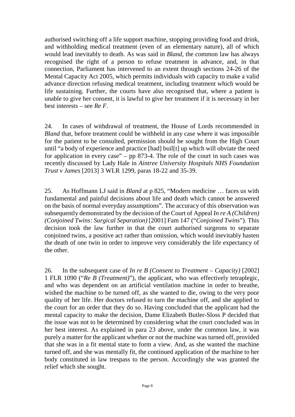authorised switching off a life support machine, stopping providing food and drink, and withholding medical treatment (even of an elementary nature), all of which would lead inevitably to death. As was said in *Bland*, the common law has always recognised the right of a person to refuse treatment in advance, and, in that connection, Parliament has intervened to an extent through sections 24-26 of the Mental Capacity Act 2005, which permits individuals with capacity to make a valid advance direction refusing medical treatment, including treatment which would be life sustaining. Further, the courts have also recognised that, where a patient is unable to give her consent, it is lawful to give her treatment if it is necessary in her best interests – see *Re F*.

24. In cases of withdrawal of treatment, the House of Lords recommended in *Bland* that, before treatment could be withheld in any case where it was impossible for the patient to be consulted, permission should be sought from the High Court until "a body of experience and practice [had] buil[t] up which will obviate the need for application in every case" – pp 873-4. The role of the court in such cases was recently discussed by Lady Hale in *Aintree University Hospitals NHS Foundation Trust v James* [2013] 3 WLR 1299, paras 18-22 and 35-39.

25. As Hoffmann LJ said in *Bland* at p 825, "Modern medicine … faces us with fundamental and painful decisions about life and death which cannot be answered on the basis of normal everyday assumptions". The accuracy of this observation was subsequently demonstrated by the decision of the Court of Appeal *In re A (Children) (Conjoined Twins: Surgical Separation)* [2001] Fam 147 ("*Conjoined Twins*"). This decision took the law further in that the court authorised surgeons to separate conjoined twins, a positive act rather than omission, which would inevitably hasten the death of one twin in order to improve very considerably the life expectancy of the other.

26. In the subsequent case of *In re B (Consent to Treatment – Capacity)* [2002] 1 FLR 1090 ("*Re B (Treatment)*"), the applicant, who was effectively tetraplegic, and who was dependent on an artificial ventilation machine in order to breathe, wished the machine to be turned off, as she wanted to die, owing to the very poor quality of her life. Her doctors refused to turn the machine off, and she applied to the court for an order that they do so. Having concluded that the applicant had the mental capacity to make the decision, Dame Elizabeth Butler-Sloss P decided that the issue was not to be determined by considering what the court concluded was in her best interest. As explained in para 23 above, under the common law, it was purely a matter for the applicant whether or not the machine was turned off, provided that she was in a fit mental state to form a view. And, as she wanted the machine turned off, and she was mentally fit, the continued application of the machine to her body constituted in law trespass to the person. Accordingly she was granted the relief which she sought.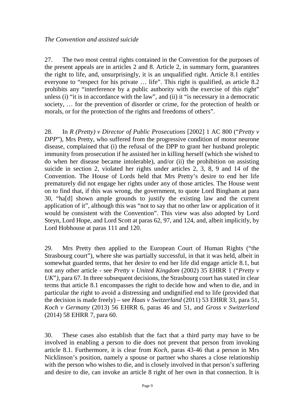27. The two most central rights contained in the Convention for the purposes of the present appeals are in articles 2 and 8. Article 2, in summary form, guarantees the right to life, and, unsurprisingly, it is an unqualified right. Article 8.1 entitles everyone to "respect for his private … life". This right is qualified, as article 8.2 prohibits any "interference by a public authority with the exercise of this right" unless (i) "it is in accordance with the law", and (ii) it "is necessary in a democratic society, … for the prevention of disorder or crime, for the protection of health or morals, or for the protection of the rights and freedoms of others".

28. In *R (Pretty) v Director of Public Prosecutions* [2002] 1 AC 800 ("*Pretty v DPP*"), Mrs Pretty, who suffered from the progressive condition of motor neurone disease, complained that (i) the refusal of the DPP to grant her husband proleptic immunity from prosecution if he assisted her in killing herself (which she wished to do when her disease became intolerable), and/or (ii) the prohibition on assisting suicide in section 2, violated her rights under articles 2, 3, 8, 9 and 14 of the Convention. The House of Lords held that Mrs Pretty's desire to end her life prematurely did not engage her rights under any of those articles. The House went on to find that, if this was wrong, the government, to quote Lord Bingham at para 30, "ha[d] shown ample grounds to justify the existing law and the current application of it", although this was "not to say that no other law or application of it would be consistent with the Convention". This view was also adopted by Lord Steyn, Lord Hope, and Lord Scott at paras 62, 97, and 124, and, albeit implicitly, by Lord Hobhouse at paras 111 and 120.

29. Mrs Pretty then applied to the European Court of Human Rights ("the Strasbourg court"), where she was partially successful, in that it was held, albeit in somewhat guarded terms, that her desire to end her life did engage article 8.1, but not any other article - see *Pretty v United Kingdom* (2002) 35 EHRR 1 ("*Pretty v UK*"*)*, para 67. In three subsequent decisions, the Strasbourg court has stated in clear terms that article 8.1 encompasses the right to decide how and when to die, and in particular the right to avoid a distressing and undignified end to life (provided that the decision is made freely) – see *Haas v Switzerland* (2011) 53 EHRR 33, para 51, *Koch v Germany* (2013) 56 EHRR 6, paras 46 and 51, and *Gross v Switzerland*  (2014) 58 EHRR 7, para 60.

30. These cases also establish that the fact that a third party may have to be involved in enabling a person to die does not prevent that person from invoking article 8.1. Furthermore, it is clear from *Koch*, paras 43-46 that a person in Mrs Nicklinson's position, namely a spouse or partner who shares a close relationship with the person who wishes to die, and is closely involved in that person's suffering and desire to die, can invoke an article 8 right of her own in that connection. It is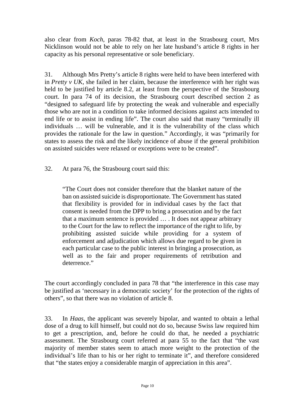also clear from *Koch*, paras 78-82 that, at least in the Strasbourg court, Mrs Nicklinson would not be able to rely on her late husband's article 8 rights in her capacity as his personal representative or sole beneficiary.

31. Although Mrs Pretty's article 8 rights were held to have been interfered with in *Pretty v UK*, she failed in her claim, because the interference with her right was held to be justified by article 8.2, at least from the perspective of the Strasbourg court. In para 74 of its decision, the Strasbourg court described section 2 as "designed to safeguard life by protecting the weak and vulnerable and especially those who are not in a condition to take informed decisions against acts intended to end life or to assist in ending life". The court also said that many "terminally ill individuals … will be vulnerable, and it is the vulnerability of the class which provides the rationale for the law in question." Accordingly, it was "primarily for states to assess the risk and the likely incidence of abuse if the general prohibition on assisted suicides were relaxed or exceptions were to be created".

#### 32. At para 76, the Strasbourg court said this:

"The Court does not consider therefore that the blanket nature of the ban on assisted suicide is disproportionate. The Government has stated that flexibility is provided for in individual cases by the fact that consent is needed from the DPP to bring a prosecution and by the fact that a maximum sentence is provided … . It does not appear arbitrary to the Court for the law to reflect the importance of the right to life, by prohibiting assisted suicide while providing for a system of enforcement and adjudication which allows due regard to be given in each particular case to the public interest in bringing a prosecution, as well as to the fair and proper requirements of retribution and deterrence."

The court accordingly concluded in para 78 that "the interference in this case may be justified as 'necessary in a democratic society' for the protection of the rights of others", so that there was no violation of article 8.

33. In *Haas*, the applicant was severely bipolar, and wanted to obtain a lethal dose of a drug to kill himself, but could not do so, because Swiss law required him to get a prescription, and, before he could do that, he needed a psychiatric assessment. The Strasbourg court referred at para 55 to the fact that "the vast majority of member states seem to attach more weight to the protection of the individual's life than to his or her right to terminate it", and therefore considered that "the states enjoy a considerable margin of appreciation in this area".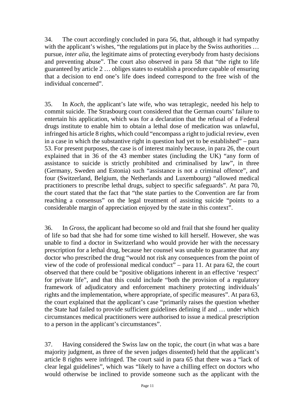34. The court accordingly concluded in para 56, that, although it had sympathy with the applicant's wishes, "the regulations put in place by the Swiss authorities ... pursue, *inter alia*, the legitimate aims of protecting everybody from hasty decisions and preventing abuse". The court also observed in para 58 that "the right to life guaranteed by article 2 … obliges states to establish a procedure capable of ensuring that a decision to end one's life does indeed correspond to the free wish of the individual concerned".

35. In *Koch*, the applicant's late wife, who was tetraplegic, needed his help to commit suicide. The Strasbourg court considered that the German courts' failure to entertain his application, which was for a declaration that the refusal of a Federal drugs institute to enable him to obtain a lethal dose of medication was unlawful, infringed his article 8 rights, which could "encompass a right to judicial review, even in a case in which the substantive right in question had yet to be established" – para 53. For present purposes, the case is of interest mainly because, in para 26, the court explained that in 36 of the 43 member states (including the UK) "any form of assistance to suicide is strictly prohibited and criminalised by law", in three (Germany, Sweden and Estonia) such "assistance is not a criminal offence", and four (Switzerland, Belgium, the Netherlands and Luxembourg) "allowed medical practitioners to prescribe lethal drugs, subject to specific safeguards". At para 70, the court stated that the fact that "the state parties to the Convention are far from reaching a consensus" on the legal treatment of assisting suicide "points to a considerable margin of appreciation enjoyed by the state in this context".

36. In *Gross*, the applicant had become so old and frail that she found her quality of life so bad that she had for some time wished to kill herself. However, she was unable to find a doctor in Switzerland who would provide her with the necessary prescription for a lethal drug, because her counsel was unable to guarantee that any doctor who prescribed the drug "would not risk any consequences from the point of view of the code of professional medical conduct" – para 11. At para 62, the court observed that there could be "positive obligations inherent in an effective 'respect' for private life", and that this could include "both the provision of a regulatory framework of adjudicatory and enforcement machinery protecting individuals' rights and the implementation, where appropriate, of specific measures". At para 63, the court explained that the applicant's case "primarily raises the question whether the State had failed to provide sufficient guidelines defining if and … under which circumstances medical practitioners were authorised to issue a medical prescription to a person in the applicant's circumstances".

37. Having considered the Swiss law on the topic, the court (in what was a bare majority judgment, as three of the seven judges dissented) held that the applicant's article 8 rights were infringed. The court said in para 65 that there was a "lack of clear legal guidelines", which was "likely to have a chilling effect on doctors who would otherwise be inclined to provide someone such as the applicant with the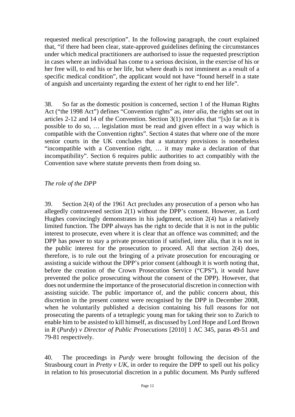requested medical prescription". In the following paragraph, the court explained that, "if there had been clear, state-approved guidelines defining the circumstances under which medical practitioners are authorised to issue the requested prescription in cases where an individual has come to a serious decision, in the exercise of his or her free will, to end his or her life, but where death is not imminent as a result of a specific medical condition", the applicant would not have "found herself in a state of anguish and uncertainty regarding the extent of her right to end her life".

38. So far as the domestic position is concerned, section 1 of the Human Rights Act ("the 1998 Act") defines "Convention rights" as, *inter alia*, the rights set out in articles 2-12 and 14 of the Convention. Section 3(1) provides that "[s]o far as it is possible to do so, … legislation must be read and given effect in a way which is compatible with the Convention rights". Section 4 states that where one of the more senior courts in the UK concludes that a statutory provisions is nonetheless "incompatible with a Convention right, … it may make a declaration of that incompatibility". Section 6 requires public authorities to act compatibly with the Convention save where statute prevents them from doing so.

#### *The role of the DPP*

39. Section 2(4) of the 1961 Act precludes any prosecution of a person who has allegedly contravened section 2(1) without the DPP's consent. However, as Lord Hughes convincingly demonstrates in his judgment, section 2(4) has a relatively limited function. The DPP always has the right to decide that it is not in the public interest to prosecute, even where it is clear that an offence was committed; and the DPP has power to stay a private prosecution if satisfied, inter alia, that it is not in the public interest for the prosecution to proceed. All that section 2(4) does, therefore, is to rule out the bringing of a private prosecution for encouraging or assisting a suicide without the DPP's prior consent (although it is worth noting that, before the creation of the Crown Prosecution Service ("CPS"), it would have prevented the police prosecuting without the consent of the DPP). However, that does not undermine the importance of the prosecutorial discretion in connection with assisting suicide. The public importance of, and the public concern about, this discretion in the present context were recognised by the DPP in December 2008, when he voluntarily published a decision containing his full reasons for not prosecuting the parents of a tetraplegic young man for taking their son to Zurich to enable him to be assisted to kill himself, as discussed by Lord Hope and Lord Brown in *R* (*Purdy*) *v Director of Public Prosecutions* [2010] 1 AC 345, paras 49-51 and 79-81 respectively.

40. The proceedings in *Purdy* were brought following the decision of the Strasbourg court in *Pretty v UK*, in order to require the DPP to spell out his policy in relation to his prosecutorial discretion in a public document*.* Ms Purdy suffered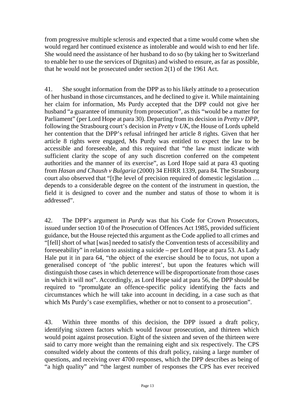from progressive multiple sclerosis and expected that a time would come when she would regard her continued existence as intolerable and would wish to end her life. She would need the assistance of her husband to do so (by taking her to Switzerland to enable her to use the services of Dignitas) and wished to ensure, as far as possible, that he would not be prosecuted under section 2(1) of the 1961 Act.

41. She sought information from the DPP as to his likely attitude to a prosecution of her husband in those circumstances, and he declined to give it. While maintaining her claim for information, Ms Purdy accepted that the DPP could not give her husband "a guarantee of immunity from prosecution", as this "would be a matter for Parliament" (per Lord Hope at para 30). Departing from its decision in *Pretty v DPP*, following the Strasbourg court's decision in *Pretty v UK*, the House of Lords upheld her contention that the DPP's refusal infringed her article 8 rights. Given that her article 8 rights were engaged, Ms Purdy was entitled to expect the law to be accessible and foreseeable, and this required that "the law must indicate with sufficient clarity the scope of any such discretion conferred on the competent authorities and the manner of its exercise", as Lord Hope said at para 43 quoting from *Hasan and Chaush v Bulgaria* (2000) 34 EHRR 1339, para 84. The Strasbourg court also observed that "[t]he level of precision required of domestic legislation … depends to a considerable degree on the content of the instrument in question, the field it is designed to cover and the number and status of those to whom it is addressed".

42. The DPP's argument in *Purdy* was that his Code for Crown Prosecutors, issued under section 10 of the Prosecution of Offences Act 1985, provided sufficient guidance, but the House rejected this argument as the Code applied to all crimes and "[fell] short of what [was] needed to satisfy the Convention tests of accessibility and foreseeability" in relation to assisting a suicide – per Lord Hope at para 53. As Lady Hale put it in para 64, "the object of the exercise should be to focus, not upon a generalised concept of 'the public interest', but upon the features which will distinguish those cases in which deterrence will be disproportionate from those cases in which it will not". Accordingly, as Lord Hope said at para 56, the DPP should be required to "promulgate an offence-specific policy identifying the facts and circumstances which he will take into account in deciding, in a case such as that which Ms Purdy's case exemplifies, whether or not to consent to a prosecution".

43. Within three months of this decision, the DPP issued a draft policy, identifying sixteen factors which would favour prosecution, and thirteen which would point against prosecution. Eight of the sixteen and seven of the thirteen were said to carry more weight than the remaining eight and six respectively. The CPS consulted widely about the contents of this draft policy, raising a large number of questions, and receiving over 4700 responses, which the DPP describes as being of "a high quality" and "the largest number of responses the CPS has ever received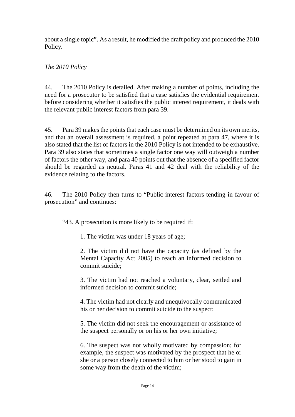about a single topic". As a result, he modified the draft policy and produced the 2010 Policy.

### *The 2010 Policy*

44. The 2010 Policy is detailed. After making a number of points, including the need for a prosecutor to be satisfied that a case satisfies the evidential requirement before considering whether it satisfies the public interest requirement, it deals with the relevant public interest factors from para 39.

45. Para 39 makes the points that each case must be determined on its own merits, and that an overall assessment is required, a point repeated at para 47, where it is also stated that the list of factors in the 2010 Policy is not intended to be exhaustive. Para 39 also states that sometimes a single factor one way will outweigh a number of factors the other way, and para 40 points out that the absence of a specified factor should be regarded as neutral. Paras 41 and 42 deal with the reliability of the evidence relating to the factors.

46. The 2010 Policy then turns to "Public interest factors tending in favour of prosecution" and continues:

"43. A prosecution is more likely to be required if:

1. The victim was under 18 years of age;

2. The victim did not have the capacity (as defined by the Mental Capacity Act 2005) to reach an informed decision to commit suicide;

3. The victim had not reached a voluntary, clear, settled and informed decision to commit suicide;

4. The victim had not clearly and unequivocally communicated his or her decision to commit suicide to the suspect;

5. The victim did not seek the encouragement or assistance of the suspect personally or on his or her own initiative;

6. The suspect was not wholly motivated by compassion; for example, the suspect was motivated by the prospect that he or she or a person closely connected to him or her stood to gain in some way from the death of the victim;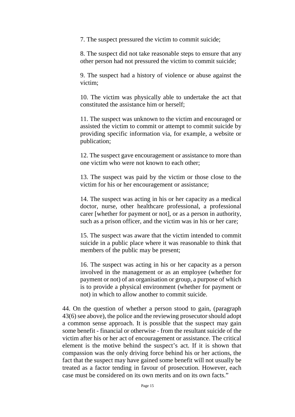7. The suspect pressured the victim to commit suicide;

8. The suspect did not take reasonable steps to ensure that any other person had not pressured the victim to commit suicide;

9. The suspect had a history of violence or abuse against the victim;

10. The victim was physically able to undertake the act that constituted the assistance him or herself;

11. The suspect was unknown to the victim and encouraged or assisted the victim to commit or attempt to commit suicide by providing specific information via, for example, a website or publication;

12. The suspect gave encouragement or assistance to more than one victim who were not known to each other;

13. The suspect was paid by the victim or those close to the victim for his or her encouragement or assistance;

14. The suspect was acting in his or her capacity as a medical doctor, nurse, other healthcare professional, a professional carer [whether for payment or not], or as a person in authority, such as a prison officer, and the victim was in his or her care;

15. The suspect was aware that the victim intended to commit suicide in a public place where it was reasonable to think that members of the public may be present;

16. The suspect was acting in his or her capacity as a person involved in the management or as an employee (whether for payment or not) of an organisation or group, a purpose of which is to provide a physical environment (whether for payment or not) in which to allow another to commit suicide.

44. On the question of whether a person stood to gain, (paragraph 43(6) see above), the police and the reviewing prosecutor should adopt a common sense approach. It is possible that the suspect may gain some benefit - financial or otherwise - from the resultant suicide of the victim after his or her act of encouragement or assistance. The critical element is the motive behind the suspect's act. If it is shown that compassion was the only driving force behind his or her actions, the fact that the suspect may have gained some benefit will not usually be treated as a factor tending in favour of prosecution. However, each case must be considered on its own merits and on its own facts."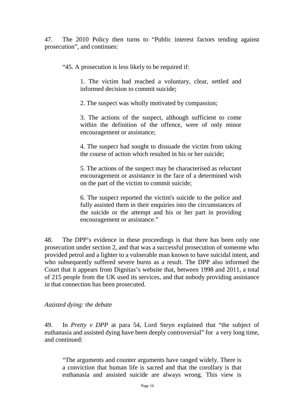47. The 2010 Policy then turns to "Public interest factors tending against prosecution", and continues:

"45. A prosecution is less likely to be required if:

1. The victim had reached a voluntary, clear, settled and informed decision to commit suicide;

2. The suspect was wholly motivated by compassion;

3. The actions of the suspect, although sufficient to come within the definition of the offence, were of only minor encouragement or assistance;

4. The suspect had sought to dissuade the victim from taking the course of action which resulted in his or her suicide;

5. The actions of the suspect may be characterised as reluctant encouragement or assistance in the face of a determined wish on the part of the victim to commit suicide;

6. The suspect reported the victim's suicide to the police and fully assisted them in their enquiries into the circumstances of the suicide or the attempt and his or her part in providing encouragement or assistance."

48. The DPP's evidence in these proceedings is that there has been only one prosecution under section 2, and that was a successful prosecution of someone who provided petrol and a lighter to a vulnerable man known to have suicidal intent, and who subsequently suffered severe burns as a result. The DPP also informed the Court that it appears from Dignitas's website that, between 1998 and 2011, a total of 215 people from the UK used its services, and that nobody providing assistance in that connection has been prosecuted.

#### *Assisted dying: the debate*

49. In *Pretty v DPP* at para 54, Lord Steyn explained that "the subject of euthanasia and assisted dying have been deeply controversial" for a very long time, and continued:

"The arguments and counter arguments have ranged widely. There is a conviction that human life is sacred and that the corollary is that euthanasia and assisted suicide are always wrong. This view is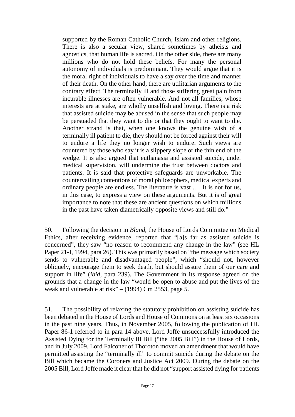supported by the Roman Catholic Church, Islam and other religions. There is also a secular view, shared sometimes by atheists and agnostics, that human life is sacred. On the other side, there are many millions who do not hold these beliefs. For many the personal autonomy of individuals is predominant. They would argue that it is the moral right of individuals to have a say over the time and manner of their death. On the other hand, there are utilitarian arguments to the contrary effect. The terminally ill and those suffering great pain from incurable illnesses are often vulnerable. And not all families, whose interests are at stake, are wholly unselfish and loving. There is a risk that assisted suicide may be abused in the sense that such people may be persuaded that they want to die or that they ought to want to die. Another strand is that, when one knows the genuine wish of a terminally ill patient to die, they should not be forced against their will to endure a life they no longer wish to endure. Such views are countered by those who say it is a slippery slope or the thin end of the wedge. It is also argued that euthanasia and assisted suicide, under medical supervision, will undermine the trust between doctors and patients. It is said that protective safeguards are unworkable. The countervailing contentions of moral philosophers, medical experts and ordinary people are endless. The literature is vast …. It is not for us, in this case, to express a view on these arguments. But it is of great importance to note that these are ancient questions on which millions in the past have taken diametrically opposite views and still do."

50. Following the decision in *Bland*, the House of Lords Committee on Medical Ethics, after receiving evidence, reported that "[a]s far as assisted suicide is concerned", they saw "no reason to recommend any change in the law" (see HL Paper 21-I, 1994, para 26). This was primarily based on "the message which society sends to vulnerable and disadvantaged people", which "should not, however obliquely, encourage them to seek death, but should assure them of our care and support in life" (*ibid*, para 239). The Government in its response agreed on the grounds that a change in the law "would be open to abuse and put the lives of the weak and vulnerable at risk" – (1994) Cm 2553, page 5.

51. The possibility of relaxing the statutory prohibition on assisting suicide has been debated in the House of Lords and House of Commons on at least six occasions in the past nine years. Thus, in November 2005, following the publication of HL Paper 86-1 referred to in para 14 above, Lord Joffe unsuccessfully introduced the Assisted Dying for the Terminally Ill Bill ("the 2005 Bill") in the House of Lords, and in July 2009, Lord Falconer of Thoroton moved an amendment that would have permitted assisting the "terminally ill" to commit suicide during the debate on the Bill which became the Coroners and Justice Act 2009. During the debate on the 2005 Bill, Lord Joffe made it clear that he did not "support assisted dying for patients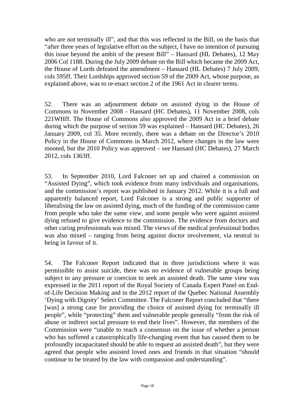who are not terminally ill", and that this was reflected in the Bill, on the basis that "after three years of legislative effort on the subject, I have no intention of pursuing this issue beyond the ambit of the present Bill" – Hansard (HL Debates), 12 May 2006 Col 1188. During the July 2009 debate on the Bill which became the 2009 Act, the House of Lords defeated the amendment – Hansard (HL Debates) 7 July 2009, cols 595ff. Their Lordships approved section 59 of the 2009 Act, whose purpose, as explained above, was to re-enact section 2 of the 1961 Act in clearer terms.

52. There was an adjournment debate on assisted dying in the House of Commons in November 2008 - Hansard (HC Debates), 11 November 2008, cols 221WHff. The House of Commons also approved the 2009 Act in a brief debate during which the purpose of section 59 was explained – Hansard (HC Debates), 26 January 2009, col 35. More recently, there was a debate on the Director's 2010 Policy in the House of Commons in March 2012, where changes in the law were mooted, but the 2010 Policy was approved – see Hansard (HC Debates), 27 March 2012, cols 1363ff.

53. In September 2010, Lord Falconer set up and chaired a commission on "Assisted Dying", which took evidence from many individuals and organisations, and the commission's report was published in January 2012. While it is a full and apparently balanced report, Lord Falconer is a strong and public supporter of liberalising the law on assisted dying, much of the funding of the commission came from people who take the same view, and some people who were against assisted dying refused to give evidence to the commission. The evidence from doctors and other caring professionals was mixed. The views of the medical professional bodies was also mixed – ranging from being against doctor involvement, via neutral to being in favour of it.

54. The Falconer Report indicated that in three jurisdictions where it was permissible to assist suicide, there was no evidence of vulnerable groups being subject to any pressure or coercion to seek an assisted death. The same view was expressed in the 2011 report of the Royal Society of Canada Expert Panel on Endof-Life Decision Making and in the 2012 report of the Quebec National Assembly 'Dying with Dignity' Select Committee. The Falconer Report concluded that "there [was] a strong case for providing the choice of assisted dying for terminally ill people", while "protecting" them and vulnerable people generally "from the risk of abuse or indirect social pressure to end their lives". However, the members of the Commission were "unable to reach a consensus on the issue of whether a person who has suffered a catastrophically life-changing event that has caused them to be profoundly incapacitated should be able to request an assisted death", but they were agreed that people who assisted loved ones and friends in that situation "should continue to be treated by the law with compassion and understanding".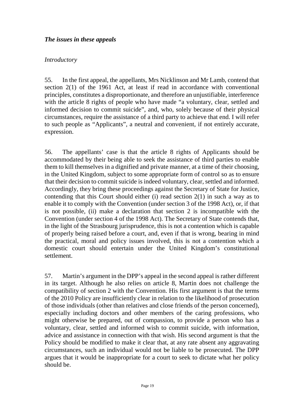#### *The issues in these appeals*

#### *Introductory*

55. In the first appeal, the appellants, Mrs Nicklinson and Mr Lamb, contend that section 2(1) of the 1961 Act, at least if read in accordance with conventional principles, constitutes a disproportionate, and therefore an unjustifiable, interference with the article 8 rights of people who have made "a voluntary, clear, settled and informed decision to commit suicide", and, who, solely because of their physical circumstances, require the assistance of a third party to achieve that end. I will refer to such people as "Applicants", a neutral and convenient, if not entirely accurate, expression.

56. The appellants' case is that the article 8 rights of Applicants should be accommodated by their being able to seek the assistance of third parties to enable them to kill themselves in a dignified and private manner, at a time of their choosing, in the United Kingdom, subject to some appropriate form of control so as to ensure that their decision to commit suicide is indeed voluntary, clear, settled and informed. Accordingly, they bring these proceedings against the Secretary of State for Justice, contending that this Court should either (i) read section 2(1) in such a way as to enable it to comply with the Convention (under section 3 of the 1998 Act), or, if that is not possible, (ii) make a declaration that section 2 is incompatible with the Convention (under section 4 of the 1998 Act). The Secretary of State contends that, in the light of the Strasbourg jurisprudence, this is not a contention which is capable of properly being raised before a court, and, even if that is wrong, bearing in mind the practical, moral and policy issues involved, this is not a contention which a domestic court should entertain under the United Kingdom's constitutional settlement.

57. Martin's argument in the DPP's appeal in the second appeal is rather different in its target. Although he also relies on article 8, Martin does not challenge the compatibility of section 2 with the Convention. His first argument is that the terms of the 2010 Policy are insufficiently clear in relation to the likelihood of prosecution of those individuals (other than relatives and close friends of the person concerned), especially including doctors and other members of the caring professions, who might otherwise be prepared, out of compassion, to provide a person who has a voluntary, clear, settled and informed wish to commit suicide, with information, advice and assistance in connection with that wish. His second argument is that the Policy should be modified to make it clear that, at any rate absent any aggravating circumstances, such an individual would not be liable to be prosecuted. The DPP argues that it would be inappropriate for a court to seek to dictate what her policy should be.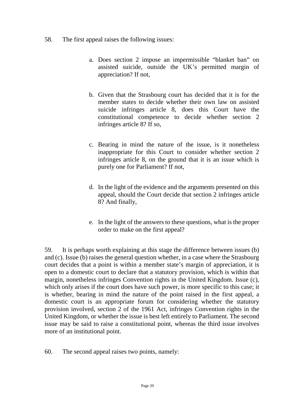- 58. The first appeal raises the following issues:
	- a. Does section 2 impose an impermissible "blanket ban" on assisted suicide, outside the UK's permitted margin of appreciation? If not,
	- b. Given that the Strasbourg court has decided that it is for the member states to decide whether their own law on assisted suicide infringes article 8, does this Court have the constitutional competence to decide whether section 2 infringes article 8? If so,
	- c. Bearing in mind the nature of the issue, is it nonetheless inappropriate for this Court to consider whether section 2 infringes article 8, on the ground that it is an issue which is purely one for Parliament? If not,
	- d. In the light of the evidence and the arguments presented on this appeal, should the Court decide that section 2 infringes article 8? And finally,
	- e. In the light of the answers to these questions, what is the proper order to make on the first appeal?

59. It is perhaps worth explaining at this stage the difference between issues (b) and (c). Issue (b) raises the general question whether, in a case where the Strasbourg court decides that a point is within a member state's margin of appreciation, it is open to a domestic court to declare that a statutory provision, which is within that margin, nonetheless infringes Convention rights in the United Kingdom. Issue (c), which only arises if the court does have such power, is more specific to this case; it is whether, bearing in mind the nature of the point raised in the first appeal, a domestic court is an appropriate forum for considering whether the statutory provision involved, section 2 of the 1961 Act, infringes Convention rights in the United Kingdom, or whether the issue is best left entirely to Parliament. The second issue may be said to raise a constitutional point, whereas the third issue involves more of an institutional point.

60. The second appeal raises two points, namely: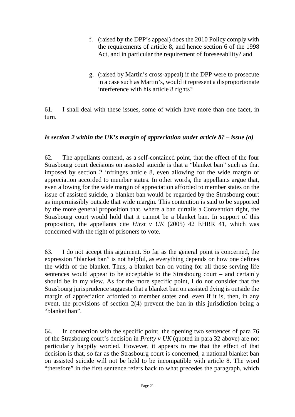- f. (raised by the DPP's appeal) does the 2010 Policy comply with the requirements of article 8, and hence section 6 of the 1998 Act, and in particular the requirement of foreseeability? and
- g. (raised by Martin's cross-appeal) if the DPP were to prosecute in a case such as Martin's, would it represent a disproportionate interference with his article 8 rights?

61. I shall deal with these issues, some of which have more than one facet, in turn.

#### *Is section 2 within the UK's margin of appreciation under article 8? – issue (a)*

62. The appellants contend, as a self-contained point, that the effect of the four Strasbourg court decisions on assisted suicide is that a "blanket ban" such as that imposed by section 2 infringes article 8, even allowing for the wide margin of appreciation accorded to member states. In other words, the appellants argue that, even allowing for the wide margin of appreciation afforded to member states on the issue of assisted suicide, a blanket ban would be regarded by the Strasbourg court as impermissibly outside that wide margin. This contention is said to be supported by the more general proposition that, where a ban curtails a Convention right, the Strasbourg court would hold that it cannot be a blanket ban. In support of this proposition, the appellants cite *Hirst v UK* (2005) 42 EHRR 41, which was concerned with the right of prisoners to vote.

63. I do not accept this argument. So far as the general point is concerned, the expression "blanket ban" is not helpful, as everything depends on how one defines the width of the blanket. Thus, a blanket ban on voting for all those serving life sentences would appear to be acceptable to the Strasbourg court – and certainly should be in my view. As for the more specific point, I do not consider that the Strasbourg jurisprudence suggests that a blanket ban on assisted dying is outside the margin of appreciation afforded to member states and, even if it is, then, in any event, the provisions of section 2(4) prevent the ban in this jurisdiction being a "blanket ban".

64. In connection with the specific point, the opening two sentences of para 76 of the Strasbourg court's decision in *Pretty v UK* (quoted in para 32 above) are not particularly happily worded. However, it appears to me that the effect of that decision is that, so far as the Strasbourg court is concerned, a national blanket ban on assisted suicide will not be held to be incompatible with article 8. The word "therefore" in the first sentence refers back to what precedes the paragraph, which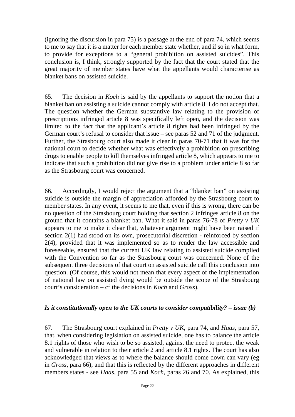(ignoring the discursion in para 75) is a passage at the end of para 74, which seems to me to say that it is a matter for each member state whether, and if so in what form, to provide for exceptions to a "general prohibition on assisted suicides". This conclusion is, I think, strongly supported by the fact that the court stated that the great majority of member states have what the appellants would characterise as blanket bans on assisted suicide.

65. The decision in *Koch* is said by the appellants to support the notion that a blanket ban on assisting a suicide cannot comply with article 8. I do not accept that. The question whether the German substantive law relating to the provision of prescriptions infringed article 8 was specifically left open, and the decision was limited to the fact that the applicant's article 8 rights had been infringed by the German court's refusal to consider that issue – see paras 52 and 71 of the judgment. Further, the Strasbourg court also made it clear in paras 70-71 that it was for the national court to decide whether what was effectively a prohibition on prescribing drugs to enable people to kill themselves infringed article 8, which appears to me to indicate that such a prohibition did not give rise to a problem under article 8 so far as the Strasbourg court was concerned.

66. Accordingly, I would reject the argument that a "blanket ban" on assisting suicide is outside the margin of appreciation afforded by the Strasbourg court to member states. In any event, it seems to me that, even if this is wrong, there can be no question of the Strasbourg court holding that section 2 infringes article 8 on the ground that it contains a blanket ban. What it said in paras 76-78 of *Pretty v UK*  appears to me to make it clear that, whatever argument might have been raised if section 2(1) had stood on its own, prosecutorial discretion - reinforced by section 2(4), provided that it was implemented so as to render the law accessible and foreseeable, ensured that the current UK law relating to assisted suicide complied with the Convention so far as the Strasbourg court was concerned. None of the subsequent three decisions of that court on assisted suicide call this conclusion into question. (Of course, this would not mean that every aspect of the implementation of national law on assisted dying would be outside the scope of the Strasbourg court's consideration – cf the decisions in *Koch* and *Gross*).

#### *Is it constitutionally open to the UK courts to consider compatibility? – issue (b)*

67. The Strasbourg court explained in *Pretty v UK*, para 74, and *Haas*, para 57, that, when considering legislation on assisted suicide, one has to balance the article 8.1 rights of those who wish to be so assisted, against the need to protect the weak and vulnerable in relation to their article 2 and article 8.1 rights. The court has also acknowledged that views as to where the balance should come down can vary (eg in *Gross,* para 66), and that this is reflected by the different approaches in different members states - see *Haas*, para 55 and *Koch*, paras 26 and 70. As explained, this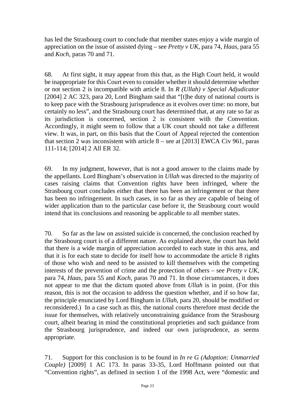has led the Strasbourg court to conclude that member states enjoy a wide margin of appreciation on the issue of assisted dying – see *Pretty v UK*, para 74, *Haas*, para 55 and *Koch*, paras 70 and 71.

68. At first sight, it may appear from this that, as the High Court held, it would be inappropriate for this Court even to consider whether it should determine whether or not section 2 is incompatible with article 8. In *R (Ullah) v Special Adjudicator*  [2004] 2 AC 323, para 20, Lord Bingham said that "[t]he duty of national courts is to keep pace with the Strasbourg jurisprudence as it evolves over time: no more, but certainly no less", and the Strasbourg court has determined that, at any rate so far as its jurisdiction is concerned, section 2 is consistent with the Convention. Accordingly, it might seem to follow that a UK court should not take a different view. It was, in part, on this basis that the Court of Appeal rejected the contention that section 2 was inconsistent with article  $8$  – see at [2013] EWCA Civ 961, paras 111-114; [2014] 2 All ER 32.

69. In my judgment, however, that is not a good answer to the claims made by the appellants. Lord Bingham's observation in *Ullah* was directed to the majority of cases raising claims that Convention rights have been infringed, where the Strasbourg court concludes either that there has been an infringement or that there has been no infringement. In such cases, in so far as they are capable of being of wider application than to the particular case before it, the Strasbourg court would intend that its conclusions and reasoning be applicable to all member states.

70. So far as the law on assisted suicide is concerned, the conclusion reached by the Strasbourg court is of a different nature. As explained above, the court has held that there is a wide margin of appreciation accorded to each state in this area, and that it is for each state to decide for itself how to accommodate the article 8 rights of those who wish and need to be assisted to kill themselves with the competing interests of the prevention of crime and the protection of others – see *Pretty v UK*, para 74, *Haas*, para 55 and *Koch*, paras 70 and 71. In those circumstances, it does not appear to me that the dictum quoted above from *Ullah* is in point. (For this reason, this is not the occasion to address the question whether, and if so how far, the principle enunciated by Lord Bingham in *Ullah*, para 20, should be modified or reconsidered.) In a case such as this, the national courts therefore must decide the issue for themselves, with relatively unconstraining guidance from the Strasbourg court, albeit bearing in mind the constitutional proprieties and such guidance from the Strasbourg jurisprudence, and indeed our own jurisprudence, as seems appropriate.

71. Support for this conclusion is to be found in *In re G (Adoption: Unmarried Couple)* [2009] 1 AC 173. In paras 33-35, Lord Hoffmann pointed out that "Convention rights", as defined in section 1 of the 1998 Act, were "domestic and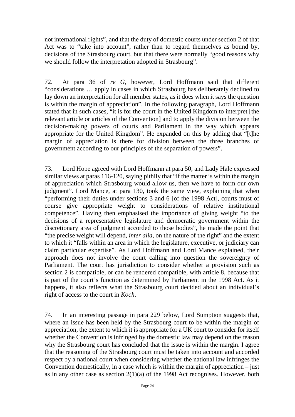not international rights", and that the duty of domestic courts under section 2 of that Act was to "take into account", rather than to regard themselves as bound by, decisions of the Strasbourg court, but that there were normally "good reasons why we should follow the interpretation adopted in Strasbourg".

72. At para 36 of *re G*, however, Lord Hoffmann said that different "considerations … apply in cases in which Strasbourg has deliberately declined to lay down an interpretation for all member states, as it does when it says the question is within the margin of appreciation". In the following paragraph, Lord Hoffmann stated that in such cases, "it is for the court in the United Kingdom to interpret [the relevant article or articles of the Convention] and to apply the division between the decision-making powers of courts and Parliament in the way which appears appropriate for the United Kingdom". He expanded on this by adding that "[t]he margin of appreciation is there for division between the three branches of government according to our principles of the separation of powers".

73. Lord Hope agreed with Lord Hoffmann at para 50, and Lady Hale expressed similar views at paras 116-120, saying pithily that "if the matter is within the margin of appreciation which Strasbourg would allow us, then we have to form our own judgment". Lord Mance, at para 130, took the same view, explaining that when "performing their duties under sections 3 and 6 [of the 1998 Act], courts must of course give appropriate weight to considerations of relative institutional competence". Having then emphasised the importance of giving weight "to the decisions of a representative legislature and democratic government within the discretionary area of judgment accorded to those bodies", he made the point that "the precise weight will depend, *inter alia*, on the nature of the right" and the extent to which it "falls within an area in which the legislature, executive, or judiciary can claim particular expertise". As Lord Hoffmann and Lord Mance explained, their approach does not involve the court calling into question the sovereignty of Parliament. The court has jurisdiction to consider whether a provision such as section 2 is compatible, or can be rendered compatible, with article 8, because that is part of the court's function as determined by Parliament in the 1998 Act. As it happens, it also reflects what the Strasbourg court decided about an individual's right of access to the court in *Koch*.

74. In an interesting passage in para 229 below, Lord Sumption suggests that, where an issue has been held by the Strasbourg court to be within the margin of appreciation, the extent to which it is appropriate for a UK court to consider for itself whether the Convention is infringed by the domestic law may depend on the reason why the Strasbourg court has concluded that the issue is within the margin. I agree that the reasoning of the Strasbourg court must be taken into account and accorded respect by a national court when considering whether the national law infringes the Convention domestically, in a case which is within the margin of appreciation – just as in any other case as section  $2(1)(a)$  of the 1998 Act recognises. However, both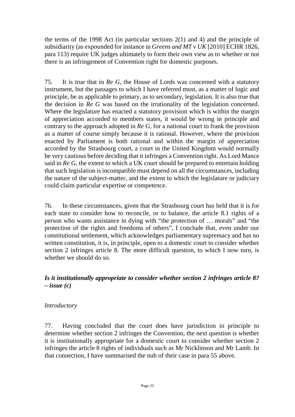the terms of the 1998 Act (in particular sections  $2(1)$  and 4) and the principle of subsidiarity (as expounded for instance in *Greens and MT v UK* [2010] ECHR 1826, para 113) require UK judges ultimately to form their own view as to whether or not there is an infringement of Convention right for domestic purposes.

75. It is true that in *Re G*, the House of Lords was concerned with a statutory instrument, but the passages to which I have referred must, as a matter of logic and principle, be as applicable to primary, as to secondary, legislation. It is also true that the decision in *Re G* was based on the irrationality of the legislation concerned. Where the legislature has enacted a statutory provision which is within the margin of appreciation accorded to members states, it would be wrong in principle and contrary to the approach adopted in *Re G*, for a national court to frank the provision as a matter of course simply because it is rational. However, where the provision enacted by Parliament is both rational and within the margin of appreciation accorded by the Strasbourg court, a court in the United Kingdom would normally be very cautious before deciding that it infringes a Convention right. As Lord Mance said in *Re G*, the extent to which a UK court should be prepared to entertain holding that such legislation is incompatible must depend on all the circumstances, including the nature of the subject-matter, and the extent to which the legislature or judiciary could claim particular expertise or competence.

76. In these circumstances, given that the Strasbourg court has held that it is for each state to consider how to reconcile, or to balance, the article 8.1 rights of a person who wants assistance in dying with "the protection of … morals" and "the protection of the rights and freedoms of others", I conclude that, even under our constitutional settlement, which acknowledges parliamentary supremacy and has no written constitution, it is, in principle, open to a domestic court to consider whether section 2 infringes article 8. The more difficult question, to which I now turn, is whether we should do so.

### *Is it institutionally appropriate to consider whether section 2 infringes article 8? – issue (c)*

#### *Introductory*

77. Having concluded that the court does have jurisdiction in principle to determine whether section 2 infringes the Convention, the next question is whether it is institutionally appropriate for a domestic court to consider whether section 2 infringes the article 8 rights of individuals such as Mr Nicklinson and Mr Lamb. In that connection, I have summarised the nub of their case in para 55 above.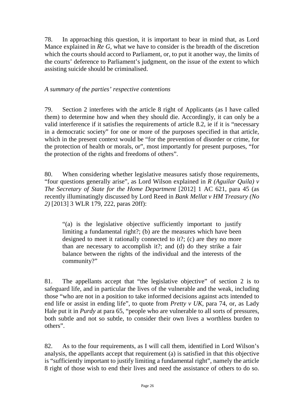78. In approaching this question, it is important to bear in mind that, as Lord Mance explained in *Re G*, what we have to consider is the breadth of the discretion which the courts should accord to Parliament, or, to put it another way, the limits of the courts' deference to Parliament's judgment, on the issue of the extent to which assisting suicide should be criminalised.

#### *A summary of the parties' respective contentions*

79. Section 2 interferes with the article 8 right of Applicants (as I have called them) to determine how and when they should die. Accordingly, it can only be a valid interference if it satisfies the requirements of article 8.2, ie if it is "necessary in a democratic society" for one or more of the purposes specified in that article, which in the present context would be "for the prevention of disorder or crime, for the protection of health or morals, or", most importantly for present purposes, "for the protection of the rights and freedoms of others".

80. When considering whether legislative measures satisfy those requirements, "four questions generally arise", as Lord Wilson explained in *R (Aguilar Quila) v The Secretary of State for the Home Department* [2012] 1 AC 621, para 45 (as recently illuminatingly discussed by Lord Reed in *Bank Mellat v HM Treasury (No 2)* [2013] 3 WLR 179, 222, paras 20ff):

"(a) is the legislative objective sufficiently important to justify limiting a fundamental right?; (b) are the measures which have been designed to meet it rationally connected to it?; (c) are they no more than are necessary to accomplish it?; and (d) do they strike a fair balance between the rights of the individual and the interests of the community?"

81. The appellants accept that "the legislative objective" of section 2 is to safeguard life, and in particular the lives of the vulnerable and the weak, including those "who are not in a position to take informed decisions against acts intended to end life or assist in ending life", to quote from *Pretty v UK*, para 74, or, as Lady Hale put it in *Purdy* at para 65, "people who are vulnerable to all sorts of pressures, both subtle and not so subtle, to consider their own lives a worthless burden to others".

82. As to the four requirements, as I will call them, identified in Lord Wilson's analysis, the appellants accept that requirement (a) is satisfied in that this objective is "sufficiently important to justify limiting a fundamental right", namely the article 8 right of those wish to end their lives and need the assistance of others to do so.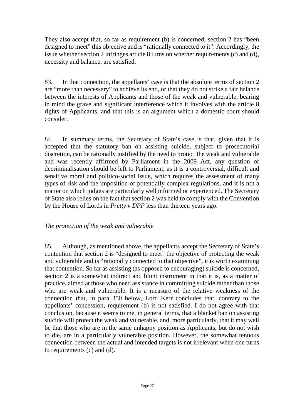They also accept that, so far as requirement (b) is concerned, section 2 has "been designed to meet" this objective and is "rationally connected to it". Accordingly, the issue whether section 2 infringes article 8 turns on whether requirements (c) and (d), necessity and balance, are satisfied.

83. In that connection, the appellants' case is that the absolute terms of section 2 are "more than necessary" to achieve its end, or that they do not strike a fair balance between the interests of Applicants and those of the weak and vulnerable, bearing in mind the grave and significant interference which it involves with the article 8 rights of Applicants, and that this is an argument which a domestic court should consider.

84. In summary terms, the Secretary of State's case is that, given that it is accepted that the statutory ban on assisting suicide, subject to prosecutorial discretion, can be rationally justified by the need to protect the weak and vulnerable and was recently affirmed by Parliament in the 2009 Act, any question of decriminalisation should be left to Parliament, as it is a controversial, difficult and sensitive moral and politico-social issue, which requires the assessment of many types of risk and the imposition of potentially complex regulations, and it is not a matter on which judges are particularly well informed or experienced. The Secretary of State also relies on the fact that section 2 was held to comply with the Convention by the House of Lords in *Pretty v DPP* less than thirteen years ago.

#### *The protection of the weak and vulnerable*

85. Although, as mentioned above, the appellants accept the Secretary of State's contention that section 2 is "designed to meet" the objective of protecting the weak and vulnerable and is "rationally connected to that objective", it is worth examining that contention. So far as assisting (as opposed to encouraging) suicide is concerned, section 2 is a somewhat indirect and blunt instrument in that it is, as a matter of practice, aimed at those who need assistance in committing suicide rather than those who are weak and vulnerable. It is a measure of the relative weakness of the connection that, in para 350 below, Lord Kerr concludes that, contrary to the appellants' concession, requirement (b) is not satisfied. I do not agree with that conclusion, because it seems to me, in general terms, that a blanket ban on assisting suicide will protect the weak and vulnerable, and, more particularly, that it may well be that those who are in the same unhappy position as Applicants, but do not wish to die, are in a particularly vulnerable position. However, the somewhat tenuous connection between the actual and intended targets is not irrelevant when one turns to requirements (c) and (d).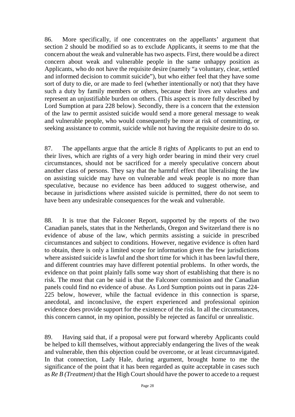86. More specifically, if one concentrates on the appellants' argument that section 2 should be modified so as to exclude Applicants, it seems to me that the concern about the weak and vulnerable has two aspects. First, there would be a direct concern about weak and vulnerable people in the same unhappy position as Applicants, who do not have the requisite desire (namely "a voluntary, clear, settled and informed decision to commit suicide"), but who either feel that they have some sort of duty to die, or are made to feel (whether intentionally or not) that they have such a duty by family members or others, because their lives are valueless and represent an unjustifiable burden on others. (This aspect is more fully described by Lord Sumption at para 228 below). Secondly, there is a concern that the extension of the law to permit assisted suicide would send a more general message to weak and vulnerable people, who would consequently be more at risk of committing, or seeking assistance to commit, suicide while not having the requisite desire to do so.

87. The appellants argue that the article 8 rights of Applicants to put an end to their lives, which are rights of a very high order bearing in mind their very cruel circumstances, should not be sacrificed for a merely speculative concern about another class of persons. They say that the harmful effect that liberalising the law on assisting suicide may have on vulnerable and weak people is no more than speculative, because no evidence has been adduced to suggest otherwise, and because in jurisdictions where assisted suicide is permitted, there do not seem to have been any undesirable consequences for the weak and vulnerable.

88. It is true that the Falconer Report, supported by the reports of the two Canadian panels, states that in the Netherlands, Oregon and Switzerland there is no evidence of abuse of the law, which permits assisting a suicide in prescribed circumstances and subject to conditions. However, negative evidence is often hard to obtain, there is only a limited scope for information given the few jurisdictions where assisted suicide is lawful and the short time for which it has been lawful there, and different countries may have different potential problems. In other words, the evidence on that point plainly falls some way short of establishing that there is no risk. The most that can be said is that the Falconer commission and the Canadian panels could find no evidence of abuse. As Lord Sumption points out in paras 224- 225 below, however, while the factual evidence in this connection is sparse, anecdotal, and inconclusive, the expert experienced and professional opinion evidence does provide support for the existence of the risk. In all the circumstances, this concern cannot, in my opinion, possibly be rejected as fanciful or unrealistic.

89. Having said that, if a proposal were put forward whereby Applicants could be helped to kill themselves, without appreciably endangering the lives of the weak and vulnerable, then this objection could be overcome, or at least circumnavigated. In that connection, Lady Hale, during argument, brought home to me the significance of the point that it has been regarded as quite acceptable in cases such as *Re B (Treatment)* that the High Court should have the power to accede to a request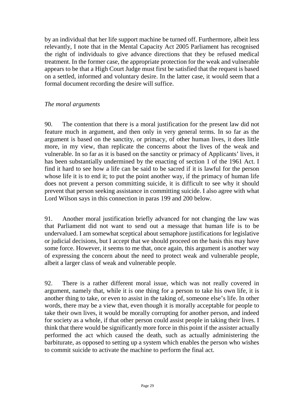by an individual that her life support machine be turned off. Furthermore, albeit less relevantly, I note that in the Mental Capacity Act 2005 Parliament has recognised the right of individuals to give advance directions that they be refused medical treatment. In the former case, the appropriate protection for the weak and vulnerable appears to be that a High Court Judge must first be satisfied that the request is based on a settled, informed and voluntary desire. In the latter case, it would seem that a formal document recording the desire will suffice.

#### *The moral arguments*

90. The contention that there is a moral justification for the present law did not feature much in argument, and then only in very general terms. In so far as the argument is based on the sanctity, or primacy, of other human lives, it does little more, in my view, than replicate the concerns about the lives of the weak and vulnerable. In so far as it is based on the sanctity or primacy of Applicants' lives, it has been substantially undermined by the enacting of section 1 of the 1961 Act. I find it hard to see how a life can be said to be sacred if it is lawful for the person whose life it is to end it; to put the point another way, if the primacy of human life does not prevent a person committing suicide, it is difficult to see why it should prevent that person seeking assistance in committing suicide. I also agree with what Lord Wilson says in this connection in paras 199 and 200 below.

91. Another moral justification briefly advanced for not changing the law was that Parliament did not want to send out a message that human life is to be undervalued. I am somewhat sceptical about semaphore justifications for legislative or judicial decisions, but I accept that we should proceed on the basis this may have some force. However, it seems to me that, once again, this argument is another way of expressing the concern about the need to protect weak and vulnerable people, albeit a larger class of weak and vulnerable people.

92. There is a rather different moral issue, which was not really covered in argument, namely that, while it is one thing for a person to take his own life, it is another thing to take, or even to assist in the taking of, someone else's life. In other words, there may be a view that, even though it is morally acceptable for people to take their own lives, it would be morally corrupting for another person, and indeed for society as a whole, if that other person could assist people in taking their lives. I think that there would be significantly more force in this point if the assister actually performed the act which caused the death, such as actually administering the barbiturate, as opposed to setting up a system which enables the person who wishes to commit suicide to activate the machine to perform the final act.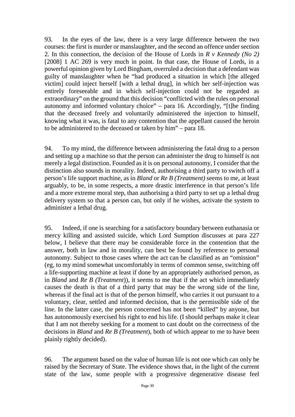93. In the eyes of the law, there is a very large difference between the two courses: the first is murder or manslaughter, and the second an offence under section 2. In this connection, the decision of the House of Lords in *R v Kennedy (No 2)*  [2008] 1 AC 269 is very much in point. In that case, the House of Lords, in a powerful opinion given by Lord Bingham, overruled a decision that a defendant was guilty of manslaughter when he "had produced a situation in which [the alleged victim] could inject herself [with a lethal drug], in which her self-injection was entirely foreseeable and in which self-injection could not be regarded as extraordinary" on the ground that this decision "conflicted with the rules on personal autonomy and informed voluntary choice" – para 16. Accordingly, "[t]he finding that the deceased freely and voluntarily administered the injection to himself, knowing what it was, is fatal to any contention that the appellant caused the heroin to be administered to the deceased or taken by him" – para 18.

94. To my mind, the difference between administering the fatal drug to a person and setting up a machine so that the person can administer the drug to himself is not merely a legal distinction. Founded as it is on personal autonomy, I consider that the distinction also sounds in morality. Indeed, authorising a third party to switch off a person's life support machine, as in *Bland* or *Re B (Treatment)* seems to me, at least arguably, to be, in some respects, a more drastic interference in that person's life and a more extreme moral step, than authorising a third party to set up a lethal drug delivery system so that a person can, but only if he wishes, activate the system to administer a lethal drug.

95. Indeed, if one is searching for a satisfactory boundary between euthanasia or mercy killing and assisted suicide, which Lord Sumption discusses at para 227 below, I believe that there may be considerable force in the contention that the answer, both in law and in morality, can best be found by reference to personal autonomy. Subject to those cases where the act can be classified as an "omission" (eg, to my mind somewhat uncomfortably in terms of common sense, switching off a life-supporting machine at least if done by an appropriately authorised person, as in *Bland* and *Re B (Treatment*)), it seems to me that if the act which immediately causes the death is that of a third party that may be the wrong side of the line, whereas if the final act is that of the person himself, who carries it out pursuant to a voluntary, clear, settled and informed decision, that is the permissible side of the line. In the latter case, the person concerned has not been "killed" by anyone, but has autonomously exercised his right to end his life. (I should perhaps make it clear that I am not thereby seeking for a moment to cast doubt on the correctness of the decisions in *Bland* and *Re B (Treatment*), both of which appear to me to have been plainly rightly decided).

96. The argument based on the value of human life is not one which can only be raised by the Secretary of State. The evidence shows that, in the light of the current state of the law, some people with a progressive degenerative disease feel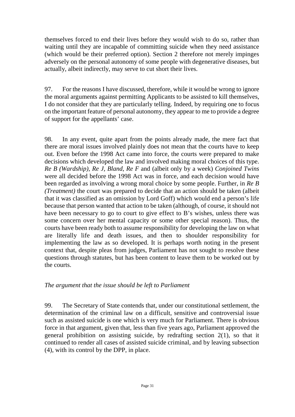themselves forced to end their lives before they would wish to do so, rather than waiting until they are incapable of committing suicide when they need assistance (which would be their preferred option). Section 2 therefore not merely impinges adversely on the personal autonomy of some people with degenerative diseases, but actually, albeit indirectly, may serve to cut short their lives.

97. For the reasons I have discussed, therefore, while it would be wrong to ignore the moral arguments against permitting Applicants to be assisted to kill themselves, I do not consider that they are particularly telling. Indeed, by requiring one to focus on the important feature of personal autonomy, they appear to me to provide a degree of support for the appellants' case.

98. In any event, quite apart from the points already made, the mere fact that there are moral issues involved plainly does not mean that the courts have to keep out. Even before the 1998 Act came into force, the courts were prepared to make decisions which developed the law and involved making moral choices of this type. *Re B (Wardship), Re J, Bland*, *Re F* and (albeit only by a week) *Conjoined Twins*  were all decided before the 1998 Act was in force, and each decision would have been regarded as involving a wrong moral choice by some people. Further, in *Re B (Treatment)* the court was prepared to decide that an action should be taken (albeit that it was classified as an omission by Lord Goff) which would end a person's life because that person wanted that action to be taken (although, of course, it should not have been necessary to go to court to give effect to B's wishes, unless there was some concern over her mental capacity or some other special reason). Thus, the courts have been ready both to assume responsibility for developing the law on what are literally life and death issues, and then to shoulder responsibility for implementing the law as so developed. It is perhaps worth noting in the present context that, despite pleas from judges, Parliament has not sought to resolve these questions through statutes, but has been content to leave them to be worked out by the courts.

#### *The argument that the issue should be left to Parliament*

99. The Secretary of State contends that, under our constitutional settlement, the determination of the criminal law on a difficult, sensitive and controversial issue such as assisted suicide is one which is very much for Parliament. There is obvious force in that argument, given that, less than five years ago, Parliament approved the general prohibition on assisting suicide, by redrafting section 2(1), so that it continued to render all cases of assisted suicide criminal, and by leaving subsection (4), with its control by the DPP, in place.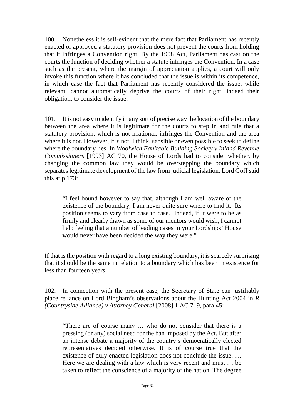100. Nonetheless it is self-evident that the mere fact that Parliament has recently enacted or approved a statutory provision does not prevent the courts from holding that it infringes a Convention right. By the 1998 Act, Parliament has cast on the courts the function of deciding whether a statute infringes the Convention. In a case such as the present, where the margin of appreciation applies, a court will only invoke this function where it has concluded that the issue is within its competence, in which case the fact that Parliament has recently considered the issue, while relevant, cannot automatically deprive the courts of their right, indeed their obligation, to consider the issue.

101. It is not easy to identify in any sort of precise way the location of the boundary between the area where it is legitimate for the courts to step in and rule that a statutory provision, which is not irrational, infringes the Convention and the area where it is not. However, it is not, I think, sensible or even possible to seek to define where the boundary lies. In *Woolwich Equitable Building Society v Inland Revenue Commissioners* [1993] AC 70, the House of Lords had to consider whether, by changing the common law they would be overstepping the boundary which separates legitimate development of the law from judicial legislation. Lord Goff said this at p 173:

"I feel bound however to say that, although I am well aware of the existence of the boundary, I am never quite sure where to find it. Its position seems to vary from case to case. Indeed, if it were to be as firmly and clearly drawn as some of our mentors would wish, I cannot help feeling that a number of leading cases in your Lordships' House would never have been decided the way they were."

If that is the position with regard to a long existing boundary, it is scarcely surprising that it should be the same in relation to a boundary which has been in existence for less than fourteen years.

102. In connection with the present case, the Secretary of State can justifiably place reliance on Lord Bingham's observations about the Hunting Act 2004 in *R (Countryside Alliance) v Attorney General* [2008] 1 AC 719, para 45:

"There are of course many … who do not consider that there is a pressing (or any) social need for the ban imposed by the Act. But after an intense debate a majority of the country's democratically elected representatives decided otherwise. It is of course true that the existence of duly enacted legislation does not conclude the issue. … Here we are dealing with a law which is very recent and must … be taken to reflect the conscience of a majority of the nation. The degree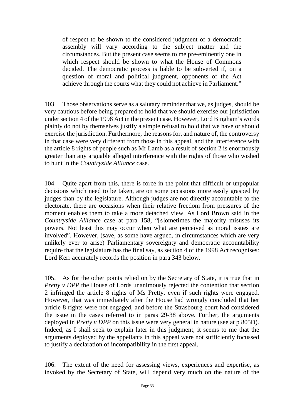of respect to be shown to the considered judgment of a democratic assembly will vary according to the subject matter and the circumstances. But the present case seems to me pre-eminently one in which respect should be shown to what the House of Commons decided. The democratic process is liable to be subverted if, on a question of moral and political judgment, opponents of the Act achieve through the courts what they could not achieve in Parliament."

103. Those observations serve as a salutary reminder that we, as judges, should be very cautious before being prepared to hold that we should exercise our jurisdiction under section 4 of the 1998 Act in the present case. However, Lord Bingham's words plainly do not by themselves justify a simple refusal to hold that we have or should exercise the jurisdiction. Furthermore, the reasons for, and nature of, the controversy in that case were very different from those in this appeal, and the interference with the article 8 rights of people such as Mr Lamb as a result of section 2 is enormously greater than any arguable alleged interference with the rights of those who wished to hunt in the *Countryside Alliance* case.

104. Quite apart from this, there is force in the point that difficult or unpopular decisions which need to be taken, are on some occasions more easily grasped by judges than by the legislature. Although judges are not directly accountable to the electorate, there are occasions when their relative freedom from pressures of the moment enables them to take a more detached view. As Lord Brown said in the *Countryside Alliance* case at para 158, "[s]ometimes the majority misuses its powers. Not least this may occur when what are perceived as moral issues are involved". However, (save, as some have argued, in circumstances which are very unlikely ever to arise) Parliamentary sovereignty and democratic accountability require that the legislature has the final say, as section 4 of the 1998 Act recognises: Lord Kerr accurately records the position in para 343 below.

105. As for the other points relied on by the Secretary of State, it is true that in *Pretty v DPP* the House of Lords unanimously rejected the contention that section 2 infringed the article 8 rights of Ms Pretty, even if such rights were engaged. However, that was immediately after the House had wrongly concluded that her article 8 rights were not engaged, and before the Strasbourg court had considered the issue in the cases referred to in paras 29-38 above. Further, the arguments deployed in *Pretty v DPP* on this issue were very general in nature (see at p 805D). Indeed, as I shall seek to explain later in this judgment, it seems to me that the arguments deployed by the appellants in this appeal were not sufficiently focussed to justify a declaration of incompatibility in the first appeal.

106. The extent of the need for assessing views, experiences and expertise, as invoked by the Secretary of State, will depend very much on the nature of the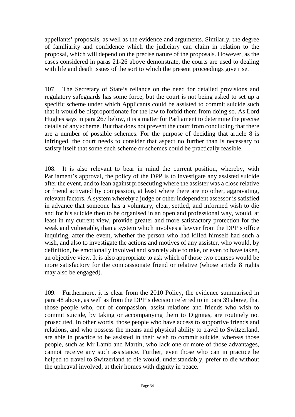appellants' proposals, as well as the evidence and arguments. Similarly, the degree of familiarity and confidence which the judiciary can claim in relation to the proposal, which will depend on the precise nature of the proposals. However, as the cases considered in paras 21-26 above demonstrate, the courts are used to dealing with life and death issues of the sort to which the present proceedings give rise.

107. The Secretary of State's reliance on the need for detailed provisions and regulatory safeguards has some force, but the court is not being asked to set up a specific scheme under which Applicants could be assisted to commit suicide such that it would be disproportionate for the law to forbid them from doing so. As Lord Hughes says in para 267 below, it is a matter for Parliament to determine the precise details of any scheme. But that does not prevent the court from concluding that there are a number of possible schemes. For the purpose of deciding that article 8 is infringed, the court needs to consider that aspect no further than is necessary to satisfy itself that some such scheme or schemes could be practically feasible.

108. It is also relevant to bear in mind the current position, whereby, with Parliament's approval, the policy of the DPP is to investigate any assisted suicide after the event, and to lean against prosecuting where the assister was a close relative or friend activated by compassion, at least where there are no other, aggravating, relevant factors. A system whereby a judge or other independent assessor is satisfied in advance that someone has a voluntary, clear, settled, and informed wish to die and for his suicide then to be organised in an open and professional way, would, at least in my current view, provide greater and more satisfactory protection for the weak and vulnerable, than a system which involves a lawyer from the DPP's office inquiring, after the event, whether the person who had killed himself had such a wish, and also to investigate the actions and motives of any assister, who would, by definition, be emotionally involved and scarcely able to take, or even to have taken, an objective view. It is also appropriate to ask which of those two courses would be more satisfactory for the compassionate friend or relative (whose article 8 rights may also be engaged).

109. Furthermore, it is clear from the 2010 Policy, the evidence summarised in para 48 above, as well as from the DPP's decision referred to in para 39 above, that those people who, out of compassion, assist relations and friends who wish to commit suicide, by taking or accompanying them to Dignitas, are routinely not prosecuted. In other words, those people who have access to supportive friends and relations, and who possess the means and physical ability to travel to Switzerland, are able in practice to be assisted in their wish to commit suicide, whereas those people, such as Mr Lamb and Martin, who lack one or more of those advantages, cannot receive any such assistance. Further, even those who can in practice be helped to travel to Switzerland to die would, understandably, prefer to die without the upheaval involved, at their homes with dignity in peace.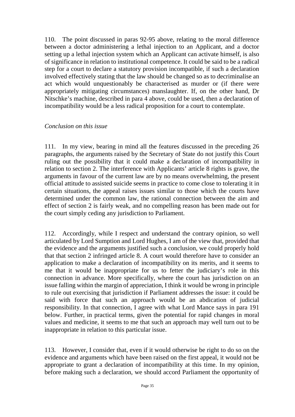110. The point discussed in paras 92-95 above, relating to the moral difference between a doctor administering a lethal injection to an Applicant, and a doctor setting up a lethal injection system which an Applicant can activate himself, is also of significance in relation to institutional competence. It could be said to be a radical step for a court to declare a statutory provision incompatible, if such a declaration involved effectively stating that the law should be changed so as to decriminalise an act which would unquestionably be characterised as murder or (if there were appropriately mitigating circumstances) manslaughter. If, on the other hand, Dr Nitschke's machine, described in para 4 above, could be used, then a declaration of incompatibility would be a less radical proposition for a court to contemplate.

#### *Conclusion on this issue*

111. In my view, bearing in mind all the features discussed in the preceding 26 paragraphs, the arguments raised by the Secretary of State do not justify this Court ruling out the possibility that it could make a declaration of incompatibility in relation to section 2. The interference with Applicants' article 8 rights is grave, the arguments in favour of the current law are by no means overwhelming, the present official attitude to assisted suicide seems in practice to come close to tolerating it in certain situations, the appeal raises issues similar to those which the courts have determined under the common law, the rational connection between the aim and effect of section 2 is fairly weak, and no compelling reason has been made out for the court simply ceding any jurisdiction to Parliament.

112. Accordingly, while I respect and understand the contrary opinion, so well articulated by Lord Sumption and Lord Hughes, I am of the view that, provided that the evidence and the arguments justified such a conclusion, we could properly hold that that section 2 infringed article 8. A court would therefore have to consider an application to make a declaration of incompatibility on its merits, and it seems to me that it would be inappropriate for us to fetter the judiciary's role in this connection in advance. More specifically, where the court has jurisdiction on an issue falling within the margin of appreciation, I think it would be wrong in principle to rule out exercising that jurisdiction if Parliament addresses the issue: it could be said with force that such an approach would be an abdication of judicial responsibility. In that connection, I agree with what Lord Mance says in para 191 below. Further, in practical terms, given the potential for rapid changes in moral values and medicine, it seems to me that such an approach may well turn out to be inappropriate in relation to this particular issue.

113. However, I consider that, even if it would otherwise be right to do so on the evidence and arguments which have been raised on the first appeal, it would not be appropriate to grant a declaration of incompatibility at this time. In my opinion, before making such a declaration, we should accord Parliament the opportunity of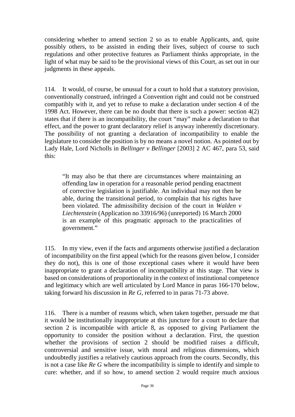considering whether to amend section 2 so as to enable Applicants, and, quite possibly others, to be assisted in ending their lives, subject of course to such regulations and other protective features as Parliament thinks appropriate, in the light of what may be said to be the provisional views of this Court, as set out in our judgments in these appeals.

114. It would, of course, be unusual for a court to hold that a statutory provision, conventionally construed, infringed a Convention right and could not be construed compatibly with it, and yet to refuse to make a declaration under section 4 of the 1998 Act. However, there can be no doubt that there is such a power: section 4(2) states that if there is an incompatibility, the court "may" make a declaration to that effect, and the power to grant declaratory relief is anyway inherently discretionary. The possibility of not granting a declaration of incompatibility to enable the legislature to consider the position is by no means a novel notion. As pointed out by Lady Hale, Lord Nicholls in *Bellinger v Bellinger* [2003] 2 AC 467, para 53, said this:

"It may also be that there are circumstances where maintaining an offending law in operation for a reasonable period pending enactment of corrective legislation is justifiable. An individual may not then be able, during the transitional period, to complain that his rights have been violated. The admissibility decision of the court in *Walden v Liechtenstein* (Application no 33916/96) (unreported) 16 March 2000 is an example of this pragmatic approach to the practicalities of government."

115. In my view, even if the facts and arguments otherwise justified a declaration of incompatibility on the first appeal (which for the reasons given below, I consider they do not), this is one of those exceptional cases where it would have been inappropriate to grant a declaration of incompatibility at this stage. That view is based on considerations of proportionality in the context of institutional competence and legitimacy which are well articulated by Lord Mance in paras 166-170 below, taking forward his discussion in *Re G*, referred to in paras 71-73 above.

116. There is a number of reasons which, when taken together, persuade me that it would be institutionally inappropriate at this juncture for a court to declare that section 2 is incompatible with article 8, as opposed to giving Parliament the opportunity to consider the position without a declaration. First, the question whether the provisions of section 2 should be modified raises a difficult, controversial and sensitive issue, with moral and religious dimensions, which undoubtedly justifies a relatively cautious approach from the courts. Secondly, this is not a case like *Re G* where the incompatibility is simple to identify and simple to cure: whether, and if so how, to amend section 2 would require much anxious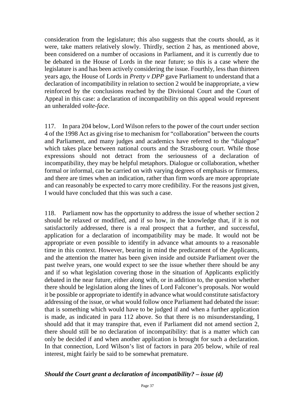consideration from the legislature; this also suggests that the courts should, as it were, take matters relatively slowly. Thirdly, section 2 has, as mentioned above, been considered on a number of occasions in Parliament, and it is currently due to be debated in the House of Lords in the near future; so this is a case where the legislature is and has been actively considering the issue. Fourthly, less than thirteen years ago, the House of Lords in *Pretty v DPP* gave Parliament to understand that a declaration of incompatibility in relation to section 2 would be inappropriate, a view reinforced by the conclusions reached by the Divisional Court and the Court of Appeal in this case: a declaration of incompatibility on this appeal would represent an unheralded *volte-face*.

117. In para 204 below, Lord Wilson refers to the power of the court under section 4 of the 1998 Act as giving rise to mechanism for "collaboration" between the courts and Parliament, and many judges and academics have referred to the "dialogue" which takes place between national courts and the Strasbourg court. While those expressions should not detract from the seriousness of a declaration of incompatibility, they may be helpful metaphors. Dialogue or collaboration, whether formal or informal, can be carried on with varying degrees of emphasis or firmness, and there are times when an indication, rather than firm words are more appropriate and can reasonably be expected to carry more credibility. For the reasons just given, I would have concluded that this was such a case.

118. Parliament now has the opportunity to address the issue of whether section 2 should be relaxed or modified, and if so how, in the knowledge that, if it is not satisfactorily addressed, there is a real prospect that a further, and successful, application for a declaration of incompatibility may be made. It would not be appropriate or even possible to identify in advance what amounts to a reasonable time in this context. However, bearing in mind the predicament of the Applicants, and the attention the matter has been given inside and outside Parliament over the past twelve years, one would expect to see the issue whether there should be any and if so what legislation covering those in the situation of Applicants explicitly debated in the near future, either along with, or in addition to, the question whether there should be legislation along the lines of Lord Falconer's proposals. Nor would it be possible or appropriate to identify in advance what would constitute satisfactory addressing of the issue, or what would follow once Parliament had debated the issue: that is something which would have to be judged if and when a further application is made, as indicated in para 112 above. So that there is no misunderstanding, I should add that it may transpire that, even if Parliament did not amend section 2, there should still be no declaration of incompatibility: that is a matter which can only be decided if and when another application is brought for such a declaration. In that connection, Lord Wilson's list of factors in para 205 below, while of real interest, might fairly be said to be somewhat premature.

#### *Should the Court grant a declaration of incompatibility? – issue (d)*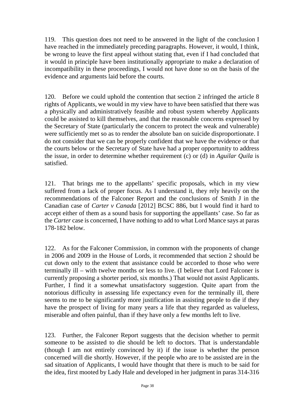119. This question does not need to be answered in the light of the conclusion I have reached in the immediately preceding paragraphs. However, it would, I think, be wrong to leave the first appeal without stating that, even if I had concluded that it would in principle have been institutionally appropriate to make a declaration of incompatibility in these proceedings, I would not have done so on the basis of the evidence and arguments laid before the courts.

120. Before we could uphold the contention that section 2 infringed the article 8 rights of Applicants, we would in my view have to have been satisfied that there was a physically and administratively feasible and robust system whereby Applicants could be assisted to kill themselves, and that the reasonable concerns expressed by the Secretary of State (particularly the concern to protect the weak and vulnerable) were sufficiently met so as to render the absolute ban on suicide disproportionate. I do not consider that we can be properly confident that we have the evidence or that the courts below or the Secretary of State have had a proper opportunity to address the issue, in order to determine whether requirement (c) or (d) in *Aguilar Quila* is satisfied.

121. That brings me to the appellants' specific proposals, which in my view suffered from a lack of proper focus. As I understand it, they rely heavily on the recommendations of the Falconer Report and the conclusions of Smith J in the Canadian case of *Carter v Canada* [2012] BCSC 886, but I would find it hard to accept either of them as a sound basis for supporting the appellants' case. So far as the *Carter* case is concerned, I have nothing to add to what Lord Mance says at paras 178-182 below.

122. As for the Falconer Commission, in common with the proponents of change in 2006 and 2009 in the House of Lords, it recommended that section 2 should be cut down only to the extent that assistance could be accorded to those who were terminally ill – with twelve months or less to live. (I believe that Lord Falconer is currently proposing a shorter period, six months.) That would not assist Applicants. Further, I find it a somewhat unsatisfactory suggestion. Quite apart from the notorious difficulty in assessing life expectancy even for the terminally ill, there seems to me to be significantly more justification in assisting people to die if they have the prospect of living for many years a life that they regarded as valueless, miserable and often painful, than if they have only a few months left to live.

123. Further, the Falconer Report suggests that the decision whether to permit someone to be assisted to die should be left to doctors. That is understandable (though I am not entirely convinced by it) if the issue is whether the person concerned will die shortly. However, if the people who are to be assisted are in the sad situation of Applicants, I would have thought that there is much to be said for the idea, first mooted by Lady Hale and developed in her judgment in paras 314-316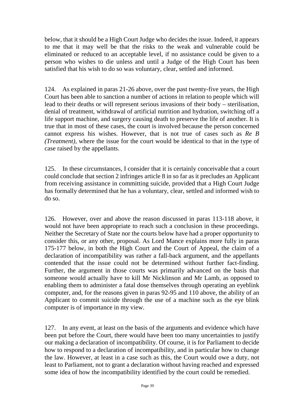below, that it should be a High Court Judge who decides the issue. Indeed, it appears to me that it may well be that the risks to the weak and vulnerable could be eliminated or reduced to an acceptable level, if no assistance could be given to a person who wishes to die unless and until a Judge of the High Court has been satisfied that his wish to do so was voluntary, clear, settled and informed.

124. As explained in paras 21-26 above, over the past twenty-five years, the High Court has been able to sanction a number of actions in relation to people which will lead to their deaths or will represent serious invasions of their body – sterilisation, denial of treatment, withdrawal of artificial nutrition and hydration, switching off a life support machine, and surgery causing death to preserve the life of another. It is true that in most of these cases, the court is involved because the person concerned cannot express his wishes. However, that is not true of cases such as *Re B (Treatment)*, where the issue for the court would be identical to that in the type of case raised by the appellants.

125. In these circumstances, I consider that it is certainly conceivable that a court could conclude that section 2 infringes article 8 in so far as it precludes an Applicant from receiving assistance in committing suicide, provided that a High Court Judge has formally determined that he has a voluntary, clear, settled and informed wish to do so.

126. However, over and above the reason discussed in paras 113-118 above, it would not have been appropriate to reach such a conclusion in these proceedings. Neither the Secretary of State nor the courts below have had a proper opportunity to consider this, or any other, proposal. As Lord Mance explains more fully in paras 175-177 below, in both the High Court and the Court of Appeal, the claim of a declaration of incompatibility was rather a fall-back argument, and the appellants contended that the issue could not be determined without further fact-finding. Further, the argument in those courts was primarily advanced on the basis that someone would actually have to kill Mr Nicklinson and Mr Lamb, as opposed to enabling them to administer a fatal dose themselves through operating an eyeblink computer, and, for the reasons given in paras 92-95 and 110 above, the ability of an Applicant to commit suicide through the use of a machine such as the eye blink computer is of importance in my view.

127. In any event, at least on the basis of the arguments and evidence which have been put before the Court, there would have been too many uncertainties to justify our making a declaration of incompatibility. Of course, it is for Parliament to decide how to respond to a declaration of incompatibility, and in particular how to change the law. However, at least in a case such as this, the Court would owe a duty, not least to Parliament, not to grant a declaration without having reached and expressed some idea of how the incompatibility identified by the court could be remedied.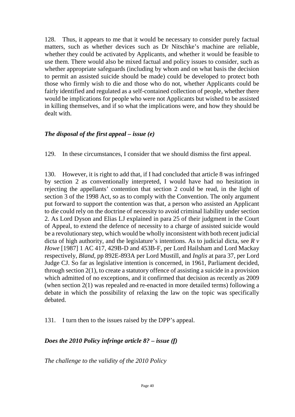128. Thus, it appears to me that it would be necessary to consider purely factual matters, such as whether devices such as Dr Nitschke's machine are reliable, whether they could be activated by Applicants, and whether it would be feasible to use them. There would also be mixed factual and policy issues to consider, such as whether appropriate safeguards (including by whom and on what basis the decision to permit an assisted suicide should be made) could be developed to protect both those who firmly wish to die and those who do not, whether Applicants could be fairly identified and regulated as a self-contained collection of people, whether there would be implications for people who were not Applicants but wished to be assisted in killing themselves, and if so what the implications were, and how they should be dealt with.

## *The disposal of the first appeal – issue (e)*

129. In these circumstances, I consider that we should dismiss the first appeal.

130. However, it is right to add that, if I had concluded that article 8 was infringed by section 2 as conventionally interpreted, I would have had no hesitation in rejecting the appellants' contention that section 2 could be read, in the light of section 3 of the 1998 Act, so as to comply with the Convention. The only argument put forward to support the contention was that, a person who assisted an Applicant to die could rely on the doctrine of necessity to avoid criminal liability under section 2. As Lord Dyson and Elias LJ explained in para 25 of their judgment in the Court of Appeal, to extend the defence of necessity to a charge of assisted suicide would be a revolutionary step, which would be wholly inconsistent with both recent judicial dicta of high authority, and the legislature's intentions. As to judicial dicta, see *R v Howe* [1987] 1 AC 417, 429B-D and 453B-F, per Lord Hailsham and Lord Mackay respectively, *Bland*, pp 892E-893A per Lord Mustill, and *Inglis* at para 37, per Lord Judge CJ. So far as legislative intention is concerned, in 1961, Parliament decided, through section 2(1), to create a statutory offence of assisting a suicide in a provision which admitted of no exceptions, and it confirmed that decision as recently as 2009 (when section 2(1) was repealed and re-enacted in more detailed terms) following a debate in which the possibility of relaxing the law on the topic was specifically debated.

131. I turn then to the issues raised by the DPP's appeal.

## *Does the 2010 Policy infringe article 8? – issue (f)*

*The challenge to the validity of the 2010 Policy*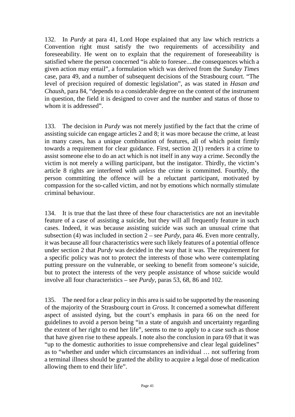132. In *Purdy* at para 41, Lord Hope explained that any law which restricts a Convention right must satisfy the two requirements of accessibility and foreseeability. He went on to explain that the requirement of foreseeability is satisfied where the person concerned "is able to foresee....the consequences which a given action may entail", a formulation which was derived from the *Sunday Times* case, para 49, and a number of subsequent decisions of the Strasbourg court. "The level of precision required of domestic legislation", as was stated in *Hasan and Chaush*, para 84, "depends to a considerable degree on the content of the instrument in question, the field it is designed to cover and the number and status of those to whom it is addressed".

133. The decision in *Purdy* was not merely justified by the fact that the crime of assisting suicide can engage articles 2 and 8; it was more because the crime, at least in many cases, has a unique combination of features, all of which point firmly towards a requirement for clear guidance. First, section 2(1) renders it a crime to assist someone else to do an act which is not itself in any way a crime. Secondly the victim is not merely a willing participant, but the instigator. Thirdly, the victim's article 8 rights are interfered with *unless* the crime is committed. Fourthly, the person committing the offence will be a reluctant participant, motivated by compassion for the so-called victim, and not by emotions which normally stimulate criminal behaviour.

134. It is true that the last three of these four characteristics are not an inevitable feature of a case of assisting a suicide, but they will all frequently feature in such cases. Indeed, it was because assisting suicide was such an unusual crime that subsection (4) was included in section 2 – see *Purdy*, para 46. Even more centrally, it was because all four characteristics were such likely features of a potential offence under section 2 that *Purdy* was decided in the way that it was. The requirement for a specific policy was not to protect the interests of those who were contemplating putting pressure on the vulnerable, or seeking to benefit from someone's suicide, but to protect the interests of the very people assistance of whose suicide would involve all four characteristics – see *Purdy*, paras 53, 68, 86 and 102.

135. The need for a clear policy in this area is said to be supported by the reasoning of the majority of the Strasbourg court in *Gross*. It concerned a somewhat different aspect of assisted dying, but the court's emphasis in para 66 on the need for guidelines to avoid a person being "in a state of anguish and uncertainty regarding the extent of her right to end her life", seems to me to apply to a case such as those that have given rise to these appeals. I note also the conclusion in para 69 that it was "up to the domestic authorities to issue comprehensive and clear legal guidelines" as to "whether and under which circumstances an individual … not suffering from a terminal illness should be granted the ability to acquire a legal dose of medication allowing them to end their life".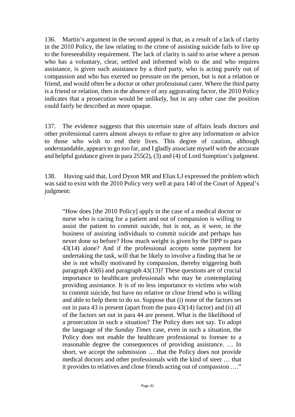136. Martin's argument in the second appeal is that, as a result of a lack of clarity in the 2010 Policy, the law relating to the crime of assisting suicide fails to live up to the foreseeability requirement. The lack of clarity is said to arise where a person who has a voluntary, clear, settled and informed wish to die and who requires assistance, is given such assistance by a third party, who is acting purely out of compassion and who has exerted no pressure on the person, but is not a relation or friend, and would often be a doctor or other professional carer. Where the third party is a friend or relation, then in the absence of any aggravating factor, the 2010 Policy indicates that a prosecution would be unlikely, but in any other case the position could fairly be described as more opaque.

137. The evidence suggests that this uncertain state of affairs leads doctors and other professional carers almost always to refuse to give any information or advice to those who wish to end their lives. This degree of caution, although understandable, appears to go too far, and I gladly associate myself with the accurate and helpful guidance given in para 255(2), (3) and (4) of Lord Sumption's judgment.

138. Having said that, Lord Dyson MR and Elias LJ expressed the problem which was said to exist with the 2010 Policy very well at para 140 of the Court of Appeal's judgment:

"How does [the 2010 Policy] apply in the case of a medical doctor or nurse who is caring for a patient and out of compassion is willing to assist the patient to commit suicide, but is not, as it were, in the business of assisting individuals to commit suicide and perhaps has never done so before? How much weight is given by the DPP to para 43(14) alone? And if the professional accepts some payment for undertaking the task, will that be likely to involve a finding that he or she is not wholly motivated by compassion, thereby triggering both paragraph 43(6) and paragraph 43(13)? These questions are of crucial importance to healthcare professionals who may be contemplating providing assistance. It is of no less importance to victims who wish to commit suicide, but have no relative or close friend who is willing and able to help them to do so. Suppose that (i) none of the factors set out in para 43 is present (apart from the para 43(14) factor) and (ii) all of the factors set out in para 44 are present. What is the likelihood of a prosecution in such a situation? The Policy does not say. To adopt the language of the *Sunday Times* case, even in such a situation, the Policy does not enable the healthcare professional to foresee to a reasonable degree the consequences of providing assistance. … In short, we accept the submission … that the Policy does not provide medical doctors and other professionals with the kind of steer … that it provides to relatives and close friends acting out of compassion …."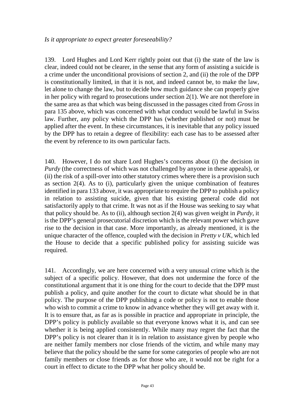139. Lord Hughes and Lord Kerr rightly point out that (i) the state of the law is clear, indeed could not be clearer, in the sense that any form of assisting a suicide is a crime under the unconditional provisions of section 2, and (ii) the role of the DPP is constitutionally limited, in that it is not, and indeed cannot be, to make the law, let alone to change the law, but to decide how much guidance she can properly give in her policy with regard to prosecutions under section 2(1). We are not therefore in the same area as that which was being discussed in the passages cited from *Gross* in para 135 above, which was concerned with what conduct would be lawful in Swiss law. Further, any policy which the DPP has (whether published or not) must be applied after the event. In these circumstances, it is inevitable that any policy issued by the DPP has to retain a degree of flexibility: each case has to be assessed after the event by reference to its own particular facts.

140. However, I do not share Lord Hughes's concerns about (i) the decision in *Purdy* (the correctness of which was not challenged by anyone in these appeals), or (ii) the risk of a spill-over into other statutory crimes where there is a provision such as section 2(4). As to (i), particularly given the unique combination of features identified in para 133 above, it was appropriate to require the DPP to publish a policy in relation to assisting suicide, given that his existing general code did not satisfactorily apply to that crime. It was not as if the House was seeking to say what that policy should be. As to (ii), although section 2(4) was given weight in *Purdy*, it is the DPP's general prosecutorial discretion which is the relevant power which gave rise to the decision in that case. More importantly, as already mentioned, it is the unique character of the offence, coupled with the decision in *Pretty v UK*, which led the House to decide that a specific published policy for assisting suicide was required.

141. Accordingly, we are here concerned with a very unusual crime which is the subject of a specific policy. However, that does not undermine the force of the constitutional argument that it is one thing for the court to decide that the DPP must publish a policy, and quite another for the court to dictate what should be in that policy. The purpose of the DPP publishing a code or policy is not to enable those who wish to commit a crime to know in advance whether they will get away with it. It is to ensure that, as far as is possible in practice and appropriate in principle, the DPP's policy is publicly available so that everyone knows what it is, and can see whether it is being applied consistently. While many may regret the fact that the DPP's policy is not clearer than it is in relation to assistance given by people who are neither family members nor close friends of the victim, and while many may believe that the policy should be the same for some categories of people who are not family members or close friends as for those who are, it would not be right for a court in effect to dictate to the DPP what her policy should be.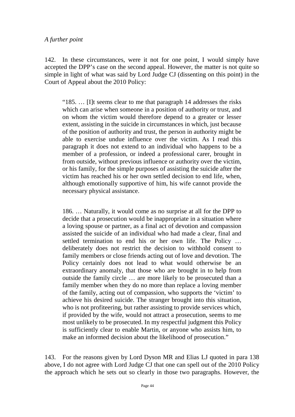#### *A further point*

142. In these circumstances, were it not for one point, I would simply have accepted the DPP's case on the second appeal. However, the matter is not quite so simple in light of what was said by Lord Judge CJ (dissenting on this point) in the Court of Appeal about the 2010 Policy:

"185. … [I]t seems clear to me that paragraph 14 addresses the risks which can arise when someone in a position of authority or trust, and on whom the victim would therefore depend to a greater or lesser extent, assisting in the suicide in circumstances in which, just because of the position of authority and trust, the person in authority might be able to exercise undue influence over the victim. As I read this paragraph it does not extend to an individual who happens to be a member of a profession, or indeed a professional carer, brought in from outside, without previous influence or authority over the victim, or his family, for the simple purposes of assisting the suicide after the victim has reached his or her own settled decision to end life, when, although emotionally supportive of him, his wife cannot provide the necessary physical assistance.

186. … Naturally, it would come as no surprise at all for the DPP to decide that a prosecution would be inappropriate in a situation where a loving spouse or partner, as a final act of devotion and compassion assisted the suicide of an individual who had made a clear, final and settled termination to end his or her own life. The Policy … deliberately does not restrict the decision to withhold consent to family members or close friends acting out of love and devotion. The Policy certainly does not lead to what would otherwise be an extraordinary anomaly, that those who are brought in to help from outside the family circle … are more likely to be prosecuted than a family member when they do no more than replace a loving member of the family, acting out of compassion, who supports the 'victim' to achieve his desired suicide. The stranger brought into this situation, who is not profiteering, but rather assisting to provide services which, if provided by the wife, would not attract a prosecution, seems to me most unlikely to be prosecuted. In my respectful judgment this Policy is sufficiently clear to enable Martin, or anyone who assists him, to make an informed decision about the likelihood of prosecution."

143. For the reasons given by Lord Dyson MR and Elias LJ quoted in para 138 above, I do not agree with Lord Judge CJ that one can spell out of the 2010 Policy the approach which he sets out so clearly in those two paragraphs. However, the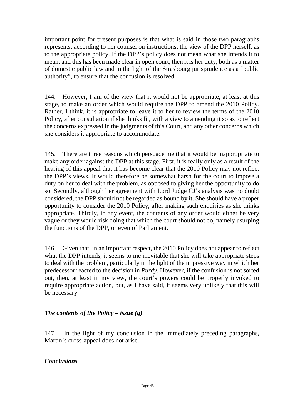important point for present purposes is that what is said in those two paragraphs represents, according to her counsel on instructions, the view of the DPP herself, as to the appropriate policy. If the DPP's policy does not mean what she intends it to mean, and this has been made clear in open court, then it is her duty, both as a matter of domestic public law and in the light of the Strasbourg jurisprudence as a "public authority", to ensure that the confusion is resolved.

144. However, I am of the view that it would not be appropriate, at least at this stage, to make an order which would require the DPP to amend the 2010 Policy. Rather, I think, it is appropriate to leave it to her to review the terms of the 2010 Policy, after consultation if she thinks fit, with a view to amending it so as to reflect the concerns expressed in the judgments of this Court, and any other concerns which she considers it appropriate to accommodate.

145. There are three reasons which persuade me that it would be inappropriate to make any order against the DPP at this stage. First, it is really only as a result of the hearing of this appeal that it has become clear that the 2010 Policy may not reflect the DPP's views. It would therefore be somewhat harsh for the court to impose a duty on her to deal with the problem, as opposed to giving her the opportunity to do so. Secondly, although her agreement with Lord Judge CJ's analysis was no doubt considered, the DPP should not be regarded as bound by it. She should have a proper opportunity to consider the 2010 Policy, after making such enquiries as she thinks appropriate. Thirdly, in any event, the contents of any order would either be very vague or they would risk doing that which the court should not do, namely usurping the functions of the DPP, or even of Parliament.

146. Given that, in an important respect, the 2010 Policy does not appear to reflect what the DPP intends, it seems to me inevitable that she will take appropriate steps to deal with the problem, particularly in the light of the impressive way in which her predecessor reacted to the decision in *Purdy*. However, if the confusion is not sorted out, then, at least in my view, the court's powers could be properly invoked to require appropriate action, but, as I have said, it seems very unlikely that this will be necessary.

## *The contents of the Policy – issue (g)*

147. In the light of my conclusion in the immediately preceding paragraphs, Martin's cross-appeal does not arise.

## *Conclusions*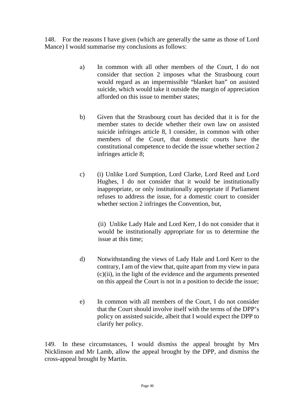148. For the reasons I have given (which are generally the same as those of Lord Mance) I would summarise my conclusions as follows:

- a) In common with all other members of the Court, I do not consider that section 2 imposes what the Strasbourg court would regard as an impermissible "blanket ban" on assisted suicide, which would take it outside the margin of appreciation afforded on this issue to member states;
- b) Given that the Strasbourg court has decided that it is for the member states to decide whether their own law on assisted suicide infringes article 8, I consider, in common with other members of the Court, that domestic courts have the constitutional competence to decide the issue whether section 2 infringes article 8;
- c) (i) Unlike Lord Sumption, Lord Clarke, Lord Reed and Lord Hughes, I do not consider that it would be institutionally inappropriate, or only institutionally appropriate if Parliament refuses to address the issue, for a domestic court to consider whether section 2 infringes the Convention, but,

(ii) Unlike Lady Hale and Lord Kerr, I do not consider that it would be institutionally appropriate for us to determine the issue at this time;

- d) Notwithstanding the views of Lady Hale and Lord Kerr to the contrary, I am of the view that, quite apart from my view in para (c)(ii), in the light of the evidence and the arguments presented on this appeal the Court is not in a position to decide the issue;
- e) In common with all members of the Court, I do not consider that the Court should involve itself with the terms of the DPP's policy on assisted suicide, albeit that I would expect the DPP to clarify her policy.

149. In these circumstances, I would dismiss the appeal brought by Mrs Nicklinson and Mr Lamb, allow the appeal brought by the DPP, and dismiss the cross-appeal brought by Martin.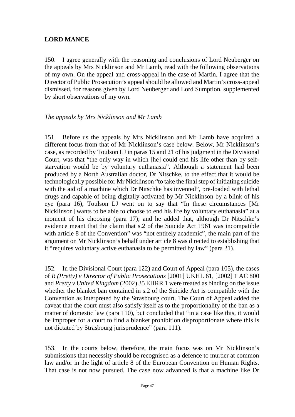# **LORD MANCE**

150. I agree generally with the reasoning and conclusions of Lord Neuberger on the appeals by Mrs Nicklinson and Mr Lamb, read with the following observations of my own. On the appeal and cross-appeal in the case of Martin, I agree that the Director of Public Prosecution's appeal should be allowed and Martin's cross-appeal dismissed, for reasons given by Lord Neuberger and Lord Sumption, supplemented by short observations of my own.

## *The appeals by Mrs Nicklinson and Mr Lamb*

151. Before us the appeals by Mrs Nicklinson and Mr Lamb have acquired a different focus from that of Mr Nicklinson's case below. Below, Mr Nicklinson's case, as recorded by Toulson LJ in paras 15 and 21 of his judgment in the Divisional Court, was that "the only way in which [he] could end his life other than by selfstarvation would be by voluntary euthanasia". Although a statement had been produced by a North Australian doctor, Dr Nitschke, to the effect that it would be technologically possible for Mr Nicklinson "to take the final step of initiating suicide with the aid of a machine which Dr Nitschke has invented", pre-loaded with lethal drugs and capable of being digitally activated by Mr Nicklinson by a blink of his eye (para 16), Toulson LJ went on to say that "In these circumstances [Mr Nicklinson] wants to be able to choose to end his life by voluntary euthanasia" at a moment of his choosing (para 17); and he added that, although Dr Nitschke's evidence meant that the claim that s.2 of the Suicide Act 1961 was incompatible with article 8 of the Convention" was "not entirely academic", the main part of the argument on Mr Nicklinson's behalf under article 8 was directed to establishing that it "requires voluntary active euthanasia to be permitted by law" (para 21).

152. In the Divisional Court (para 122) and Court of Appeal (para 105), the cases of *R (Pretty) v Director of Public Prosecutions* [2001] UKHL 61, [2002] 1 AC 800 and *Pretty v United Kingdom* (2002) 35 EHRR 1 were treated as binding on the issue whether the blanket ban contained in s.2 of the Suicide Act is compatible with the Convention as interpreted by the Strasbourg court. The Court of Appeal added the caveat that the court must also satisfy itself as to the proportionality of the ban as a matter of domestic law (para 110), but concluded that "in a case like this, it would be improper for a court to find a blanket prohibition disproportionate where this is not dictated by Strasbourg jurisprudence" (para 111).

153. In the courts below, therefore, the main focus was on Mr Nicklinson's submissions that necessity should be recognised as a defence to murder at common law and/or in the light of article 8 of the European Convention on Human Rights. That case is not now pursued. The case now advanced is that a machine like Dr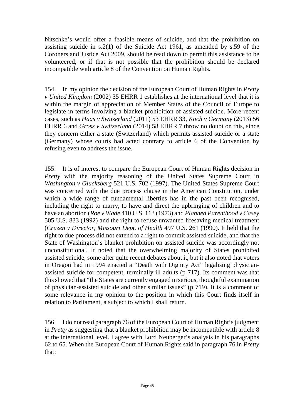Nitschke's would offer a feasible means of suicide, and that the prohibition on assisting suicide in s.2(1) of the Suicide Act 1961, as amended by s.59 of the Coroners and Justice Act 2009, should be read down to permit this assistance to be volunteered, or if that is not possible that the prohibition should be declared incompatible with article 8 of the Convention on Human Rights.

154. In my opinion the decision of the European Court of Human Rights in *Pretty v United Kingdom* (2002) 35 EHRR 1 establishes at the international level that it is within the margin of appreciation of Member States of the Council of Europe to legislate in terms involving a blanket prohibition of assisted suicide. More recent cases, such as *Haas v Switzerland* (2011) 53 EHRR 33, *Koch v Germany* (2013) 56 EHRR 6 and *Gross v Switzerland* (2014) 58 EHRR 7 throw no doubt on this, since they concern either a state (Switzerland) which permits assisted suicide or a state (Germany) whose courts had acted contrary to article 6 of the Convention by refusing even to address the issue.

155. It is of interest to compare the European Court of Human Rights decision in *Pretty* with the majority reasoning of the United States Supreme Court in *Washington v Glucksberg* 521 U.S. 702 (1997). The United States Supreme Court was concerned with the due process clause in the American Constitution, under which a wide range of fundamental liberties has in the past been recognised, including the right to marry, to have and direct the upbringing of children and to have an abortion (*Roe v Wade* 410 U.S. 113 (1973) and *Planned Parenthood v Casey*  505 U.S. 833 (1992) and the right to refuse unwanted lifesaving medical treatment (*Cruzen v Director, Missouri Dept. of Health* 497 U.S. 261 (1990). It held that the right to due process did not extend to a right to commit assisted suicide, and that the State of Washington's blanket prohibition on assisted suicide was accordingly not unconstitutional. It noted that the overwhelming majority of States prohibited assisted suicide, some after quite recent debates about it, but it also noted that voters in Oregon had in 1994 enacted a "Death with Dignity Act" legalising physicianassisted suicide for competent, terminally ill adults (p 717). Its comment was that this showed that "the States are currently engaged in serious, thoughtful examination of physician-assisted suicide and other similar issues" (p 719). It is a comment of some relevance in my opinion to the position in which this Court finds itself in relation to Parliament, a subject to which I shall return.

156. I do not read paragraph 76 of the European Court of Human Right's judgment in *Pretty* as suggesting that a blanket prohibition may be incompatible with article 8 at the international level. I agree with Lord Neuberger's analysis in his paragraphs 62 to 65. When the European Court of Human Rights said in paragraph 76 in *Pretty* that: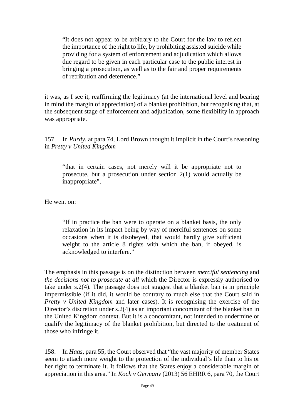"It does not appear to be arbitrary to the Court for the law to reflect the importance of the right to life, by prohibiting assisted suicide while providing for a system of enforcement and adjudication which allows due regard to be given in each particular case to the public interest in bringing a prosecution, as well as to the fair and proper requirements of retribution and deterrence."

it was, as I see it, reaffirming the legitimacy (at the international level and bearing in mind the margin of appreciation) of a blanket prohibition, but recognising that, at the subsequent stage of enforcement and adjudication, some flexibility in approach was appropriate.

157. In *Purdy*, at para 74, Lord Brown thought it implicit in the Court's reasoning in *Pretty v United Kingdom*

"that in certain cases, not merely will it be appropriate not to prosecute, but a prosecution under section 2(1) would actually be inappropriate".

He went on:

"If in practice the ban were to operate on a blanket basis, the only relaxation in its impact being by way of merciful sentences on some occasions when it is disobeyed, that would hardly give sufficient weight to the article 8 rights with which the ban, if obeyed, is acknowledged to interfere."

The emphasis in this passage is on the distinction between *merciful sentencing* and *the decisions not to prosecute at all* which the Director is expressly authorised to take under s.2(4). The passage does not suggest that a blanket ban is in principle impermissible (if it did, it would be contrary to much else that the Court said in *Pretty v United Kingdom* and later cases). It is recognising the exercise of the Director's discretion under s.2(4) as an important concomitant of the blanket ban in the United Kingdom context. But it is a concomitant, not intended to undermine or qualify the legitimacy of the blanket prohibition, but directed to the treatment of those who infringe it.

158. In *Haas,* para 55, the Court observed that "the vast majority of member States seem to attach more weight to the protection of the individual's life than to his or her right to terminate it. It follows that the States enjoy a considerable margin of appreciation in this area." In *Koch v Germany* (2013) 56 EHRR 6, para 70, the Court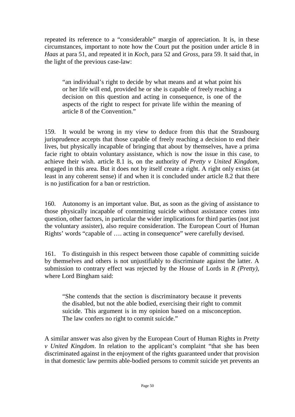repeated its reference to a "considerable" margin of appreciation. It is, in these circumstances, important to note how the Court put the position under article 8 in *Haas* at para 51, and repeated it in *Koch*, para 52 and *Gross*, para 59. It said that, in the light of the previous case-law:

"an individual's right to decide by what means and at what point his or her life will end, provided he or she is capable of freely reaching a decision on this question and acting in consequence, is one of the aspects of the right to respect for private life within the meaning of article 8 of the Convention."

159. It would be wrong in my view to deduce from this that the Strasbourg jurisprudence accepts that those capable of freely reaching a decision to end their lives, but physically incapable of bringing that about by themselves, have a prima facie right to obtain voluntary assistance, which is now the issue in this case, to achieve their wish. article 8.1 is, on the authority of *Pretty v United Kingdom*, engaged in this area. But it does not by itself create a right. A right only exists (at least in any coherent sense) if and when it is concluded under article 8.2 that there is no justification for a ban or restriction.

160. Autonomy is an important value. But, as soon as the giving of assistance to those physically incapable of committing suicide without assistance comes into question, other factors, in particular the wider implications for third parties (not just the voluntary assister), also require consideration. The European Court of Human Rights' words "capable of …. acting in consequence" were carefully devised.

161. To distinguish in this respect between those capable of committing suicide by themselves and others is not unjustifiably to discriminate against the latter. A submission to contrary effect was rejected by the House of Lords in *R (Pretty)*, where Lord Bingham said:

"She contends that the section is discriminatory because it prevents the disabled, but not the able bodied, exercising their right to commit suicide. This argument is in my opinion based on a misconception. The law confers no right to commit suicide."

A similar answer was also given by the European Court of Human Rights in *Pretty v United Kingdom*. In relation to the applicant's complaint "that she has been discriminated against in the enjoyment of the rights guaranteed under that provision in that domestic law permits able-bodied persons to commit suicide yet prevents an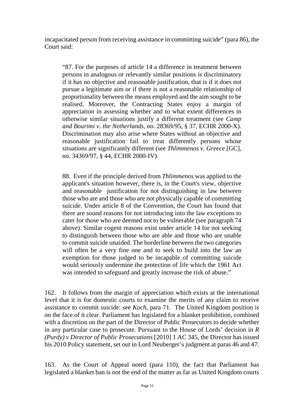incapacitated person from receiving assistance in committing suicide" (para 86), the Court said:

"87. For the purposes of article 14 a difference in treatment between persons in analogous or relevantly similar positions is discriminatory if it has no objective and reasonable justification, that is if it does not pursue a legitimate aim or if there is not a reasonable relationship of proportionality between the means employed and the aim sought to be realised. Moreover, the Contracting States enjoy a margin of appreciation in assessing whether and to what extent differences in otherwise similar situations justify a different treatment (see *Camp and Bourimi v. the Netherlands*, no. 28369/95, § 37, ECHR 2000-X). Discrimination may also arise where States without an objective and reasonable justification fail to treat differently persons whose situations are significantly different (see *Thlimmenos v. Greece* [GC], no. 34369/97, § 44, ECHR 2000-IV).

88. Even if the principle derived from *Thlimmenos* was applied to the applicant's situation however, there is, in the Court's view, objective and reasonable justification for not distinguishing in law between those who are and those who are not physically capable of committing suicide. Under article 8 of the Convention, the Court has found that there are sound reasons for not introducing into the law exceptions to cater for those who are deemed not to be vulnerable (see paragraph 74 above). Similar cogent reasons exist under article 14 for not seeking to distinguish between those who are able and those who are unable to commit suicide unaided. The borderline between the two categories will often be a very fine one and to seek to build into the law an exemption for those judged to be incapable of committing suicide would seriously undermine the protection of life which the 1961 Act was intended to safeguard and greatly increase the risk of abuse."

162. It follows from the margin of appreciation which exists at the international level that it is for domestic courts to examine the merits of any claim to receive assistance to commit suicide: see *Koch,* para 71. The United Kingdom position is on the face of it clear. Parliament has legislated for a blanket prohibition, combined with a discretion on the part of the Director of Public Prosecutors to decide whether in any particular case to prosecute. Pursuant to the House of Lords' decision in *R (Purdy) v Director of Public Prosecutions* [2010] 1 AC 345, the Director has issued his 2010 Policy statement, set out in Lord Neuberger's judgment at paras 46 and 47.

163. As the Court of Appeal noted (para 110), the fact that Parliament has legislated a blanket ban is not the end of the matter as far as United Kingdom courts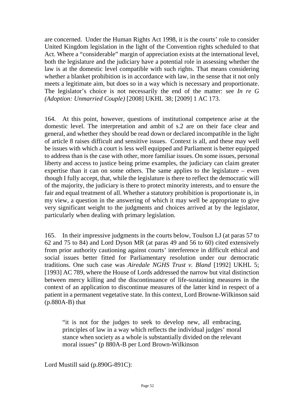are concerned. Under the Human Rights Act 1998, it is the courts' role to consider United Kingdom legislation in the light of the Convention rights scheduled to that Act. Where a "considerable" margin of appreciation exists at the international level, both the legislature and the judiciary have a potential role in assessing whether the law is at the domestic level compatible with such rights. That means considering whether a blanket prohibition is in accordance with law, in the sense that it not only meets a legitimate aim, but does so in a way which is necessary and proportionate. The legislator's choice is not necessarily the end of the matter: see *In re G (Adoption: Unmarried Couple)* [2008] UKHL 38; [2009] 1 AC 173.

164. At this point, however, questions of institutional competence arise at the domestic level. The interpretation and ambit of s.2 are on their face clear and general, and whether they should be read down or declared incompatible in the light of article 8 raises difficult and sensitive issues. Context is all, and these may well be issues with which a court is less well equipped and Parliament is better equipped to address than is the case with other, more familiar issues. On some issues, personal liberty and access to justice being prime examples, the judiciary can claim greater expertise than it can on some others. The same applies to the legislature – even though I fully accept, that, while the legislature is there to reflect the democratic will of the majority, the judiciary is there to protect minority interests, and to ensure the fair and equal treatment of all. Whether a statutory prohibition is proportionate is, in my view, a question in the answering of which it may well be appropriate to give very significant weight to the judgments and choices arrived at by the legislator, particularly when dealing with primary legislation.

165. In their impressive judgments in the courts below, Toulson LJ (at paras 57 to 62 and 75 to 84) and Lord Dyson MR (at paras 49 and 56 to 60) cited extensively from prior authority cautioning against courts' interference in difficult ethical and social issues better fitted for Parliamentary resolution under our democratic traditions. One such case was *Airedale NGHS Trust v. Bland* [1992] UKHL 5; [1993] AC 789, where the House of Lords addressed the narrow but vital distinction between mercy killing and the discontinuance of life-sustaining measures in the context of an application to discontinue measures of the latter kind in respect of a patient in a permanent vegetative state. In this context, Lord Browne-Wilkinson said (p.880A-B) that

"it is not for the judges to seek to develop new, all embracing, principles of law in a way which reflects the individual judges' moral stance when society as a whole is substantially divided on the relevant moral issues" (p 880A-B per Lord Brown-Wilkinson

Lord Mustill said (p.890G-891C):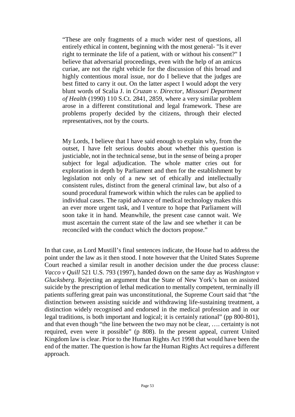"These are only fragments of a much wider nest of questions, all entirely ethical in content, beginning with the most general- "Is it ever right to terminate the life of a patient, with or without his consent?" I believe that adversarial proceedings, even with the help of an amicus curiae, are not the right vehicle for the discussion of this broad and highly contentious moral issue, nor do I believe that the judges are best fitted to carry it out. On the latter aspect I would adopt the very blunt words of Scalia J. in *Cruzan v. Director, Missouri Department of Health* (1990) 110 S.Ct. 2841, 2859, where a very similar problem arose in a different constitutional and legal framework. These are problems properly decided by the citizens, through their elected representatives, not by the courts.

My Lords, I believe that I have said enough to explain why, from the outset, I have felt serious doubts about whether this question is justiciable, not in the technical sense, but in the sense of being a proper subject for legal adjudication. The whole matter cries out for exploration in depth by Parliament and then for the establishment by legislation not only of a new set of ethically and intellectually consistent rules, distinct from the general criminal law, but also of a sound procedural framework within which the rules can be applied to individual cases. The rapid advance of medical technology makes this an ever more urgent task, and I venture to hope that Parliament will soon take it in hand. Meanwhile, the present case cannot wait. We must ascertain the current state of the law and see whether it can be reconciled with the conduct which the doctors propose."

In that case, as Lord Mustill's final sentences indicate, the House had to address the point under the law as it then stood. I note however that the United States Supreme Court reached a similar result in another decision under the due process clause: *Vacco v Quill* 521 U.S. 793 (1997), handed down on the same day as *Washington v Glucksberg*. Rejecting an argument that the State of New York's ban on assisted suicide by the prescription of lethal medication to mentally competent, terminally ill patients suffering great pain was unconstitutional, the Supreme Court said that "the distinction between assisting suicide and withdrawing life-sustaining treatment, a distinction widely recognised and endorsed in the medical profession and in our legal traditions, is both important and logical; it is certainly rational" (pp 800-801), and that even though "the line between the two may not be clear, …. certainty is not required, even were it possible" (p 808). In the present appeal, current United Kingdom law is clear. Prior to the Human Rights Act 1998 that would have been the end of the matter. The question is how far the Human Rights Act requires a different approach.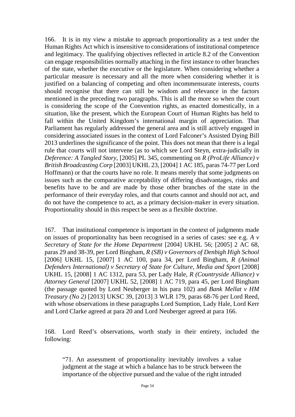166. It is in my view a mistake to approach proportionality as a test under the Human Rights Act which is insensitive to considerations of institutional competence and legitimacy. The qualifying objectives reflected in article 8.2 of the Convention can engage responsibilities normally attaching in the first instance to other branches of the state, whether the executive or the legislature. When considering whether a particular measure is necessary and all the more when considering whether it is justified on a balancing of competing and often incommensurate interests, courts should recognise that there can still be wisdom and relevance in the factors mentioned in the preceding two paragraphs. This is all the more so when the court is considering the scope of the Convention rights, as enacted domestically, in a situation, like the present, which the European Court of Human Rights has held to fall within the United Kingdom's international margin of appreciation. That Parliament has regularly addressed the general area and is still actively engaged in considering associated issues in the context of Lord Falconer's Assisted Dying Bill 2013 underlines the significance of the point. This does not mean that there is a legal rule that courts will not intervene (as to which see Lord Steyn, extra-judicially in *Deference: A Tangled Story*, [2005] PL 345, commenting on *R (ProLife Alliance) v British Broadcasting Corp* [2003] UKHL 23, [2004] 1 AC 185, paras 74-77 per Lord Hoffmann) or that the courts have no role. It means merely that some judgments on issues such as the comparative acceptability of differing disadvantages, risks and benefits have to be and are made by those other branches of the state in the performance of their everyday roles, and that courts cannot and should not act, and do not have the competence to act, as a primary decision-maker in every situation. Proportionality should in this respect be seen as a flexible doctrine.

167. That institutional competence is important in the context of judgments made on issues of proportionality has been recognised in a series of cases: see e.g. *A v Secretary of State for the Home Department* [2004] UKHL 56; [2005] 2 AC 68, paras 29 and 38-39, per Lord Bingham, *R (SB) v Governors of Denbigh High School*  [2006] UKHL 15, [2007] 1 AC 100, para 34, per Lord Bingham, *R (Animal Defenders International) v Secretary of State for Culture, Media and Sport [2008]* UKHL 15, [2008] 1 AC 1312, para 53, per Lady Hale, *R (Countryside Alliance) v Attorney General* [2007] UKHL 52, [2008] 1 AC 719, para 45, per Lord Bingham (the passage quoted by Lord Neuberger in his para 102) and *Bank Mellat v HM Treasury (No 2)* [2013] UKSC 39, [2013] 3 WLR 179, paras 68-76 per Lord Reed, with whose observations in these paragraphs Lord Sumption, Lady Hale, Lord Kerr and Lord Clarke agreed at para 20 and Lord Neuberger agreed at para 166.

168. Lord Reed's observations, worth study in their entirety, included the following:

"71. An assessment of proportionality inevitably involves a value judgment at the stage at which a balance has to be struck between the importance of the objective pursued and the value of the right intruded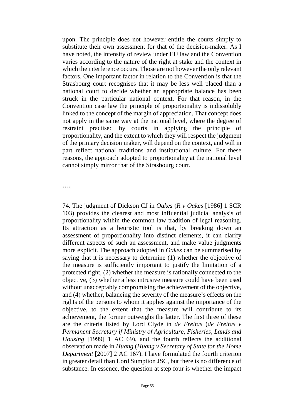upon. The principle does not however entitle the courts simply to substitute their own assessment for that of the decision-maker. As I have noted, the intensity of review under EU law and the Convention varies according to the nature of the right at stake and the context in which the interference occurs. Those are not however the only relevant factors. One important factor in relation to the Convention is that the Strasbourg court recognises that it may be less well placed than a national court to decide whether an appropriate balance has been struck in the particular national context. For that reason, in the Convention case law the principle of proportionality is indissolubly linked to the concept of the margin of appreciation. That concept does not apply in the same way at the national level, where the degree of restraint practised by courts in applying the principle of proportionality, and the extent to which they will respect the judgment of the primary decision maker, will depend on the context, and will in part reflect national traditions and institutional culture. For these reasons, the approach adopted to proportionality at the national level cannot simply mirror that of the Strasbourg court.

….

74. The judgment of Dickson CJ in *Oakes* (*R v Oakes* [1986] 1 SCR 103) provides the clearest and most influential judicial analysis of proportionality within the common law tradition of legal reasoning. Its attraction as a heuristic tool is that, by breaking down an assessment of proportionality into distinct elements, it can clarify different aspects of such an assessment, and make value judgments more explicit. The approach adopted in *Oakes* can be summarised by saying that it is necessary to determine (1) whether the objective of the measure is sufficiently important to justify the limitation of a protected right, (2) whether the measure is rationally connected to the objective, (3) whether a less intrusive measure could have been used without unacceptably compromising the achievement of the objective, and (4) whether, balancing the severity of the measure's effects on the rights of the persons to whom it applies against the importance of the objective, to the extent that the measure will contribute to its achievement, the former outweighs the latter. The first three of these are the criteria listed by Lord Clyde in *de Freitas* (*de Freitas v Permanent Secretary if Ministry of Agriculture, Fisheries, Lands and Housing* [1999] 1 AC 69), and the fourth reflects the additional observation made in *Huang* (*Huang v Secretary of State for the Home Department* [2007] 2 AC 167). I have formulated the fourth criterion in greater detail than Lord Sumption JSC, but there is no difference of substance. In essence, the question at step four is whether the impact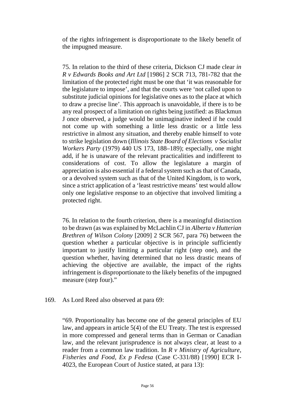of the rights infringement is disproportionate to the likely benefit of the impugned measure.

75. In relation to the third of these criteria, Dickson CJ made clear *in R v Edwards Books and Art Ltd* [1986] 2 SCR 713, 781-782 that the limitation of the protected right must be one that 'it was reasonable for the legislature to impose', and that the courts were 'not called upon to substitute judicial opinions for legislative ones as to the place at which to draw a precise line'. This approach is unavoidable, if there is to be any real prospect of a limitation on rights being justified: as Blackmun J once observed, a judge would be unimaginative indeed if he could not come up with something a little less drastic or a little less restrictive in almost any situation, and thereby enable himself to vote to strike legislation down (*Illinois State Board of Elections v Socialist Workers Party* (1979) 440 US 173, 188–189); especially, one might add, if he is unaware of the relevant practicalities and indifferent to considerations of cost. To allow the legislature a margin of appreciation is also essential if a federal system such as that of Canada, or a devolved system such as that of the United Kingdom, is to work, since a strict application of a 'least restrictive means' test would allow only one legislative response to an objective that involved limiting a protected right.

76. In relation to the fourth criterion, there is a meaningful distinction to be drawn (as was explained by McLachlin CJ in *Alberta v Hutterian Brethren of Wilson Colony* [2009] 2 SCR 567, para 76) between the question whether a particular objective is in principle sufficiently important to justify limiting a particular right (step one), and the question whether, having determined that no less drastic means of achieving the objective are available, the impact of the rights infringement is disproportionate to the likely benefits of the impugned measure (step four)."

169. As Lord Reed also observed at para 69:

"69. Proportionality has become one of the general principles of EU law, and appears in article 5(4) of the EU Treaty. The test is expressed in more compressed and general terms than in German or Canadian law, and the relevant jurisprudence is not always clear, at least to a reader from a common law tradition. In *R v Ministry of Agriculture, Fisheries and Food, Ex p Fedesa* (Case C-331/88) [1990] ECR I-4023, the European Court of Justice stated, at para 13):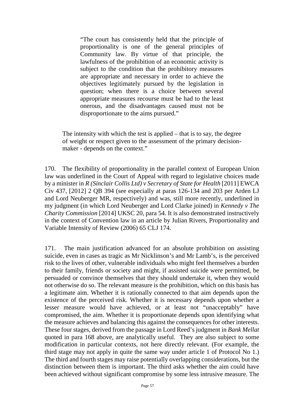"The court has consistently held that the principle of proportionality is one of the general principles of Community law. By virtue of that principle, the lawfulness of the prohibition of an economic activity is subject to the condition that the prohibitory measures are appropriate and necessary in order to achieve the objectives legitimately pursued by the legislation in question; when there is a choice between several appropriate measures recourse must be had to the least onerous, and the disadvantages caused must not be disproportionate to the aims pursued."

The intensity with which the test is applied – that is to say, the degree of weight or respect given to the assessment of the primary decisionmaker - depends on the context."

170. The flexibility of proportionality in the parallel context of European Union law was underlined in the Court of Appeal with regard to legislative choices made by a minister in *R (Sinclair Collis Ltd) v Secretary of State for Health* [2011] EWCA Civ 437, [2012] 2 QB 394 (see especially at paras 126-134 and 203 per Arden LJ and Lord Neuberger MR, respectively) and was, still more recently, underlined in my judgment (in which Lord Neuberger and Lord Clarke joined) in *Kennedy v The Charity Commission* [2014] UKSC 20, para 54. It is also demonstrated instructively in the context of Convention law in an article by Julian Rivers, Proportionality and Variable Intensity of Review (2006) 65 CLJ 174.

171. The main justification advanced for an absolute prohibition on assisting suicide, even in cases as tragic as Mr Nicklinson's and Mr Lamb's, is the perceived risk to the lives of other, vulnerable individuals who might feel themselves a burden to their family, friends or society and might, if assisted suicide were permitted, be persuaded or convince themselves that they should undertake it, when they would not otherwise do so. The relevant measure is the prohibition, which on this basis has a legitimate aim. Whether it is rationally connected to that aim depends upon the existence of the perceived risk. Whether it is necessary depends upon whether a lesser measure would have achieved, or at least not "unacceptably" have compromised, the aim. Whether it is proportionate depends upon identifying what the measure achieves and balancing this against the consequences for other interests. These four stages, derived from the passage in Lord Reed's judgment in *Bank Mellat*  quoted in para 168 above, are analytically useful. They are also subject to some modification in particular contexts, not here directly relevant. (For example, the third stage may not apply in quite the same way under article 1 of Protocol No 1.) The third and fourth stages may raise potentially overlapping considerations, but the distinction between them is important. The third asks whether the aim could have been achieved without significant compromise by some less intrusive measure. The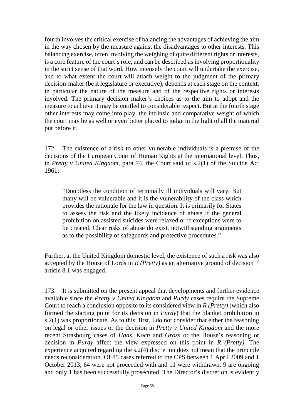fourth involves the critical exercise of balancing the advantages of achieving the aim in the way chosen by the measure against the disadvantages to other interests. This balancing exercise, often involving the weighing of quite different rights or interests, is a core feature of the court's role, and can be described as involving proportionality in the strict sense of that word. How intensely the court will undertake the exercise, and to what extent the court will attach weight to the judgment of the primary decision-maker (be it legislature or executive), depends at each stage on the context, in particular the nature of the measure and of the respective rights or interests involved. The primary decision maker's choices as to the aim to adopt and the measure to achieve it may be entitled to considerable respect. But at the fourth stage other interests may come into play, the intrinsic and comparative weight of which the court may be as well or even better placed to judge in the light of all the material put before it.

172. The existence of a risk to other vulnerable individuals is a premise of the decisions of the European Court of Human Rights at the international level. Thus, in *Pretty v United Kingdom*, para 74, the Court said of s.2(1) of the Suicide Act 1961:

"Doubtless the condition of terminally ill individuals will vary. But many will be vulnerable and it is the vulnerability of the class which provides the rationale for the law in question. It is primarily for States to assess the risk and the likely incidence of abuse if the general prohibition on assisted suicides were relaxed or if exceptions were to be created. Clear risks of abuse do exist, notwithstanding arguments as to the possibility of safeguards and protective procedures."

Further, at the United Kingdom domestic level, the existence of such a risk was also accepted by the House of Lords in *R (Pretty)* as an alternative ground of decision if article 8.1 was engaged.

173. It is submitted on the present appeal that developments and further evidence available since the *Pretty v United Kingdom* and *Purdy* cases require the Supreme Court to reach a conclusion opposite to its considered view in *R (Pretty)* (which also formed the starting point for its decision in *Purdy*) that the blanket prohibition in s.2(1) was proportionate. As to this, first, I do not consider that either the reasoning on legal or other issues or the decision in *Pretty v United Kingdom* and the more recent Strasbourg cases of *Haas*, *Koch* and *Gross* or the House's reasoning or decision in *Purdy* affect the view expressed on this point in *R (Pretty)*. The experience acquired regarding the s.2(4) discretion does not mean that the principle needs reconsideration. Of 85 cases referred to the CPS between 1 April 2009 and 1 October 2013, 64 were not proceeded with and 11 were withdrawn. 9 are ongoing and only 1 has been successfully prosecuted. The Director's discretion is evidently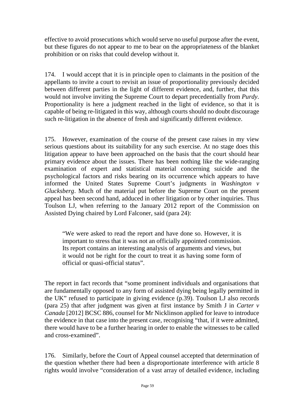effective to avoid prosecutions which would serve no useful purpose after the event, but these figures do not appear to me to bear on the appropriateness of the blanket prohibition or on risks that could develop without it.

174. I would accept that it is in principle open to claimants in the position of the appellants to invite a court to revisit an issue of proportionality previously decided between different parties in the light of different evidence, and, further, that this would not involve inviting the Supreme Court to depart precedentially from *Purdy*. Proportionality is here a judgment reached in the light of evidence, so that it is capable of being re-litigated in this way, although courts should no doubt discourage such re-litigation in the absence of fresh and significantly different evidence.

175. However, examination of the course of the present case raises in my view serious questions about its suitability for any such exercise. At no stage does this litigation appear to have been approached on the basis that the court should hear primary evidence about the issues. There has been nothing like the wide-ranging examination of expert and statistical material concerning suicide and the psychological factors and risks bearing on its occurrence which appears to have informed the United States Supreme Court's judgments in *Washington v Glucksberg*. Much of the material put before the Supreme Court on the present appeal has been second hand, adduced in other litigation or by other inquiries. Thus Toulson LJ, when referring to the January 2012 report of the Commission on Assisted Dying chaired by Lord Falconer, said (para 24):

"We were asked to read the report and have done so. However, it is important to stress that it was not an officially appointed commission. Its report contains an interesting analysis of arguments and views, but it would not be right for the court to treat it as having some form of official or quasi-official status".

The report in fact records that "some prominent individuals and organisations that are fundamentally opposed to any form of assisted dying being legally permitted in the UK" refused to participate in giving evidence (p.39). Toulson LJ also records (para 25) that after judgment was given at first instance by Smith J in *Carter v Canada* [2012] BCSC 886, counsel for Mr Nicklinson applied for leave to introduce the evidence in that case into the present case, recognising "that, if it were admitted, there would have to be a further hearing in order to enable the witnesses to be called and cross-examined".

176. Similarly, before the Court of Appeal counsel accepted that determination of the question whether there had been a disproportionate interference with article 8 rights would involve "consideration of a vast array of detailed evidence, including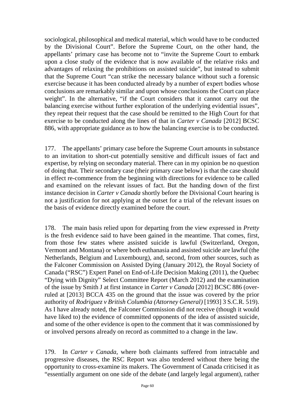sociological, philosophical and medical material, which would have to be conducted by the Divisional Court". Before the Supreme Court, on the other hand, the appellants' primary case has become not to "invite the Supreme Court to embark upon a close study of the evidence that is now available of the relative risks and advantages of relaxing the prohibitions on assisted suicide", but instead to submit that the Supreme Court "can strike the necessary balance without such a forensic exercise because it has been conducted already by a number of expert bodies whose conclusions are remarkably similar and upon whose conclusions the Court can place weight". In the alternative, "if the Court considers that it cannot carry out the balancing exercise without further exploration of the underlying evidential issues", they repeat their request that the case should be remitted to the High Court for that exercise to be conducted along the lines of that in *Carter v Canada* [2012] BCSC 886, with appropriate guidance as to how the balancing exercise is to be conducted.

177. The appellants' primary case before the Supreme Court amounts in substance to an invitation to short-cut potentially sensitive and difficult issues of fact and expertise, by relying on secondary material. There can in my opinion be no question of doing that. Their secondary case (their primary case below) is that the case should in effect re-commence from the beginning with directions for evidence to be called and examined on the relevant issues of fact. But the handing down of the first instance decision in *Carter v Canada* shortly before the Divisional Court hearing is not a justification for not applying at the outset for a trial of the relevant issues on the basis of evidence directly examined before the court.

178. The main basis relied upon for departing from the view expressed in *Pretty* is the fresh evidence said to have been gained in the meantime. That comes, first, from those few states where assisted suicide is lawful (Switzerland, Oregon, Vermont and Montana) or where both euthanasia and assisted suicide are lawful (the Netherlands, Belgium and Luxembourg), and, second, from other sources, such as the Falconer Commission on Assisted Dying (January 2012), the Royal Society of Canada ("RSC") Expert Panel on End-of-Life Decision Making (2011), the Quebec "Dying with Dignity" Select Committee Report (March 2012) and the examination of the issue by Smith J at first instance in *Carter v Canada* [2012] BCSC 886 (overruled at [2013] BCCA 435 on the ground that the issue was covered by the prior authority of *Rodriguez v British Columbia (Attorney General)* [1993] 3 S.C.R. 519). As I have already noted, the Falconer Commission did not receive (though it would have liked to) the evidence of committed opponents of the idea of assisted suicide, and some of the other evidence is open to the comment that it was commissioned by or involved persons already on record as committed to a change in the law.

179. In *Carter v Canada*, where both claimants suffered from intractable and progressive diseases, the RSC Report was also tendered without there being the opportunity to cross-examine its makers. The Government of Canada criticised it as "essentially argument on one side of the debate (and largely legal argument), rather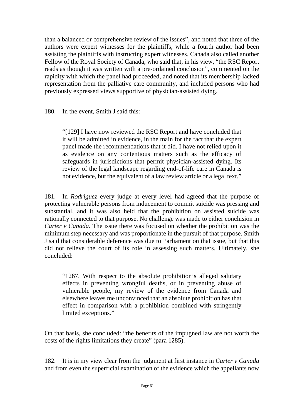than a balanced or comprehensive review of the issues", and noted that three of the authors were expert witnesses for the plaintiffs, while a fourth author had been assisting the plaintiffs with instructing expert witnesses. Canada also called another Fellow of the Royal Society of Canada, who said that, in his view, "the RSC Report reads as though it was written with a pre-ordained conclusion", commented on the rapidity with which the panel had proceeded, and noted that its membership lacked representation from the palliative care community, and included persons who had previously expressed views supportive of physician-assisted dying.

180. In the event, Smith J said this:

"[129] I have now reviewed the RSC Report and have concluded that it will be admitted in evidence, in the main for the fact that the expert panel made the recommendations that it did. I have not relied upon it as evidence on any contentious matters such as the efficacy of safeguards in jurisdictions that permit physician-assisted dying. Its review of the legal landscape regarding end-of-life care in Canada is not evidence, but the equivalent of a law review article or a legal text."

181. In *Rodriguez* every judge at every level had agreed that the purpose of protecting vulnerable persons from inducement to commit suicide was pressing and substantial, and it was also held that the prohibition on assisted suicide was rationally connected to that purpose. No challenge was made to either conclusion in *Carter v Canada*. The issue there was focused on whether the prohibition was the minimum step necessary and was proportionate in the pursuit of that purpose. Smith J said that considerable deference was due to Parliament on that issue, but that this did not relieve the court of its role in assessing such matters. Ultimately, she concluded:

"1267. With respect to the absolute prohibition's alleged salutary effects in preventing wrongful deaths, or in preventing abuse of vulnerable people, my review of the evidence from Canada and elsewhere leaves me unconvinced that an absolute prohibition has that effect in comparison with a prohibition combined with stringently limited exceptions."

On that basis, she concluded: "the benefits of the impugned law are not worth the costs of the rights limitations they create" (para 1285).

182. It is in my view clear from the judgment at first instance in *Carter v Canada*  and from even the superficial examination of the evidence which the appellants now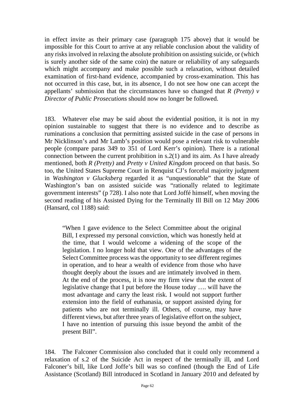in effect invite as their primary case (paragraph 175 above) that it would be impossible for this Court to arrive at any reliable conclusion about the validity of any risks involved in relaxing the absolute prohibition on assisting suicide, or (which is surely another side of the same coin) the nature or reliability of any safeguards which might accompany and make possible such a relaxation, without detailed examination of first-hand evidence, accompanied by cross-examination. This has not occurred in this case, but, in its absence, I do not see how one can accept the appellants' submission that the circumstances have so changed that *R (Pretty) v Director of Public Prosecutions* should now no longer be followed.

183. Whatever else may be said about the evidential position, it is not in my opinion sustainable to suggest that there is no evidence and to describe as ruminations a conclusion that permitting assisted suicide in the case of persons in Mr Nicklinson's and Mr Lamb's position would pose a relevant risk to vulnerable people (compare paras 349 to 351 of Lord Kerr's opinion). There is a rational connection between the current prohibition in s.2(1) and its aim. As I have already mentioned, both *R (Pretty)* and *Pretty v United Kingdom* proceed on that basis. So too, the United States Supreme Court in Renquist CJ's forceful majority judgment in *Washington v Glucksberg* regarded it as "unquestionable" that the State of Washington's ban on assisted suicide was "rationally related to legitimate government interests" (p 728). I also note that Lord Joffé himself, when moving the second reading of his Assisted Dying for the Terminally Ill Bill on 12 May 2006 (Hansard, col 1188) said:

"When I gave evidence to the Select Committee about the original Bill, I expressed my personal conviction, which was honestly held at the time, that I would welcome a widening of the scope of the legislation. I no longer hold that view. One of the advantages of the Select Committee process was the opportunity to see different regimes in operation, and to hear a wealth of evidence from those who have thought deeply about the issues and are intimately involved in them. At the end of the process, it is now my firm view that the extent of legislative change that I put before the House today …. will have the most advantage and carry the least risk. I would not support further extension into the field of euthanasia, or support assisted dying for patients who are not terminally ill. Others, of course, may have different views, but after three years of legislative effort on the subject, I have no intention of pursuing this issue beyond the ambit of the present Bill".

184. The Falconer Commission also concluded that it could only recommend a relaxation of s.2 of the Suicide Act in respect of the terminally ill, and Lord Falconer's bill, like Lord Joffe's bill was so confined (though the End of Life Assistance (Scotland) Bill introduced in Scotland in January 2010 and defeated by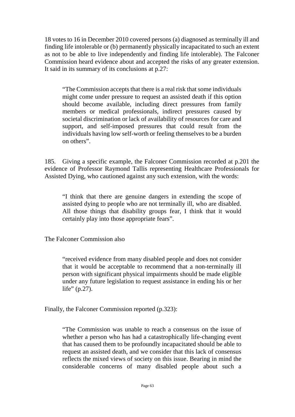18 votes to 16 in December 2010 covered persons (a) diagnosed as terminally ill and finding life intolerable or (b) permanently physically incapacitated to such an extent as not to be able to live independently and finding life intolerable). The Falconer Commission heard evidence about and accepted the risks of any greater extension. It said in its summary of its conclusions at p.27:

"The Commission accepts that there is a real risk that some individuals might come under pressure to request an assisted death if this option should become available, including direct pressures from family members or medical professionals, indirect pressures caused by societal discrimination or lack of availability of resources for care and support, and self-imposed pressures that could result from the individuals having low self-worth or feeling themselves to be a burden on others".

185. Giving a specific example, the Falconer Commission recorded at p.201 the evidence of Professor Raymond Tallis representing Healthcare Professionals for Assisted Dying, who cautioned against any such extension, with the words:

"I think that there are genuine dangers in extending the scope of assisted dying to people who are not terminally ill, who are disabled. All those things that disability groups fear, I think that it would certainly play into those appropriate fears".

The Falconer Commission also

"received evidence from many disabled people and does not consider that it would be acceptable to recommend that a non-terminally ill person with significant physical impairments should be made eligible under any future legislation to request assistance in ending his or her life" (p.27).

Finally, the Falconer Commission reported (p.323):

"The Commission was unable to reach a consensus on the issue of whether a person who has had a catastrophically life-changing event that has caused them to be profoundly incapacitated should be able to request an assisted death, and we consider that this lack of consensus reflects the mixed views of society on this issue. Bearing in mind the considerable concerns of many disabled people about such a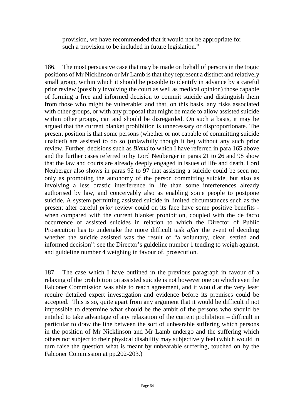provision, we have recommended that it would not be appropriate for such a provision to be included in future legislation."

186. The most persuasive case that may be made on behalf of persons in the tragic positions of Mr Nicklinson or Mr Lamb is that they represent a distinct and relatively small group, within which it should be possible to identify in advance by a careful prior review (possibly involving the court as well as medical opinion) those capable of forming a free and informed decision to commit suicide and distinguish them from those who might be vulnerable; and that, on this basis, any risks associated with other groups, or with any proposal that might be made to allow assisted suicide within other groups, can and should be disregarded. On such a basis, it may be argued that the current blanket prohibition is unnecessary or disproportionate. The present position is that some persons (whether or not capable of committing suicide unaided) are assisted to do so (unlawfully though it be) without any such prior review. Further, decisions such as *Bland* to which I have referred in para 165 above and the further cases referred to by Lord Neuberger in paras 21 to 26 and 98 show that the law and courts are already deeply engaged in issues of life and death. Lord Neuberger also shows in paras 92 to 97 that assisting a suicide could be seen not only as promoting the autonomy of the person committing suicide, but also as involving a less drastic interference in life than some interferences already authorised by law, and conceivably also as enabling some people to postpone suicide. A system permitting assisted suicide in limited circumstances such as the present after careful *prior* review could on its face have some positive benefits when compared with the current blanket prohibition, coupled with the de facto occurrence of assisted suicides in relation to which the Director of Public Prosecution has to undertake the more difficult task *after* the event of deciding whether the suicide assisted was the result of "a voluntary, clear, settled and informed decision": see the Director's guideline number 1 tending to weigh against, and guideline number 4 weighing in favour of, prosecution.

187. The case which I have outlined in the previous paragraph in favour of a relaxing of the prohibition on assisted suicide is not however one on which even the Falconer Commission was able to reach agreement, and it would at the very least require detailed expert investigation and evidence before its premises could be accepted. This is so, quite apart from any argument that it would be difficult if not impossible to determine what should be the ambit of the persons who should be entitled to take advantage of any relaxation of the current prohibition – difficult in particular to draw the line between the sort of unbearable suffering which persons in the position of Mr Nicklinson and Mr Lamb undergo and the suffering which others not subject to their physical disability may subjectively feel (which would in turn raise the question what is meant by unbearable suffering, touched on by the Falconer Commission at pp.202-203.)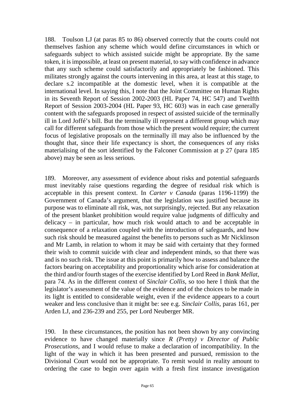188. Toulson LJ (at paras 85 to 86) observed correctly that the courts could not themselves fashion any scheme which would define circumstances in which or safeguards subject to which assisted suicide might be appropriate. By the same token, it is impossible, at least on present material, to say with confidence in advance that any such scheme could satisfactorily and appropriately be fashioned. This militates strongly against the courts intervening in this area, at least at this stage, to declare s.2 incompatible at the domestic level, when it is compatible at the international level. In saying this, I note that the Joint Committee on Human Rights in its Seventh Report of Session 2002-2003 (HL Paper 74, HC 547) and Twelfth Report of Session 2003-2004 (HL Paper 93, HC 603) was in each case generally content with the safeguards proposed in respect of assisted suicide of the terminally ill in Lord Joffé's bill. But the terminally ill represent a different group which may call for different safeguards from those which the present would require; the current focus of legislative proposals on the terminally ill may also be influenced by the thought that, since their life expectancy is short, the consequences of any risks materialising of the sort identified by the Falconer Commission at p 27 (para 185 above) may be seen as less serious.

189. Moreover, any assessment of evidence about risks and potential safeguards must inevitably raise questions regarding the degree of residual risk which is acceptable in this present context. In *Carter v Canada* (paras 1196-1199) the Government of Canada's argument, that the legislation was justified because its purpose was to eliminate all risk, was, not surprisingly, rejected. But any relaxation of the present blanket prohibition would require value judgments of difficulty and delicacy – in particular, how much risk would attach to and be acceptable in consequence of a relaxation coupled with the introduction of safeguards, and how such risk should be measured against the benefits to persons such as Mr Nicklinson and Mr Lamb, in relation to whom it may be said with certainty that they formed their wish to commit suicide with clear and independent minds, so that there was and is no such risk. The issue at this point is primarily how to assess and balance the factors bearing on acceptability and proportionality which arise for consideration at the third and/or fourth stages of the exercise identified by Lord Reed in *Bank Mellat*, para 74. As in the different context of *Sinclair Collis*, so too here I think that the legislator's assessment of the value of the evidence and of the choices to be made in its light is entitled to considerable weight, even if the evidence appears to a court weaker and less conclusive than it might be: see e.g. *Sinclair Collis*, paras 161, per Arden LJ, and 236-239 and 255, per Lord Neuberger MR.

190. In these circumstances, the position has not been shown by any convincing evidence to have changed materially since *R (Pretty) v Director of Public Prosecutions*, and I would refuse to make a declaration of incompatibility. In the light of the way in which it has been presented and pursued, remission to the Divisional Court would not be appropriate. To remit would in reality amount to ordering the case to begin over again with a fresh first instance investigation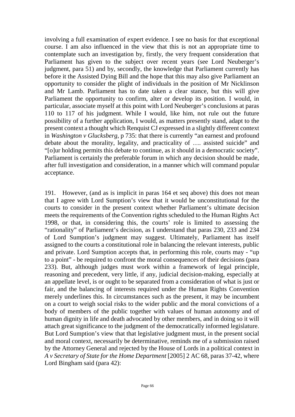involving a full examination of expert evidence. I see no basis for that exceptional course. I am also influenced in the view that this is not an appropriate time to contemplate such an investigation by, firstly, the very frequent consideration that Parliament has given to the subject over recent years (see Lord Neuberger's judgment, para 51) and by, secondly, the knowledge that Parliament currently has before it the Assisted Dying Bill and the hope that this may also give Parliament an opportunity to consider the plight of individuals in the position of Mr Nicklinson and Mr Lamb. Parliament has to date taken a clear stance, but this will give Parliament the opportunity to confirm, alter or develop its position. I would, in particular, associate myself at this point with Lord Neuberger's conclusions at paras 110 to 117 of his judgment. While I would, like him, not rule out the future possibility of a further application, I would, as matters presently stand, adapt to the present context a thought which Renquist CJ expressed in a slightly different context in *Washington v Glucksberg*, p 735: that there is currently "an earnest and profound debate about the morality, legality, and practicality of …. assisted suicide" and "[o]ur holding permits this debate to continue, as it should in a democratic society". Parliament is certainly the preferable forum in which any decision should be made, after full investigation and consideration, in a manner which will command popular acceptance.

191. However, (and as is implicit in paras 164 et seq above) this does not mean that I agree with Lord Sumption's view that it would be unconstitutional for the courts to consider in the present context whether Parliament's ultimate decision meets the requirements of the Convention rights scheduled to the Human Rights Act 1998, or that, in considering this, the courts' role is limited to assessing the "rationality" of Parliament's decision, as I understand that paras 230, 233 and 234 of Lord Sumption's judgment may suggest. Ultimately, Parliament has itself assigned to the courts a constitutional role in balancing the relevant interests, public and private. Lord Sumption accepts that, in performing this role, courts may - "up to a point" - be required to confront the moral consequences of their decisions (para 233). But, although judges must work within a framework of legal principle, reasoning and precedent, very little, if any, judicial decision-making, especially at an appellate level, is or ought to be separated from a consideration of what is just or fair, and the balancing of interests required under the Human Rights Convention merely underlines this. In circumstances such as the present, it may be incumbent on a court to weigh social risks to the wider public and the moral convictions of a body of members of the public together with values of human autonomy and of human dignity in life and death advocated by other members, and in doing so it will attach great significance to the judgment of the democratically informed legislature. But Lord Sumption's view that that legislative judgment must, in the present social and moral context, necessarily be determinative, reminds me of a submission raised by the Attorney General and rejected by the House of Lords in a political context in *A v Secretary of State for the Home Department* [2005] 2 AC 68, paras 37-42, where Lord Bingham said (para 42):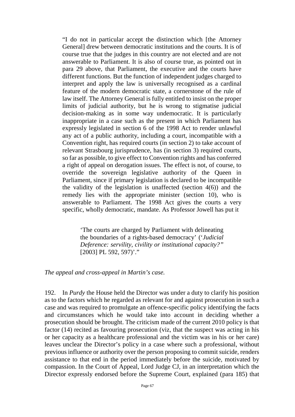"I do not in particular accept the distinction which [the Attorney General] drew between democratic institutions and the courts. It is of course true that the judges in this country are not elected and are not answerable to Parliament. It is also of course true, as pointed out in para 29 above, that Parliament, the executive and the courts have different functions. But the function of independent judges charged to interpret and apply the law is universally recognised as a cardinal feature of the modern democratic state, a cornerstone of the rule of law itself. The Attorney General is fully entitled to insist on the proper limits of judicial authority, but he is wrong to stigmatise judicial decision-making as in some way undemocratic. It is particularly inappropriate in a case such as the present in which Parliament has expressly legislated in section 6 of the 1998 Act to render unlawful any act of a public authority, including a court, incompatible with a Convention right, has required courts (in section 2) to take account of relevant Strasbourg jurisprudence, has (in section 3) required courts, so far as possible, to give effect to Convention rights and has conferred a right of appeal on derogation issues. The effect is not, of course, to override the sovereign legislative authority of the Queen in Parliament, since if primary legislation is declared to be incompatible the validity of the legislation is unaffected (section 4(6)) and the remedy lies with the appropriate minister (section 10), who is answerable to Parliament. The 1998 Act gives the courts a very specific, wholly democratic, mandate. As Professor Jowell has put it

'The courts are charged by Parliament with delineating the boundaries of a rights-based democracy' ('*Judicial Deference: servility, civility or institutional capacity?"* [2003] PL 592, 597)'."

*The appeal and cross-appeal in Martin's case.*

192. In *Purdy* the House held the Director was under a duty to clarify his position as to the factors which he regarded as relevant for and against prosecution in such a case and was required to promulgate an offence-specific policy identifying the facts and circumstances which he would take into account in deciding whether a prosecution should be brought. The criticism made of the current 2010 policy is that factor (14) recited as favouring prosecution (viz, that the suspect was acting in his or her capacity as a healthcare professional and the victim was in his or her care) leaves unclear the Director's policy in a case where such a professional, without previous influence or authority over the person proposing to commit suicide, renders assistance to that end in the period immediately before the suicide, motivated by compassion. In the Court of Appeal, Lord Judge CJ, in an interpretation which the Director expressly endorsed before the Supreme Court, explained (para 185) that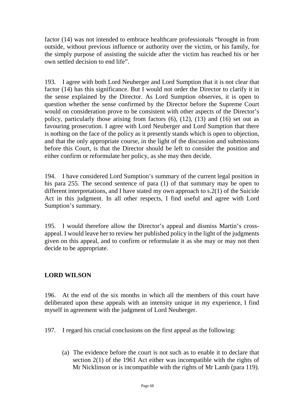factor (14) was not intended to embrace healthcare professionals "brought in from outside, without previous influence or authority over the victim, or his family, for the simply purpose of assisting the suicide after the victim has reached his or her own settled decision to end life".

193. I agree with both Lord Neuberger and Lord Sumption that it is not clear that factor (14) has this significance. But I would not order the Director to clarify it in the sense explained by the Director. As Lord Sumption observes, it is open to question whether the sense confirmed by the Director before the Supreme Court would on consideration prove to be consistent with other aspects of the Director's policy, particularly those arising from factors (6), (12), (13) and (16) set out as favouring prosecution. I agree with Lord Neuberger and Lord Sumption that there is nothing on the face of the policy as it presently stands which is open to objection, and that the only appropriate course, in the light of the discussion and submissions before this Court, is that the Director should be left to consider the position and either confirm or reformulate her policy, as she may then decide.

194. I have considered Lord Sumption's summary of the current legal position in his para 255. The second sentence of para (1) of that summary may be open to different interpretations, and I have stated my own approach to s.2(1) of the Suicide Act in this judgment. In all other respects, I find useful and agree with Lord Sumption's summary.

195. I would therefore allow the Director's appeal and dismiss Martin's crossappeal. I would leave her to review her published policy in the light of the judgments given on this appeal, and to confirm or reformulate it as she may or may not then decide to be appropriate.

## **LORD WILSON**

196. At the end of the six months in which all the members of this court have deliberated upon these appeals with an intensity unique in my experience, I find myself in agreement with the judgment of Lord Neuberger.

- 197. I regard his crucial conclusions on the first appeal as the following:
	- (a) The evidence before the court is not such as to enable it to declare that section 2(1) of the 1961 Act either was incompatible with the rights of Mr Nicklinson or is incompatible with the rights of Mr Lamb (para 119).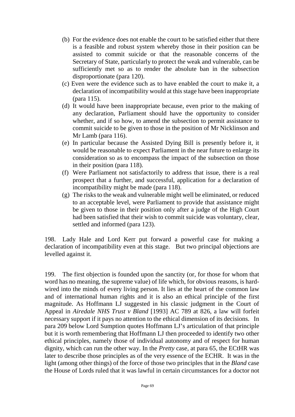- (b) For the evidence does not enable the court to be satisfied either that there is a feasible and robust system whereby those in their position can be assisted to commit suicide or that the reasonable concerns of the Secretary of State, particularly to protect the weak and vulnerable, can be sufficiently met so as to render the absolute ban in the subsection disproportionate (para 120).
- (c) Even were the evidence such as to have enabled the court to make it, a declaration of incompatibility would at this stage have been inappropriate (para 115).
- (d) It would have been inappropriate because, even prior to the making of any declaration, Parliament should have the opportunity to consider whether, and if so how, to amend the subsection to permit assistance to commit suicide to be given to those in the position of Mr Nicklinson and Mr Lamb (para 116).
- (e) In particular because the Assisted Dying Bill is presently before it, it would be reasonable to expect Parliament in the near future to enlarge its consideration so as to encompass the impact of the subsection on those in their position (para 118).
- (f) Were Parliament not satisfactorily to address that issue, there is a real prospect that a further, and successful, application for a declaration of incompatibility might be made (para 118).
- (g) The risks to the weak and vulnerable might well be eliminated, or reduced to an acceptable level, were Parliament to provide that assistance might be given to those in their position only after a judge of the High Court had been satisfied that their wish to commit suicide was voluntary, clear, settled and informed (para 123).

198. Lady Hale and Lord Kerr put forward a powerful case for making a declaration of incompatibility even at this stage. But two principal objections are levelled against it.

199. The first objection is founded upon the sanctity (or, for those for whom that word has no meaning, the supreme value) of life which, for obvious reasons, is hardwired into the minds of every living person. It lies at the heart of the common law and of international human rights and it is also an ethical principle of the first magnitude. As Hoffmann LJ suggested in his classic judgment in the Court of Appeal in *Airedale NHS Trust v Bland* [1993] AC 789 at 826, a law will forfeit necessary support if it pays no attention to the ethical dimension of its decisions. In para 209 below Lord Sumption quotes Hoffmann LJ's articulation of that principle but it is worth remembering that Hoffmann LJ then proceeded to identify two other ethical principles, namely those of individual autonomy and of respect for human dignity, which can run the other way. In the *Pretty* case*,* at para 65, the ECtHR was later to describe those principles as of the very essence of the ECHR. It was in the light (among other things) of the force of those two principles that in the *Bland* case the House of Lords ruled that it was lawful in certain circumstances for a doctor not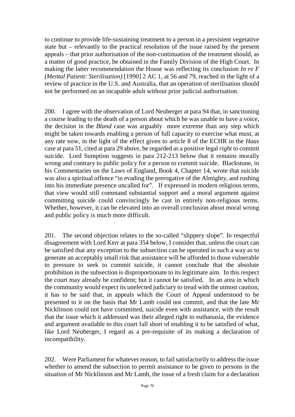to continue to provide life-sustaining treatment to a person in a persistent vegetative state but – relevantly to the practical resolution of the issue raised by the present appeals – that prior authorisation of the non-continuation of the treatment should, as a matter of good practice, be obtained in the Family Division of the High Court. In making the latter recommendation the House was reflecting its conclusion *In re F (Mental Patient: Sterilisation)* [1990] 2 AC 1, at 56 and 79, reached in the light of a review of practice in the U.S. and Australia, that an operation of sterilisation should not be performed on an incapable adult without prior judicial authorisation.

200. I agree with the observation of Lord Neuberger at para 94 that, in sanctioning a course leading to the death of a person about which he was unable to have a voice, the decision in the *Bland* case was arguably more extreme than any step which might be taken towards enabling a person of full capacity to exercise what must, at any rate now, in the light of the effect given to article 8 of the ECHR in the *Haas*  case at para 51, cited at para 29 above, be regarded as a positive legal *right* to commit suicide. Lord Sumption suggests in para 212-213 below that it remains morally wrong and contrary to public policy for a person to commit suicide. Blackstone, in his Commentaries on the Laws of England, Book 4, Chapter 14, wrote that suicide was also a spiritual offence "in evading the prerogative of the Almighty, and rushing into his immediate presence uncalled for". If expressed in modern religious terms, that view would still command substantial support and a moral argument against committing suicide could convincingly be cast in entirely non-religious terms. Whether, however, it can be elevated into an overall conclusion about moral wrong and public policy is much more difficult.

201. The second objection relates to the so-called "slippery slope". In respectful disagreement with Lord Kerr at para 354 below, I consider that, unless the court can be satisfied that any exception to the subsection can be operated in such a way as to generate an acceptably small risk that assistance will be afforded to those vulnerable to pressure to seek to commit suicide, it cannot conclude that the absolute prohibition in the subsection is disproportionate to its legitimate aim. In this respect the court may already be confident; but it cannot be satisfied. In an area in which the community would expect its unelected judiciary to tread with the utmost caution, it has to be said that, in appeals which the Court of Appeal understood to be presented to it on the basis that Mr Lamb could not commit, and that the late Mr Nicklinson could not have committed, suicide even with assistance, with the result that the issue which it addressed was their alleged right to euthanasia, the evidence and argument available to this court fall short of enabling it to be satisfied of what, like Lord Neuberger, I regard as a pre-requisite of its making a declaration of incompatibility.

202. Were Parliament for whatever reason, to fail satisfactorily to address the issue whether to amend the subsection to permit assistance to be given to persons in the situation of Mr Nicklinson and Mr Lamb, the issue of a fresh claim for a declaration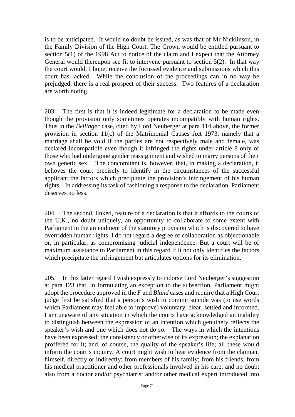is to be anticipated. It would no doubt be issued, as was that of Mr Nicklinson, in the Family Division of the High Court. The Crown would be entitled pursuant to section 5(1) of the 1998 Act to notice of the claim and I expect that the Attorney General would thereupon see fit to intervene pursuant to section 5(2). In that way the court would, I hope, receive the focussed evidence and submissions which this court has lacked. While the conclusion of the proceedings can in no way be prejudged, there is a real prospect of their success. Two features of a declaration are worth noting.

203. The first is that it is indeed legitimate for a declaration to be made even though the provision only sometimes operates incompatibly with human rights. Thus in the *Bellinger* case, cited by Lord Neuberger at para 114 above, the former provision in section 11(c) of the Matrimonial Causes Act 1973, namely that a marriage shall be void if the parties are not respectively male and female, was declared incompatible even though it infringed the rights under article 8 only of those who had undergone gender reassignment and wished to marry persons of their own genetic sex. The concomitant is, however, that, in making a declaration, it behoves the court precisely to identify in the circumstances of the successful applicant the factors which precipitate the provision's infringement of his human rights. In addressing its task of fashioning a response to the declaration, Parliament deserves no less.

204. The second, linked, feature of a declaration is that it affords to the courts of the U.K., no doubt uniquely, an opportunity to collaborate to some extent with Parliament in the amendment of the statutory provision which is discovered to have overridden human rights. I do not regard a degree of collaboration as objectionable or, in particular, as compromising judicial independence. But a court will be of maximum assistance to Parliament in this regard if it not only identifies the factors which precipitate the infringement but articulates options for its elimination.

205. In this latter regard I wish expressly to indorse Lord Neuberger's suggestion at para 123 that, in formulating an exception to the subsection, Parliament might adopt the procedure approved in the *F* and *Bland* cases and require that a High Court judge first be satisfied that a person's wish to commit suicide was (to use words which Parliament may feel able to improve) voluntary, clear, settled and informed. I am unaware of any situation in which the courts have acknowledged an inability to distinguish between the expression of an intention which genuinely reflects the speaker's wish and one which does not do so. The ways in which the intentions have been expressed; the consistency or otherwise of its expression; the explanation proffered for it; and, of course, the quality of the speaker's life; all these would inform the court's inquiry. A court might wish to hear evidence from the claimant himself, directly or indirectly; from members of his family; from his friends; from his medical practitioner and other professionals involved in his care; and no doubt also from a doctor and/or psychiatrist and/or other medical expert introduced into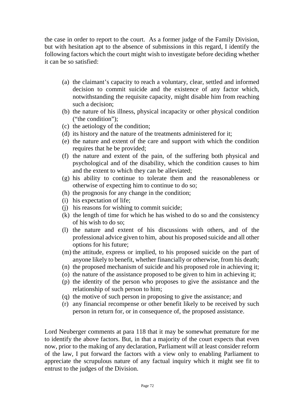the case in order to report to the court. As a former judge of the Family Division, but with hesitation apt to the absence of submissions in this regard, I identify the following factors which the court might wish to investigate before deciding whether it can be so satisfied:

- (a) the claimant's capacity to reach a voluntary, clear, settled and informed decision to commit suicide and the existence of any factor which, notwithstanding the requisite capacity, might disable him from reaching such a decision;
- (b) the nature of his illness, physical incapacity or other physical condition ("the condition");
- (c) the aetiology of the condition;
- (d) its history and the nature of the treatments administered for it;
- (e) the nature and extent of the care and support with which the condition requires that he be provided;
- (f) the nature and extent of the pain, of the suffering both physical and psychological and of the disability, which the condition causes to him and the extent to which they can be alleviated;
- (g) his ability to continue to tolerate them and the reasonableness or otherwise of expecting him to continue to do so;
- (h) the prognosis for any change in the condition;
- (i) his expectation of life;
- (j) his reasons for wishing to commit suicide;
- (k) the length of time for which he has wished to do so and the consistency of his wish to do so;
- (l) the nature and extent of his discussions with others, and of the professional advice given to him, about his proposed suicide and all other options for his future;
- (m) the attitude, express or implied, to his proposed suicide on the part of anyone likely to benefit, whether financially or otherwise, from his death;
- (n) the proposed mechanism of suicide and his proposed role in achieving it;
- (o) the nature of the assistance proposed to be given to him in achieving it;
- (p) the identity of the person who proposes to give the assistance and the relationship of such person to him;
- (q) the motive of such person in proposing to give the assistance; and
- (r) any financial recompense or other benefit likely to be received by such person in return for, or in consequence of, the proposed assistance.

Lord Neuberger comments at para 118 that it may be somewhat premature for me to identify the above factors. But, in that a majority of the court expects that even now, prior to the making of any declaration, Parliament will at least consider reform of the law, I put forward the factors with a view only to enabling Parliament to appreciate the scrupulous nature of any factual inquiry which it might see fit to entrust to the judges of the Division.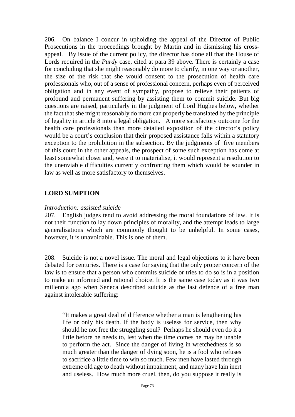206. On balance I concur in upholding the appeal of the Director of Public Prosecutions in the proceedings brought by Martin and in dismissing his crossappeal. By issue of the current policy, the director has done all that the House of Lords required in the *Purdy* case, cited at para 39 above. There is certainly a case for concluding that she might reasonably do more to clarify, in one way or another, the size of the risk that she would consent to the prosecution of health care professionals who, out of a sense of professional concern, perhaps even of perceived obligation and in any event of sympathy, propose to relieve their patients of profound and permanent suffering by assisting them to commit suicide. But big questions are raised, particularly in the judgment of Lord Hughes below, whether the fact that she might reasonably do more can properly be translated by the principle of legality in article 8 into a legal obligation. A more satisfactory outcome for the health care professionals than more detailed exposition of the director's policy would be a court's conclusion that their proposed assistance falls within a statutory exception to the prohibition in the subsection. By the judgments of five members of this court in the other appeals, the prospect of some such exception has come at least somewhat closer and, were it to materialise, it would represent a resolution to the unenviable difficulties currently confronting them which would be sounder in law as well as more satisfactory to themselves.

# **LORD SUMPTION**

### *Introduction: assisted suicide*

207. English judges tend to avoid addressing the moral foundations of law. It is not their function to lay down principles of morality, and the attempt leads to large generalisations which are commonly thought to be unhelpful. In some cases, however, it is unavoidable. This is one of them.

208. Suicide is not a novel issue. The moral and legal objections to it have been debated for centuries. There is a case for saying that the only proper concern of the law is to ensure that a person who commits suicide or tries to do so is in a position to make an informed and rational choice. It is the same case today as it was two millennia ago when Seneca described suicide as the last defence of a free man against intolerable suffering:

"It makes a great deal of difference whether a man is lengthening his life or only his death. If the body is useless for service, then why should he not free the struggling soul? Perhaps he should even do it a little before he needs to, lest when the time comes he may be unable to perform the act. Since the danger of living in wretchedness is so much greater than the danger of dying soon, he is a fool who refuses to sacrifice a little time to win so much. Few men have lasted through extreme old age to death without impairment, and many have lain inert and useless. How much more cruel, then, do you suppose it really is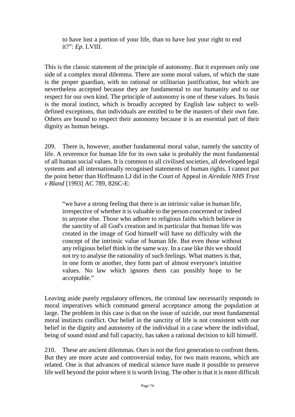to have lost a portion of your life, than to have lost your right to end it?": *Ep.* LVIII.

This is the classic statement of the principle of autonomy. But it expresses only one side of a complex moral dilemma. There are some moral values, of which the state is the proper guardian, with no rational or utilitarian justification, but which are nevertheless accepted because they are fundamental to our humanity and to our respect for our own kind. The principle of autonomy is one of these values. Its basis is the moral instinct, which is broadly accepted by English law subject to welldefined exceptions, that individuals are entitled to be the masters of their own fate. Others are bound to respect their autonomy because it is an essential part of their dignity as human beings.

209. There is, however, another fundamental moral value, namely the sanctity of life. A reverence for human life for its own sake is probably the most fundamental of all human social values. It is common to all civilised societies, all developed legal systems and all internationally recognised statements of human rights. I cannot put the point better than Hoffmann LJ did in the Court of Appeal in *Airedale NHS Trust v Bland* [1993] AC 789, 826C-E:

"we have a strong feeling that there is an intrinsic value in human life, irrespective of whether it is valuable to the person concerned or indeed to anyone else. Those who adhere to religious faiths which believe in the sanctity of all God's creation and in particular that human life was created in the image of God himself will have no difficulty with the concept of the intrinsic value of human life. But even those without any religious belief think in the same way. In a case like this we should not try to analyse the rationality of such feelings. What matters is that, in one form or another, they form part of almost everyone's intuitive values. No law which ignores them can possibly hope to be acceptable."

Leaving aside purely regulatory offences, the criminal law necessarily responds to moral imperatives which command general acceptance among the population at large. The problem in this case is that on the issue of suicide, our most fundamental moral instincts conflict. Our belief in the sanctity of life is not consistent with our belief in the dignity and autonomy of the individual in a case where the individual, being of sound mind and full capacity, has taken a rational decision to kill himself.

210. These are ancient dilemmas. Ours is not the first generation to confront them. But they are more acute and controversial today, for two main reasons, which are related. One is that advances of medical science have made it possible to preserve life well beyond the point where it is worth living. The other is that it is more difficult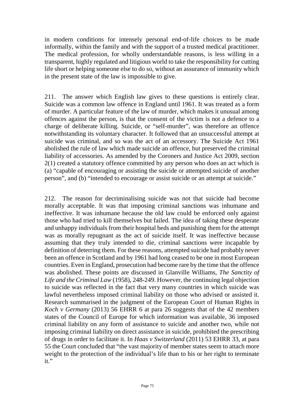in modern conditions for intensely personal end-of-life choices to be made informally, within the family and with the support of a trusted medical practitioner. The medical profession, for wholly understandable reasons, is less willing in a transparent, highly regulated and litigious world to take the responsibility for cutting life short or helping someone else to do so, without an assurance of immunity which in the present state of the law is impossible to give.

211. The answer which English law gives to these questions is entirely clear. Suicide was a common law offence in England until 1961. It was treated as a form of murder. A particular feature of the law of murder, which makes it unusual among offences against the person, is that the consent of the victim is not a defence to a charge of deliberate killing. Suicide, or "self-murder", was therefore an offence notwithstanding its voluntary character. It followed that an unsuccessful attempt at suicide was criminal, and so was the act of an accessory. The Suicide Act 1961 abolished the rule of law which made suicide an offence, but preserved the criminal liability of accessories. As amended by the Coroners and Justice Act 2009, section 2(1) created a statutory offence committed by any person who does an act which is (a) "capable of encouraging or assisting the suicide or attempted suicide of another person", and (b) "intended to encourage or assist suicide or an attempt at suicide."

212. The reason for decriminalising suicide was not that suicide had become morally acceptable. It was that imposing criminal sanctions was inhumane and ineffective. It was inhumane because the old law could be enforced only against those who had tried to kill themselves but failed. The idea of taking these desperate and unhappy individuals from their hospital beds and punishing them for the attempt was as morally repugnant as the act of suicide itself. It was ineffective because assuming that they truly intended to die, criminal sanctions were incapable by definition of deterring them. For these reasons, attempted suicide had probably never been an offence in Scotland and by 1961 had long ceased to be one in most European countries. Even in England, prosecution had become rare by the time that the offence was abolished. These points are discussed in Glanville Williams, *The Sanctity of Life and the Criminal Law* (1958), 248-249. However, the continuing legal objection to suicide was reflected in the fact that very many countries in which suicide was lawful nevertheless imposed criminal liability on those who advised or assisted it. Research summarised in the judgment of the European Court of Human Rights in *Koch v Germany* (2013) 56 EHRR 6 at para 26 suggests that of the 42 members states of the Council of Europe for which information was available, 36 imposed criminal liability on any form of assistance to suicide and another two, while not imposing criminal liability on direct assistance in suicide, prohibited the prescribing of drugs in order to facilitate it. In *Haas v Switzerland* (2011) 53 EHRR 33, at para 55 the Court concluded that "the vast majority of member states seem to attach more weight to the protection of the individual's life than to his or her right to terminate  $it$ "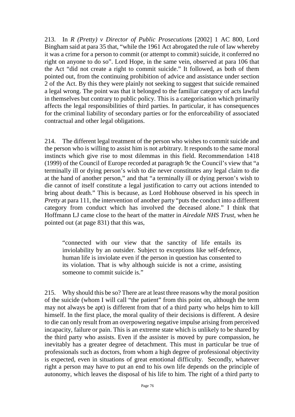213. In *R (Pretty) v Director of Public Prosecutions* [2002] 1 AC 800, Lord Bingham said at para 35 that, "while the 1961 Act abrogated the rule of law whereby it was a crime for a person to commit (or attempt to commit) suicide, it conferred no right on anyone to do so". Lord Hope, in the same vein, observed at para 106 that the Act "did not create a right to commit suicide." It followed, as both of them pointed out, from the continuing prohibition of advice and assistance under section 2 of the Act. By this they were plainly not seeking to suggest that suicide remained a legal wrong. The point was that it belonged to the familiar category of acts lawful in themselves but contrary to public policy. This is a categorisation which primarily affects the legal responsibilities of third parties. In particular, it has consequences for the criminal liability of secondary parties or for the enforceability of associated contractual and other legal obligations.

214. The different legal treatment of the person who wishes to commit suicide and the person who is willing to assist him is not arbitrary. It responds to the same moral instincts which give rise to most dilemmas in this field. Recommendation 1418 (1999) of the Council of Europe recorded at paragraph 9c the Council's view that "a terminally ill or dying person's wish to die never constitutes any legal claim to die at the hand of another person," and that "a terminally ill or dying person's wish to die cannot of itself constitute a legal justification to carry out actions intended to bring about death." This is because, as Lord Hobhouse observed in his speech in *Pretty* at para 111, the intervention of another party "puts the conduct into a different category from conduct which has involved the deceased alone." I think that Hoffmann LJ came close to the heart of the matter in *Airedale NHS Trust*, when he pointed out (at page 831) that this was,

"connected with our view that the sanctity of life entails its inviolability by an outsider. Subject to exceptions like self-defence, human life is inviolate even if the person in question has consented to its violation. That is why although suicide is not a crime, assisting someone to commit suicide is."

215. Why should this be so? There are at least three reasons why the moral position of the suicide (whom I will call "the patient" from this point on, although the term may not always be apt) is different from that of a third party who helps him to kill himself. In the first place, the moral quality of their decisions is different. A desire to die can only result from an overpowering negative impulse arising from perceived incapacity, failure or pain. This is an extreme state which is unlikely to be shared by the third party who assists. Even if the assister is moved by pure compassion, he inevitably has a greater degree of detachment. This must in particular be true of professionals such as doctors, from whom a high degree of professional objectivity is expected, even in situations of great emotional difficulty. Secondly, whatever right a person may have to put an end to his own life depends on the principle of autonomy, which leaves the disposal of his life to him. The right of a third party to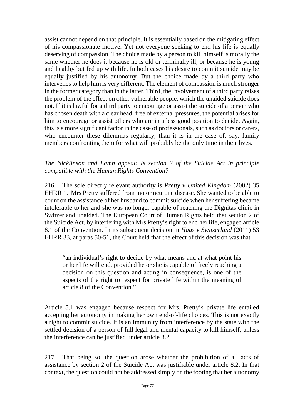assist cannot depend on that principle. It is essentially based on the mitigating effect of his compassionate motive. Yet not everyone seeking to end his life is equally deserving of compassion. The choice made by a person to kill himself is morally the same whether he does it because he is old or terminally ill, or because he is young and healthy but fed up with life. In both cases his desire to commit suicide may be equally justified by his autonomy. But the choice made by a third party who intervenes to help him is very different. The element of compassion is much stronger in the former category than in the latter. Third, the involvement of a third party raises the problem of the effect on other vulnerable people, which the unaided suicide does not. If it is lawful for a third party to encourage or assist the suicide of a person who has chosen death with a clear head, free of external pressures, the potential arises for him to encourage or assist others who are in a less good position to decide. Again, this is a more significant factor in the case of professionals, such as doctors or carers, who encounter these dilemmas regularly, than it is in the case of, say, family members confronting them for what will probably be the only time in their lives.

# *The Nicklinson and Lamb appeal: Is section 2 of the Suicide Act in principle compatible with the Human Rights Convention?*

216. The sole directly relevant authority is *Pretty v United Kingdom* (2002) 35 EHRR 1. Mrs Pretty suffered from motor neurone disease. She wanted to be able to count on the assistance of her husband to commit suicide when her suffering became intolerable to her and she was no longer capable of reaching the Dignitas clinic in Switzerland unaided. The European Court of Human Rights held that section 2 of the Suicide Act, by interfering with Mrs Pretty's right to end her life, engaged article 8.1 of the Convention. In its subsequent decision in *Haas v Switzerland* (2011) 53 EHRR 33, at paras 50-51, the Court held that the effect of this decision was that

"an individual's right to decide by what means and at what point his or her life will end, provided he or she is capable of freely reaching a decision on this question and acting in consequence, is one of the aspects of the right to respect for private life within the meaning of article 8 of the Convention."

Article 8.1 was engaged because respect for Mrs. Pretty's private life entailed accepting her autonomy in making her own end-of-life choices. This is not exactly a right to commit suicide. It is an immunity from interference by the state with the settled decision of a person of full legal and mental capacity to kill himself, unless the interference can be justified under article 8.2.

217. That being so, the question arose whether the prohibition of all acts of assistance by section 2 of the Suicide Act was justifiable under article 8.2. In that context, the question could not be addressed simply on the footing that her autonomy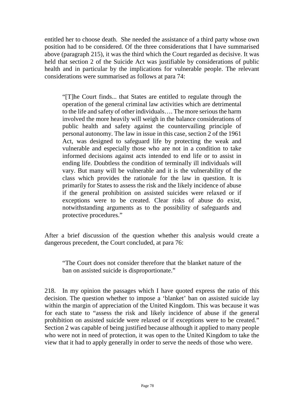entitled her to choose death. She needed the assistance of a third party whose own position had to be considered. Of the three considerations that I have summarised above (paragraph 215), it was the third which the Court regarded as decisive. It was held that section 2 of the Suicide Act was justifiable by considerations of public health and in particular by the implications for vulnerable people. The relevant considerations were summarised as follows at para 74:

"[T]he Court finds... that States are entitled to regulate through the operation of the general criminal law activities which are detrimental to the life and safety of other individuals…. The more serious the harm involved the more heavily will weigh in the balance considerations of public health and safety against the countervailing principle of personal autonomy. The law in issue in this case, section 2 of the 1961 Act, was designed to safeguard life by protecting the weak and vulnerable and especially those who are not in a condition to take informed decisions against acts intended to end life or to assist in ending life. Doubtless the condition of terminally ill individuals will vary. But many will be vulnerable and it is the vulnerability of the class which provides the rationale for the law in question. It is primarily for States to assess the risk and the likely incidence of abuse if the general prohibition on assisted suicides were relaxed or if exceptions were to be created. Clear risks of abuse do exist, notwithstanding arguments as to the possibility of safeguards and protective procedures."

After a brief discussion of the question whether this analysis would create a dangerous precedent, the Court concluded, at para 76:

"The Court does not consider therefore that the blanket nature of the ban on assisted suicide is disproportionate."

218. In my opinion the passages which I have quoted express the ratio of this decision. The question whether to impose a 'blanket' ban on assisted suicide lay within the margin of appreciation of the United Kingdom. This was because it was for each state to "assess the risk and likely incidence of abuse if the general prohibition on assisted suicide were relaxed or if exceptions were to be created." Section 2 was capable of being justified because although it applied to many people who were not in need of protection, it was open to the United Kingdom to take the view that it had to apply generally in order to serve the needs of those who were.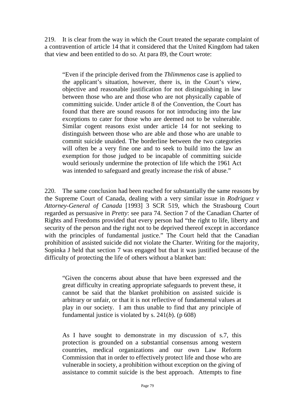219. It is clear from the way in which the Court treated the separate complaint of a contravention of article 14 that it considered that the United Kingdom had taken that view and been entitled to do so. At para 89, the Court wrote:

"Even if the principle derived from the *Thlimmenos* case is applied to the applicant's situation, however, there is, in the Court's view, objective and reasonable justification for not distinguishing in law between those who are and those who are not physically capable of committing suicide. Under article 8 of the Convention, the Court has found that there are sound reasons for not introducing into the law exceptions to cater for those who are deemed not to be vulnerable. Similar cogent reasons exist under article 14 for not seeking to distinguish between those who are able and those who are unable to commit suicide unaided. The borderline between the two categories will often be a very fine one and to seek to build into the law an exemption for those judged to be incapable of committing suicide would seriously undermine the protection of life which the 1961 Act was intended to safeguard and greatly increase the risk of abuse."

220. The same conclusion had been reached for substantially the same reasons by the Supreme Court of Canada, dealing with a very similar issue in *Rodriguez v Attorney-General of Canada* [1993] 3 SCR 519, which the Strasbourg Court regarded as persuasive in *Pretty*: see para 74. Section 7 of the Canadian Charter of Rights and Freedoms provided that every person had "the right to life, liberty and security of the person and the right not to be deprived thereof except in accordance with the principles of fundamental justice." The Court held that the Canadian prohibition of assisted suicide did not violate the Charter. Writing for the majority, Sopinka J held that section 7 was engaged but that it was justified because of the difficulty of protecting the life of others without a blanket ban:

"Given the concerns about abuse that have been expressed and the great difficulty in creating appropriate safeguards to prevent these, it cannot be said that the blanket prohibition on assisted suicide is arbitrary or unfair, or that it is not reflective of fundamental values at play in our society. I am thus unable to find that any principle of fundamental justice is violated by s. 241(*b*). (p 608)

As I have sought to demonstrate in my discussion of s.7, this protection is grounded on a substantial consensus among western countries, medical organizations and our own Law Reform Commission that in order to effectively protect life and those who are vulnerable in society, a prohibition without exception on the giving of assistance to commit suicide is the best approach. Attempts to fine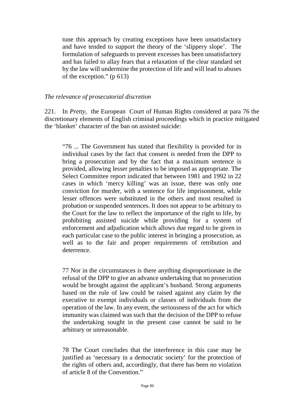tune this approach by creating exceptions have been unsatisfactory and have tended to support the theory of the 'slippery slope'. The formulation of safeguards to prevent excesses has been unsatisfactory and has failed to allay fears that a relaxation of the clear standard set by the law will undermine the protection of life and will lead to abuses of the exception." (p 613)

## *The relevance of prosecutorial discretion*

221. In *Pretty*, the European Court of Human Rights considered at para 76 the discretionary elements of English criminal proceedings which in practice mitigated the 'blanket' character of the ban on assisted suicide:

"76 ... The Government has stated that flexibility is provided for in individual cases by the fact that consent is needed from the DPP to bring a prosecution and by the fact that a maximum sentence is provided, allowing lesser penalties to be imposed as appropriate. The Select Committee report indicated that between 1981 and 1992 in 22 cases in which 'mercy killing' was an issue, there was only one conviction for murder, with a sentence for life imprisonment, while lesser offences were substituted in the others and most resulted in probation or suspended sentences. It does not appear to be arbitrary to the Court for the law to reflect the importance of the right to life, by prohibiting assisted suicide while providing for a system of enforcement and adjudication which allows due regard to be given in each particular case to the public interest in bringing a prosecution, as well as to the fair and proper requirements of retribution and deterrence.

77 Nor in the circumstances is there anything disproportionate in the refusal of the DPP to give an advance undertaking that no prosecution would be brought against the applicant's husband. Strong arguments based on the rule of law could be raised against any claim by the executive to exempt individuals or classes of individuals from the operation of the law. In any event, the seriousness of the act for which immunity was claimed was such that the decision of the DPP to refuse the undertaking sought in the present case cannot be said to be arbitrary or unreasonable.

78 The Court concludes that the interference in this case may be justified as 'necessary in a democratic society' for the protection of the rights of others and, accordingly, that there has been no violation of article 8 of the Convention."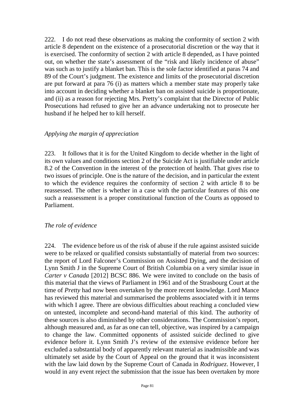222. I do not read these observations as making the conformity of section 2 with article 8 dependent on the existence of a prosecutorial discretion or the way that it is exercised. The conformity of section 2 with article 8 depended, as I have pointed out, on whether the state's assessment of the "risk and likely incidence of abuse" was such as to justify a blanket ban. This is the sole factor identified at paras 74 and 89 of the Court's judgment. The existence and limits of the prosecutorial discretion are put forward at para 76 (i) as matters which a member state may properly take into account in deciding whether a blanket ban on assisted suicide is proportionate, and (ii) as a reason for rejecting Mrs. Pretty's complaint that the Director of Public Prosecutions had refused to give her an advance undertaking not to prosecute her husband if he helped her to kill herself.

## *Applying the margin of appreciation*

223. It follows that it is for the United Kingdom to decide whether in the light of its own values and conditions section 2 of the Suicide Act is justifiable under article 8.2 of the Convention in the interest of the protection of health. That gives rise to two issues of principle. One is the nature of the decision, and in particular the extent to which the evidence requires the conformity of section 2 with article 8 to be reassessed. The other is whether in a case with the particular features of this one such a reassessment is a proper constitutional function of the Courts as opposed to Parliament.

# *The role of evidence*

224. The evidence before us of the risk of abuse if the rule against assisted suicide were to be relaxed or qualified consists substantially of material from two sources: the report of Lord Falconer's Commission on Assisted Dying, and the decision of Lynn Smith J in the Supreme Court of British Columbia on a very similar issue in *Carter v Canada* [2012] BCSC 886. We were invited to conclude on the basis of this material that the views of Parliament in 1961 and of the Strasbourg Court at the time of *Pretty* had now been overtaken by the more recent knowledge. Lord Mance has reviewed this material and summarised the problems associated with it in terms with which I agree. There are obvious difficulties about reaching a concluded view on untested, incomplete and second-hand material of this kind. The authority of these sources is also diminished by other considerations. The Commission's report, although measured and, as far as one can tell, objective, was inspired by a campaign to change the law. Committed opponents of assisted suicide declined to give evidence before it. Lynn Smith J's review of the extensive evidence before her excluded a substantial body of apparently relevant material as inadmissible and was ultimately set aside by the Court of Appeal on the ground that it was inconsistent with the law laid down by the Supreme Court of Canada in *Rodriguez*. However, I would in any event reject the submission that the issue has been overtaken by more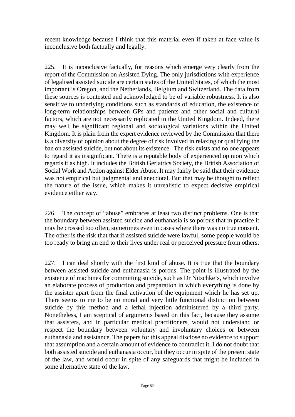recent knowledge because I think that this material even if taken at face value is inconclusive both factually and legally.

225. It is inconclusive factually, for reasons which emerge very clearly from the report of the Commission on Assisted Dying. The only jurisdictions with experience of legalised assisted suicide are certain states of the United States, of which the most important is Oregon, and the Netherlands, Belgium and Switzerland. The data from these sources is contested and acknowledged to be of variable robustness. It is also sensitive to underlying conditions such as standards of education, the existence of long-term relationships between GPs and patients and other social and cultural factors, which are not necessarily replicated in the United Kingdom. Indeed, there may well be significant regional and sociological variations within the United Kingdom. It is plain from the expert evidence reviewed by the Commission that there is a diversity of opinion about the degree of risk involved in relaxing or qualifying the ban on assisted suicide, but not about its existence. The risk exists and no one appears to regard it as insignificant. There is a reputable body of experienced opinion which regards it as high. It includes the British Geriatrics Society, the British Association of Social Work and Action against Elder Abuse. It may fairly be said that their evidence was not empirical but judgmental and anecdotal. But that may be thought to reflect the nature of the issue, which makes it unrealistic to expect decisive empirical evidence either way.

226. The concept of "abuse" embraces at least two distinct problems. One is that the boundary between assisted suicide and euthanasia is so porous that in practice it may be crossed too often, sometimes even in cases where there was no true consent. The other is the risk that that if assisted suicide were lawful, some people would be too ready to bring an end to their lives under real or perceived pressure from others.

227. I can deal shortly with the first kind of abuse. It is true that the boundary between assisted suicide and euthanasia is porous. The point is illustrated by the existence of machines for committing suicide, such as Dr Nitschke's, which involve an elaborate process of production and preparation in which everything is done by the assister apart from the final activation of the equipment which he has set up. There seems to me to be no moral and very little functional distinction between suicide by this method and a lethal injection administered by a third party. Nonetheless, I am sceptical of arguments based on this fact, because they assume that assisters, and in particular medical practitioners, would not understand or respect the boundary between voluntary and involuntary choices or between euthanasia and assistance. The papers for this appeal disclose no evidence to support that assumption and a certain amount of evidence to contradict it. I do not doubt that both assisted suicide and euthanasia occur, but they occur in spite of the present state of the law, and would occur in spite of any safeguards that might be included in some alternative state of the law.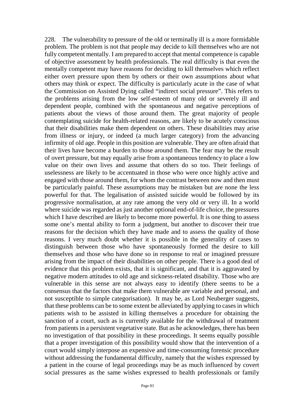228. The vulnerability to pressure of the old or terminally ill is a more formidable problem. The problem is not that people may decide to kill themselves who are not fully competent mentally. I am prepared to accept that mental competence is capable of objective assessment by health professionals. The real difficulty is that even the mentally competent may have reasons for deciding to kill themselves which reflect either overt pressure upon them by others or their own assumptions about what others may think or expect. The difficulty is particularly acute in the case of what the Commission on Assisted Dying called "indirect social pressure". This refers to the problems arising from the low self-esteem of many old or severely ill and dependent people, combined with the spontaneous and negative perceptions of patients about the views of those around them. The great majority of people contemplating suicide for health-related reasons, are likely to be acutely conscious that their disabilities make them dependent on others. These disabilities may arise from illness or injury, or indeed (a much larger category) from the advancing infirmity of old age. People in this position are vulnerable. They are often afraid that their lives have become a burden to those around them. The fear may be the result of overt pressure, but may equally arise from a spontaneous tendency to place a low value on their own lives and assume that others do so too. Their feelings of uselessness are likely to be accentuated in those who were once highly active and engaged with those around them, for whom the contrast between now and then must be particularly painful. These assumptions may be mistaken but are none the less powerful for that. The legalisation of assisted suicide would be followed by its progressive normalisation, at any rate among the very old or very ill. In a world where suicide was regarded as just another optional end-of-life choice, the pressures which I have described are likely to become more powerful. It is one thing to assess some one's mental ability to form a judgment, but another to discover their true reasons for the decision which they have made and to assess the quality of those reasons. I very much doubt whether it is possible in the generality of cases to distinguish between those who have spontaneously formed the desire to kill themselves and those who have done so in response to real or imagined pressure arising from the impact of their disabilities on other people. There is a good deal of evidence that this problem exists, that it is significant, and that it is aggravated by negative modern attitudes to old age and sickness-related disability. Those who are vulnerable in this sense are not always easy to identify (there seems to be a consensus that the factors that make them vulnerable are variable and personal, and not susceptible to simple categorisation). It may be, as Lord Neuberger suggests, that these problems can be to some extent be alleviated by applying to cases in which patients wish to be assisted in killing themselves a procedure for obtaining the sanction of a court, such as is currently available for the withdrawal of treatment from patients in a persistent vegetative state. But as he acknowledges, there has been no investigation of that possibility in these proceedings. It seems equally possible that a proper investigation of this possibility would show that the intervention of a court would simply interpose an expensive and time-consuming forensic procedure without addressing the fundamental difficulty, namely that the wishes expressed by a patient in the course of legal proceedings may be as much influenced by covert social pressures as the same wishes expressed to health professionals or family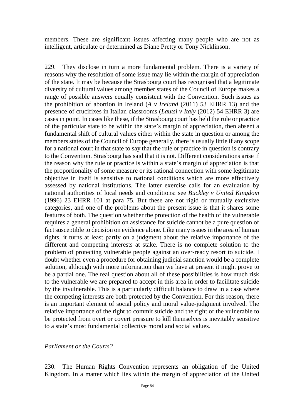members. These are significant issues affecting many people who are not as intelligent, articulate or determined as Diane Pretty or Tony Nicklinson.

229. They disclose in turn a more fundamental problem. There is a variety of reasons why the resolution of some issue may lie within the margin of appreciation of the state. It may be because the Strasbourg court has recognised that a legitimate diversity of cultural values among member states of the Council of Europe makes a range of possible answers equally consistent with the Convention. Such issues as the prohibition of abortion in Ireland (*A v Ireland* (2011) 53 EHRR 13) and the presence of crucifixes in Italian classrooms (*Lautsi v Italy* (2012) 54 EHRR 3) are cases in point. In cases like these, if the Strasbourg court has held the rule or practice of the particular state to be within the state's margin of appreciation, then absent a fundamental shift of cultural values either within the state in question or among the members states of the Council of Europe generally, there is usually little if any scope for a national court in that state to say that the rule or practice in question is contrary to the Convention. Strasbourg has said that it is not. Different considerations arise if the reason why the rule or practice is within a state's margin of appreciation is that the proportionality of some measure or its rational connection with some legitimate objective in itself is sensitive to national conditions which are more effectively assessed by national institutions. The latter exercise calls for an evaluation by national authorities of local needs and conditions: see *Buckley v United Kingdom* (1996) 23 EHRR 101 at para 75. But these are not rigid or mutually exclusive categories, and one of the problems about the present issue is that it shares some features of both. The question whether the protection of the health of the vulnerable requires a general prohibition on assistance for suicide cannot be a pure question of fact susceptible to decision on evidence alone. Like many issues in the area of human rights, it turns at least partly on a judgment about the relative importance of the different and competing interests at stake. There is no complete solution to the problem of protecting vulnerable people against an over-ready resort to suicide. I doubt whether even a procedure for obtaining judicial sanction would be a complete solution, although with more information than we have at present it might prove to be a partial one. The real question about all of these possibilities is how much risk to the vulnerable we are prepared to accept in this area in order to facilitate suicide by the invulnerable. This is a particularly difficult balance to draw in a case where the competing interests are both protected by the Convention. For this reason, there is an important element of social policy and moral value-judgment involved. The relative importance of the right to commit suicide and the right of the vulnerable to be protected from overt or covert pressure to kill themselves is inevitably sensitive to a state's most fundamental collective moral and social values.

#### *Parliament or the Courts?*

230. The Human Rights Convention represents an obligation of the United Kingdom. In a matter which lies within the margin of appreciation of the United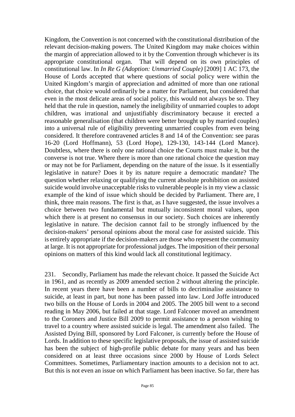Kingdom, the Convention is not concerned with the constitutional distribution of the relevant decision-making powers. The United Kingdom may make choices within the margin of appreciation allowed to it by the Convention through whichever is its appropriate constitutional organ. That will depend on its own principles of constitutional law. In *In Re G (Adoption: Unmarried Couple)* [2009] 1 AC 173, the House of Lords accepted that where questions of social policy were within the United Kingdom's margin of appreciation and admitted of more than one rational choice, that choice would ordinarily be a matter for Parliament, but considered that even in the most delicate areas of social policy, this would not always be so. They held that the rule in question, namely the ineligibility of unmarried couples to adopt children, was irrational and unjustifiably discriminatory because it erected a reasonable generalisation (that children were better brought up by married couples) into a universal rule of eligibility preventing unmarried couples from even being considered. It therefore contravened articles 8 and 14 of the Convention: see paras 16-20 (Lord Hoffmann), 53 (Lord Hope), 129-130, 143-144 (Lord Mance). Doubtless, where there is only one rational choice the Courts must make it, but the converse is not true. Where there is more than one rational choice the question may or may not be for Parliament, depending on the nature of the issue. Is it essentially legislative in nature? Does it by its nature require a democratic mandate? The question whether relaxing or qualifying the current absolute prohibition on assisted suicide would involve unacceptable risks to vulnerable people is in my view a classic example of the kind of issue which should be decided by Parliament. There are, I think, three main reasons. The first is that, as I have suggested, the issue involves a choice between two fundamental but mutually inconsistent moral values, upon which there is at present no consensus in our society. Such choices are inherently legislative in nature. The decision cannot fail to be strongly influenced by the decision-makers' personal opinions about the moral case for assisted suicide. This is entirely appropriate if the decision-makers are those who represent the community at large. It is not appropriate for professional judges. The imposition of their personal opinions on matters of this kind would lack all constitutional legitimacy.

231. Secondly, Parliament has made the relevant choice. It passed the Suicide Act in 1961, and as recently as 2009 amended section 2 without altering the principle. In recent years there have been a number of bills to decriminalise assistance to suicide, at least in part, but none has been passed into law. Lord Joffe introduced two bills on the House of Lords in 2004 and 2005. The 2005 bill went to a second reading in May 2006, but failed at that stage. Lord Falconer moved an amendment to the Coroners and Justice Bill 2009 to permit assistance to a person wishing to travel to a country where assisted suicide is legal. The amendment also failed. The Assisted Dying Bill, sponsored by Lord Falconer, is currently before the House of Lords. In addition to these specific legislative proposals, the issue of assisted suicide has been the subject of high-profile public debate for many years and has been considered on at least three occasions since 2000 by House of Lords Select Committees. Sometimes, Parliamentary inaction amounts to a decision not to act. But this is not even an issue on which Parliament has been inactive. So far, there has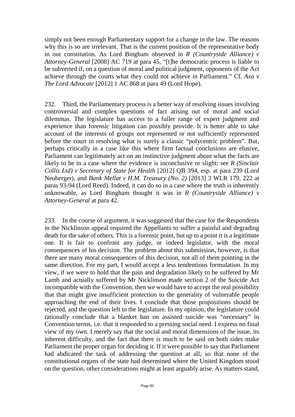simply not been enough Parliamentary support for a change in the law. The reasons why this is so are irrelevant. That is the current position of the representative body in our constitution. As Lord Bingham observed in *R (Countryside Alliance) v Attorney-General* [2008] AC 719 at para 45, "[t]he democratic process is liable to be subverted if, on a question of moral and political judgment, opponents of the Act achieve through the courts what they could not achieve in Parliament." Cf. *Axa v The Lord Advocate* [2012] 1 AC 868 at para 49 (Lord Hope).

232. Third, the Parliamentary process is a better way of resolving issues involving controversial and complex questions of fact arising out of moral and social dilemmas. The legislature has access to a fuller range of expert judgment and experience than forensic litigation can possibly provide. It is better able to take account of the interests of groups not represented or not sufficiently represented before the court in resolving what is surely a classic "polycentric problem". But, perhaps critically in a case like this where firm factual conclusions are elusive, Parliament can legitimately act on an instinctive judgment about what the facts are likely to be in a case where the evidence is inconclusive or slight: see *R* (*Sinclair*) *Collis Ltd) v Secretary of State for Health* [2012] QB 394, esp. at para 239 (Lord Neuberger), and *Bank Mellat v H.M. Treasury (No. 2)* [2013] 3 WLR 179, 222 at paras 93-94 (Lord Reed). Indeed, it can do so in a case where the truth is inherently unknowable, as Lord Bingham thought it was in *R (Countryside Alliance) v Attorney-General* at para 42.

233. In the course of argument, it was suggested that the case for the Respondents in the Nicklinson appeal required the Appellants to suffer a painful and degrading death for the sake of others. This is a forensic point, but up to a point it is a legitimate one. It is fair to confront any judge, or indeed legislator, with the moral consequences of his decision. The problem about this submission, however, is that there are many moral consequences of this decision, not all of them pointing in the same direction. For my part, I would accept a less tendentious formulation. In my view, if we were to hold that the pain and degradation likely to be suffered by Mr Lamb and actually suffered by Mr Nicklinson made section 2 of the Suicide Act incompatible with the Convention, then we would have to accept the real possibility that that might give insufficient protection to the generality of vulnerable people approaching the end of their lives. I conclude that those propositions should be rejected, and the question left to the legislature. In my opinion, the legislature could rationally conclude that a blanket ban on assisted suicide was "necessary" in Convention terms, i.e. that it responded to a pressing social need. I express no final view of my own. I merely say that the social and moral dimensions of the issue, its inherent difficulty, and the fact that there is much to be said on both sides make Parliament the proper organ for deciding it. If it were possible to say that Parliament had abdicated the task of addressing the question at all, so that none of the constitutional organs of the state had determined where the United Kingdom stood on the question, other considerations might at least arguably arise. As matters stand,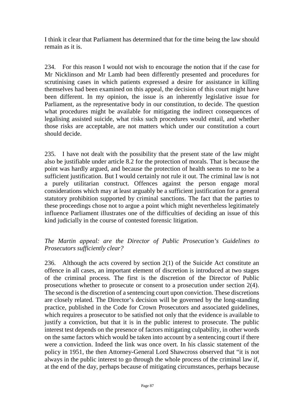I think it clear that Parliament has determined that for the time being the law should remain as it is.

234. For this reason I would not wish to encourage the notion that if the case for Mr Nicklinson and Mr Lamb had been differently presented and procedures for scrutinising cases in which patients expressed a desire for assistance in killing themselves had been examined on this appeal, the decision of this court might have been different. In my opinion, the issue is an inherently legislative issue for Parliament, as the representative body in our constitution, to decide. The question what procedures might be available for mitigating the indirect consequences of legalising assisted suicide, what risks such procedures would entail, and whether those risks are acceptable, are not matters which under our constitution a court should decide.

235. I have not dealt with the possibility that the present state of the law might also be justifiable under article 8.2 for the protection of morals. That is because the point was hardly argued, and because the protection of health seems to me to be a sufficient justification. But I would certainly not rule it out. The criminal law is not a purely utilitarian construct. Offences against the person engage moral considerations which may at least arguably be a sufficient justification for a general statutory prohibition supported by criminal sanctions. The fact that the parties to these proceedings chose not to argue a point which might nevertheless legitimately influence Parliament illustrates one of the difficulties of deciding an issue of this kind judicially in the course of contested forensic litigation.

# *The Martin appeal: are the Director of Public Prosecution's Guidelines to Prosecutors sufficiently clear?*

236. Although the acts covered by section 2(1) of the Suicide Act constitute an offence in all cases, an important element of discretion is introduced at two stages of the criminal process. The first is the discretion of the Director of Public prosecutions whether to prosecute or consent to a prosecution under section 2(4). The second is the discretion of a sentencing court upon conviction. These discretions are closely related. The Director's decision will be governed by the long-standing practice, published in the Code for Crown Prosecutors and associated guidelines, which requires a prosecutor to be satisfied not only that the evidence is available to justify a conviction, but that it is in the public interest to prosecute. The public interest test depends on the presence of factors mitigating culpability, in other words on the same factors which would be taken into account by a sentencing court if there were a conviction. Indeed the link was once overt. In his classic statement of the policy in 1951, the then Attorney-General Lord Shawcross observed that "it is not always in the public interest to go through the whole process of the criminal law if, at the end of the day, perhaps because of mitigating circumstances, perhaps because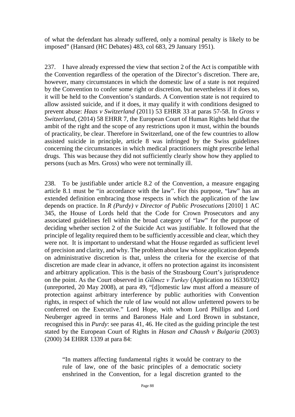of what the defendant has already suffered, only a nominal penalty is likely to be imposed" (Hansard (HC Debates) 483, col 683, 29 January 1951).

237. I have already expressed the view that section 2 of the Act is compatible with the Convention regardless of the operation of the Director's discretion. There are, however, many circumstances in which the domestic law of a state is not required by the Convention to confer some right or discretion, but nevertheless if it does so, it will be held to the Convention's standards. A Convention state is not required to allow assisted suicide, and if it does, it may qualify it with conditions designed to prevent abuse: *Haas v Switzerland* (2011) 53 EHRR 33 at paras 57-58. In *Gross v Switzerland*, (2014) 58 EHRR 7, the European Court of Human Rights held that the ambit of the right and the scope of any restrictions upon it must, within the bounds of practicality, be clear. Therefore in Switzerland, one of the few countries to allow assisted suicide in principle, article 8 was infringed by the Swiss guidelines concerning the circumstances in which medical practitioners might prescribe lethal drugs. This was because they did not sufficiently clearly show how they applied to persons (such as Mrs. Gross) who were not terminally ill.

238. To be justifiable under article 8.2 of the Convention, a measure engaging article 8.1 must be "in accordance with the law". For this purpose, "law" has an extended definition embracing those respects in which the application of the law depends on practice. In *R (Purdy) v Director of Public Prosecutions* [2010] 1 AC 345, the House of Lords held that the Code for Crown Prosecutors and any associated guidelines fell within the broad category of "law" for the purpose of deciding whether section 2 of the Suicide Act was justifiable. It followed that the principle of legality required them to be sufficiently accessible and clear, which they were not. It is important to understand what the House regarded as sufficient level of precision and clarity, and why. The problem about law whose application depends on administrative discretion is that, unless the criteria for the exercise of that discretion are made clear in advance, it offers no protection against its inconsistent and arbitrary application. This is the basis of the Strasbourg Court's jurisprudence on the point. As the Court observed in *Gűlmez v Turkey* (Application no 16330/02) (unreported, 20 May 2008), at para 49, "[d]omestic law must afford a measure of protection against arbitrary interference by public authorities with Convention rights, in respect of which the rule of law would not allow unfettered powers to be conferred on the Executive." Lord Hope, with whom Lord Phillips and Lord Neuberger agreed in terms and Baroness Hale and Lord Brown in substance, recognised this in *Purdy*: see paras 41, 46. He cited as the guiding principle the test stated by the European Court of Rights in *Hasan and Chaush v Bulgaria* (2003) (2000) 34 EHRR 1339 at para 84:

"In matters affecting fundamental rights it would be contrary to the rule of law, one of the basic principles of a democratic society enshrined in the Convention, for a legal discretion granted to the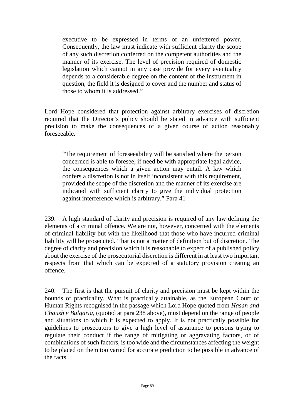executive to be expressed in terms of an unfettered power. Consequently, the law must indicate with sufficient clarity the scope of any such discretion conferred on the competent authorities and the manner of its exercise. The level of precision required of domestic legislation which cannot in any case provide for every eventuality depends to a considerable degree on the content of the instrument in question, the field it is designed to cover and the number and status of those to whom it is addressed."

Lord Hope considered that protection against arbitrary exercises of discretion required that the Director's policy should be stated in advance with sufficient precision to make the consequences of a given course of action reasonably foreseeable.

"The requirement of foreseeability will be satisfied where the person concerned is able to foresee, if need be with appropriate legal advice, the consequences which a given action may entail. A law which confers a discretion is not in itself inconsistent with this requirement, provided the scope of the discretion and the manner of its exercise are indicated with sufficient clarity to give the individual protection against interference which is arbitrary." Para 41

239. A high standard of clarity and precision is required of any law defining the elements of a criminal offence. We are not, however, concerned with the elements of criminal liability but with the likelihood that those who have incurred criminal liability will be prosecuted. That is not a matter of definition but of discretion. The degree of clarity and precision which it is reasonable to expect of a published policy about the exercise of the prosecutorial discretion is different in at least two important respects from that which can be expected of a statutory provision creating an offence.

240. The first is that the pursuit of clarity and precision must be kept within the bounds of practicality. What is practically attainable, as the European Court of Human Rights recognised in the passage which Lord Hope quoted from *Hasan and Chaush v Bulgaria*, (quoted at para 238 above), must depend on the range of people and situations to which it is expected to apply. It is not practically possible for guidelines to prosecutors to give a high level of assurance to persons trying to regulate their conduct if the range of mitigating or aggravating factors, or of combinations of such factors, is too wide and the circumstances affecting the weight to be placed on them too varied for accurate prediction to be possible in advance of the facts.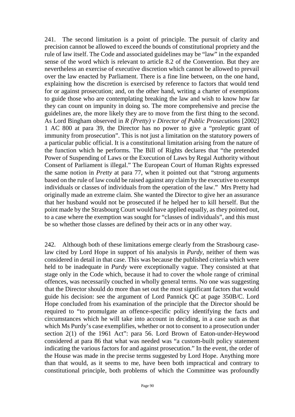241. The second limitation is a point of principle. The pursuit of clarity and precision cannot be allowed to exceed the bounds of constitutional propriety and the rule of law itself. The Code and associated guidelines may be "law" in the expanded sense of the word which is relevant to article 8.2 of the Convention. But they are nevertheless an exercise of executive discretion which cannot be allowed to prevail over the law enacted by Parliament. There is a fine line between, on the one hand, explaining how the discretion is exercised by reference to factors that would tend for or against prosecution; and, on the other hand, writing a charter of exemptions to guide those who are contemplating breaking the law and wish to know how far they can count on impunity in doing so. The more comprehensive and precise the guidelines are, the more likely they are to move from the first thing to the second. As Lord Bingham observed in *R (Pretty) v Director of Public Prosecutions* [2002] 1 AC 800 at para 39, the Director has no power to give a "proleptic grant of immunity from prosecution". This is not just a limitation on the statutory powers of a particular public official. It is a constitutional limitation arising from the nature of the function which he performs. The Bill of Rights declares that "the pretended Power of Suspending of Laws or the Execution of Laws by Regal Authority without Consent of Parliament is illegal." The European Court of Human Rights expressed the same notion in *Pretty* at para 77, when it pointed out that "strong arguments based on the rule of law could be raised against any claim by the executive to exempt individuals or classes of individuals from the operation of the law." Mrs Pretty had originally made an extreme claim. She wanted the Director to give her an assurance that her husband would not be prosecuted if he helped her to kill herself. But the point made by the Strasbourg Court would have applied equally, as they pointed out, to a case where the exemption was sought for "classes of individuals", and this must be so whether those classes are defined by their acts or in any other way.

242. Although both of these limitations emerge clearly from the Strasbourg caselaw cited by Lord Hope in support of his analysis in *Purdy*, neither of them was considered in detail in that case. This was because the published criteria which were held to be inadequate in *Purdy* were exceptionally vague. They consisted at that stage only in the Code which, because it had to cover the whole range of criminal offences, was necessarily couched in wholly general terms. No one was suggesting that the Director should do more than set out the most significant factors that would guide his decision: see the argument of Lord Pannick QC at page 350B/C. Lord Hope concluded from his examination of the principle that the Director should be required to "to promulgate an offence-specific policy identifying the facts and circumstances which he will take into account in deciding, in a case such as that which Ms Purdy's case exemplifies, whether or not to consent to a prosecution under section 2(1) of the 1961 Act": para 56. Lord Brown of Eaton-under-Heywood considered at para 86 that what was needed was "a custom-built policy statement indicating the various factors for and against prosecution." In the event, the order of the House was made in the precise terms suggested by Lord Hope. Anything more than that would, as it seems to me, have been both impractical and contrary to constitutional principle, both problems of which the Committee was profoundly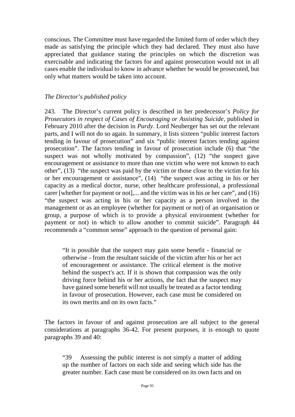conscious. The Committee must have regarded the limited form of order which they made as satisfying the principle which they had declared. They must also have appreciated that guidance stating the principles on which the discretion was exercisable and indicating the factors for and against prosecution would not in all cases enable the individual to know in advance whether he would be prosecuted, but only what matters would be taken into account.

# *The Director's published policy*

243. The Director's current policy is described in her predecessor's *Policy for Prosecutors in respect of Cases of Encouraging or Assisting Suicide*, published in February 2010 after the decision in *Purdy*. Lord Neuberger has set out the relevant parts, and I will not do so again. In summary, it lists sixteen "public interest factors tending in favour of prosecution" and six "public interest factors tending against prosecution". The factors tending in favour of prosecution include (6) that "the suspect was not wholly motivated by compassion", (12) "the suspect gave encouragement or assistance to more than one victim who were not known to each other", (13) "the suspect was paid by the victim or those close to the victim for his or her encouragement or assistance", (14) "the suspect was acting in his or her capacity as a medical doctor, nurse, other healthcare professional, a professional carer [whether for payment or not],... and the victim was in his or her care", and (16) "the suspect was acting in his or her capacity as a person involved in the management or as an employee (whether for payment or not) of an organisation or group, a purpose of which is to provide a physical environment (whether for payment or not) in which to allow another to commit suicide". Paragraph 44 recommends a "common sense" approach to the question of personal gain:

"It is possible that the suspect may gain some benefit - financial or otherwise - from the resultant suicide of the victim after his or her act of encouragement or assistance. The critical element is the motive behind the suspect's act. If it is shown that compassion was the only driving force behind his or her actions, the fact that the suspect may have gained some benefit will not usually be treated as a factor tending in favour of prosecution. However, each case must be considered on its own merits and on its own facts."

The factors in favour of and against prosecution are all subject to the general considerations at paragraphs 36-42. For present purposes, it is enough to quote paragraphs 39 and 40:

"39 Assessing the public interest is not simply a matter of adding up the number of factors on each side and seeing which side has the greater number. Each case must be considered on its own facts and on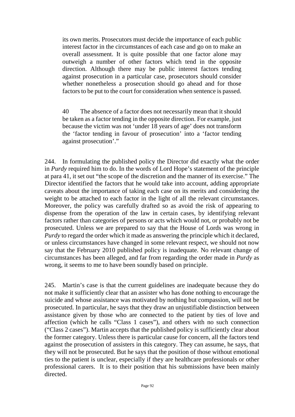its own merits. Prosecutors must decide the importance of each public interest factor in the circumstances of each case and go on to make an overall assessment. It is quite possible that one factor alone may outweigh a number of other factors which tend in the opposite direction. Although there may be public interest factors tending against prosecution in a particular case, prosecutors should consider whether nonetheless a prosecution should go ahead and for those factors to be put to the court for consideration when sentence is passed.

40 The absence of a factor does not necessarily mean that it should be taken as a factor tending in the opposite direction. For example, just because the victim was not 'under 18 years of age' does not transform the 'factor tending in favour of prosecution' into a 'factor tending against prosecution'."

244. In formulating the published policy the Director did exactly what the order in *Purdy* required him to do. In the words of Lord Hope's statement of the principle at para 41, it set out "the scope of the discretion and the manner of its exercise." The Director identified the factors that he would take into account, adding appropriate caveats about the importance of taking each case on its merits and considering the weight to be attached to each factor in the light of all the relevant circumstances. Moreover, the policy was carefully drafted so as avoid the risk of appearing to dispense from the operation of the law in certain cases, by identifying relevant factors rather than categories of persons or acts which would not, or probably not be prosecuted. Unless we are prepared to say that the House of Lords was wrong in *Purdy* to regard the order which it made as answering the principle which it declared, or unless circumstances have changed in some relevant respect, we should not now say that the February 2010 published policy is inadequate. No relevant change of circumstances has been alleged, and far from regarding the order made in *Purdy* as wrong, it seems to me to have been soundly based on principle.

245. Martin's case is that the current guidelines are inadequate because they do not make it sufficiently clear that an assister who has done nothing to encourage the suicide and whose assistance was motivated by nothing but compassion, will not be prosecuted. In particular, he says that they draw an unjustifiable distinction between assistance given by those who are connected to the patient by ties of love and affection (which he calls "Class 1 cases"), and others with no such connection ("Class 2 cases"). Martin accepts that the published policy is sufficiently clear about the former category. Unless there is particular cause for concern, all the factors tend against the prosecution of assisters in this category. They can assume, he says, that they will not be prosecuted. But he says that the position of those without emotional ties to the patient is unclear, especially if they are healthcare professionals or other professional carers. It is to their position that his submissions have been mainly directed.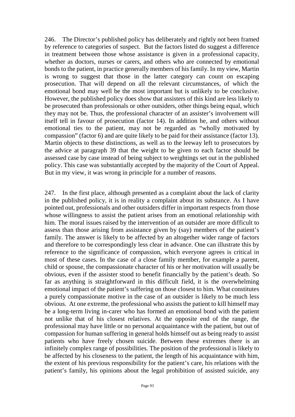246. The Director's published policy has deliberately and rightly not been framed by reference to categories of suspect. But the factors listed do suggest a difference in treatment between those whose assistance is given in a professional capacity, whether as doctors, nurses or carers, and others who are connected by emotional bonds to the patient, in practice generally members of his family. In my view, Martin is wrong to suggest that those in the latter category can count on escaping prosecution. That will depend on all the relevant circumstances, of which the emotional bond may well be the most important but is unlikely to be conclusive. However, the published policy does show that assisters of this kind are less likely to be prosecuted than professionals or other outsiders, other things being equal, which they may not be. Thus, the professional character of an assister's involvement will itself tell in favour of prosecution (factor 14). In addition he, and others without emotional ties to the patient, may not be regarded as "wholly motivated by compassion" (factor 6) and are quite likely to be paid for their assistance (factor 13). Martin objects to these distinctions, as well as to the leeway left to prosecutors by the advice at paragraph 39 that the weight to be given to each factor should be assessed case by case instead of being subject to weightings set out in the published policy. This case was substantially accepted by the majority of the Court of Appeal. But in my view, it was wrong in principle for a number of reasons.

247. In the first place, although presented as a complaint about the lack of clarity in the published policy, it is in reality a complaint about its substance. As I have pointed out, professionals and other outsiders differ in important respects from those whose willingness to assist the patient arises from an emotional relationship with him. The moral issues raised by the intervention of an outsider are more difficult to assess than those arising from assistance given by (say) members of the patient's family. The answer is likely to be affected by an altogether wider range of factors and therefore to be correspondingly less clear in advance. One can illustrate this by reference to the significance of compassion, which everyone agrees is critical in most of these cases. In the case of a close family member, for example a parent, child or spouse, the compassionate character of his or her motivation will usually be obvious, even if the assister stood to benefit financially by the patient's death. So far as anything is straightforward in this difficult field, it is the overwhelming emotional impact of the patient's suffering on those closest to him. What constitutes a purely compassionate motive in the case of an outsider is likely to be much less obvious. At one extreme, the professional who assists the patient to kill himself may be a long-term living in-carer who has formed an emotional bond with the patient not unlike that of his closest relatives. At the opposite end of the range, the professional may have little or no personal acquaintance with the patient, but out of compassion for human suffering in general holds himself out as being ready to assist patients who have freely chosen suicide. Between these extremes there is an infinitely complex range of possibilities. The position of the professional is likely to be affected by his closeness to the patient, the length of his acquaintance with him, the extent of his previous responsibility for the patient's care, his relations with the patient's family, his opinions about the legal prohibition of assisted suicide, any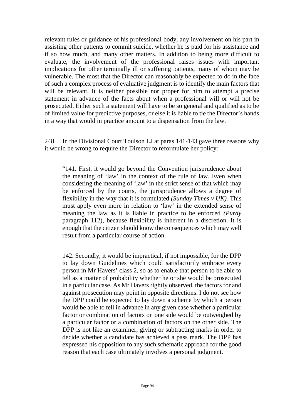relevant rules or guidance of his professional body, any involvement on his part in assisting other patients to commit suicide, whether he is paid for his assistance and if so how much, and many other matters. In addition to being more difficult to evaluate, the involvement of the professional raises issues with important implications for other terminally ill or suffering patients, many of whom may be vulnerable. The most that the Director can reasonably be expected to do in the face of such a complex process of evaluative judgment is to identify the main factors that will be relevant. It is neither possible nor proper for him to attempt a precise statement in advance of the facts about when a professional will or will not be prosecuted. Either such a statement will have to be so general and qualified as to be of limited value for predictive purposes, or else it is liable to tie the Director's hands in a way that would in practice amount to a dispensation from the law.

248. In the Divisional Court Toulson LJ at paras 141-143 gave three reasons why it would be wrong to require the Director to reformulate her policy:

"141. First, it would go beyond the Convention jurisprudence about the meaning of 'law' in the context of the rule of law. Even when considering the meaning of 'law' in the strict sense of that which may be enforced by the courts, the jurisprudence allows a degree of flexibility in the way that it is formulated *(Sunday Times v UK).* This must apply even more in relation to 'law' in the extended sense of meaning the law as it is liable in practice to be enforced *(Purdy*  paragraph 112), because flexibility is inherent in a discretion. It is enough that the citizen should know the consequences which may well result from a particular course of action.

142. Secondly, it would be impractical, if not impossible, for the DPP to lay down Guidelines which could satisfactorily embrace every person in Mr Havers' class 2, so as to enable that person to be able to tell as a matter of probability whether he or she would be prosecuted in a particular case. As Mr Havers rightly observed, the factors for and against prosecution may point in opposite directions. I do not see how the DPP could be expected to lay down a scheme by which a person would be able to tell in advance in any given case whether a particular factor or combination of factors on one side would be outweighed by a particular factor or a combination of factors on the other side. The DPP is not like an examiner, giving or subtracting marks in order to decide whether a candidate has achieved a pass mark. The DPP has expressed his opposition to any such schematic approach for the good reason that each case ultimately involves a personal judgment.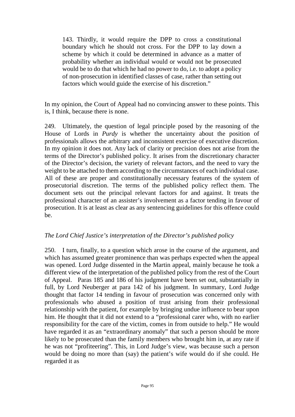143. Thirdly, it would require the DPP to cross a constitutional boundary which he should not cross. For the DPP to lay down a scheme by which it could be determined in advance as a matter of probability whether an individual would or would not be prosecuted would be to do that which he had no power to do, i.e. to adopt a policy of non-prosecution in identified classes of case, rather than setting out factors which would guide the exercise of his discretion."

In my opinion, the Court of Appeal had no convincing answer to these points. This is, I think, because there is none.

249. Ultimately, the question of legal principle posed by the reasoning of the House of Lords in *Purdy* is whether the uncertainty about the position of professionals allows the arbitrary and inconsistent exercise of executive discretion. In my opinion it does not. Any lack of clarity or precision does not arise from the terms of the Director's published policy. It arises from the discretionary character of the Director's decision, the variety of relevant factors, and the need to vary the weight to be attached to them according to the circumstances of each individual case. All of these are proper and constitutionally necessary features of the system of prosecutorial discretion. The terms of the published policy reflect them. The document sets out the principal relevant factors for and against. It treats the professional character of an assister's involvement as a factor tending in favour of prosecution. It is at least as clear as any sentencing guidelines for this offence could be.

# *The Lord Chief Justice's interpretation of the Director's published policy*

250. I turn, finally, to a question which arose in the course of the argument, and which has assumed greater prominence than was perhaps expected when the appeal was opened. Lord Judge dissented in the Martin appeal, mainly because he took a different view of the interpretation of the published policy from the rest of the Court of Appeal. Paras 185 and 186 of his judgment have been set out, substantially in full, by Lord Neuberger at para 142 of his judgment. In summary, Lord Judge thought that factor 14 tending in favour of prosecution was concerned only with professionals who abused a position of trust arising from their professional relationship with the patient, for example by bringing undue influence to bear upon him. He thought that it did not extend to a "professional carer who, with no earlier responsibility for the care of the victim, comes in from outside to help." He would have regarded it as an "extraordinary anomaly" that such a person should be more likely to be prosecuted than the family members who brought him in, at any rate if he was not "profiteering". This, in Lord Judge's view, was because such a person would be doing no more than (say) the patient's wife would do if she could. He regarded it as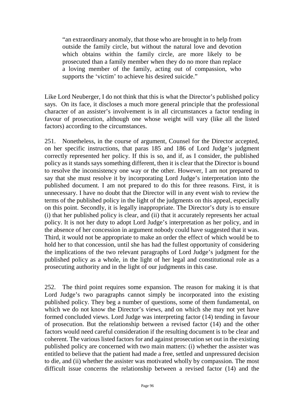"an extraordinary anomaly, that those who are brought in to help from outside the family circle, but without the natural love and devotion which obtains within the family circle, are more likely to be prosecuted than a family member when they do no more than replace a loving member of the family, acting out of compassion, who supports the 'victim' to achieve his desired suicide."

Like Lord Neuberger, I do not think that this is what the Director's published policy says. On its face, it discloses a much more general principle that the professional character of an assister's involvement is in all circumstances a factor tending in favour of prosecution, although one whose weight will vary (like all the listed factors) according to the circumstances.

251. Nonetheless, in the course of argument, Counsel for the Director accepted, on her specific instructions, that paras 185 and 186 of Lord Judge's judgment correctly represented her policy. If this is so, and if, as I consider, the published policy as it stands says something different, then it is clear that the Director is bound to resolve the inconsistency one way or the other. However, I am not prepared to say that she must resolve it by incorporating Lord Judge's interpretation into the published document. I am not prepared to do this for three reasons. First, it is unnecessary. I have no doubt that the Director will in any event wish to review the terms of the published policy in the light of the judgments on this appeal, especially on this point. Secondly, it is legally inappropriate. The Director's duty is to ensure (i) that her published policy is clear, and (ii) that it accurately represents her actual policy. It is not her duty to adopt Lord Judge's interpretation as her policy, and in the absence of her concession in argument nobody could have suggested that it was. Third, it would not be appropriate to make an order the effect of which would be to hold her to that concession, until she has had the fullest opportunity of considering the implications of the two relevant paragraphs of Lord Judge's judgment for the published policy as a whole, in the light of her legal and constitutional role as a prosecuting authority and in the light of our judgments in this case.

252. The third point requires some expansion. The reason for making it is that Lord Judge's two paragraphs cannot simply be incorporated into the existing published policy. They beg a number of questions, some of them fundamental, on which we do not know the Director's views, and on which she may not yet have formed concluded views. Lord Judge was interpreting factor (14) tending in favour of prosecution. But the relationship between a revised factor (14) and the other factors would need careful consideration if the resulting document is to be clear and coherent. The various listed factors for and against prosecution set out in the existing published policy are concerned with two main matters: (i) whether the assister was entitled to believe that the patient had made a free, settled and unpressured decision to die, and (ii) whether the assister was motivated wholly by compassion. The most difficult issue concerns the relationship between a revised factor (14) and the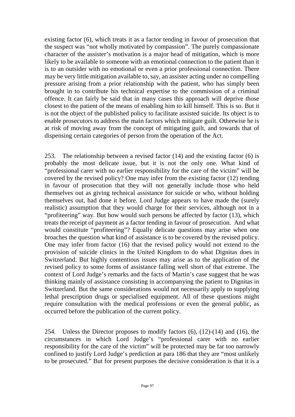existing factor (6), which treats it as a factor tending in favour of prosecution that the suspect was "not wholly motivated by compassion". The purely compassionate character of the assister's motivation is a major head of mitigation, which is more likely to be available to someone with an emotional connection to the patient than it is to an outsider with no emotional or even a prior professional connection. There may be very little mitigation available to, say, an assister acting under no compelling pressure arising from a prior relationship with the patient, who has simply been brought in to contribute his technical expertise to the commission of a criminal offence. It can fairly be said that in many cases this approach will deprive those closest to the patient of the means of enabling him to kill himself. This is so. But it is not the object of the published policy to facilitate assisted suicide. Its object is to enable prosecutors to address the main factors which mitigate guilt. Otherwise he is at risk of moving away from the concept of mitigating guilt, and towards that of dispensing certain categories of person from the operation of the Act.

253. The relationship between a revised factor (14) and the existing factor (6) is probably the most delicate issue, but it is not the only one. What kind of "professional carer with no earlier responsibility for the care of the victim" will be covered by the revised policy? One may infer from the existing factor (12) tending in favour of prosecution that they will not generally include those who held themselves out as giving technical assistance for suicide or who, without holding themselves out, had done it before. Lord Judge appears to have made the (surely realistic) assumption that they would charge for their services, although not in a "profiteering" way. But how would such persons be affected by factor (13), which treats the receipt of payment as a factor tending in favour of prosecution. And what would constitute "profiteering"? Equally delicate questions may arise when one broaches the question what kind of assistance is to be covered by the revised policy. One may infer from factor (16) that the revised policy would not extend to the provision of suicide clinics in the United Kingdom to do what Dignitas does in Switzerland. But highly contentious issues may arise as to the application of the revised policy to some forms of assistance falling well short of that extreme. The context of Lord Judge's remarks and the facts of Martin's case suggest that he was thinking mainly of assistance consisting in accompanying the patient to Dignitas in Switzerland. But the same considerations would not necessarily apply to supplying lethal prescription drugs or specialised equipment. All of these questions might require consultation with the medical professions or even the general public, as occurred before the publication of the current policy.

254. Unless the Director proposes to modify factors (6), (12)-(14) and (16), the circumstances in which Lord Judge's "professional carer with no earlier responsibility for the care of the victim" will be protected may be far too narrowly confined to justify Lord Judge's prediction at para 186 that they are "most unlikely to be prosecuted." But for present purposes the decisive consideration is that it is a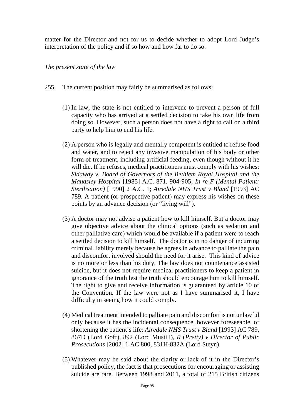matter for the Director and not for us to decide whether to adopt Lord Judge's interpretation of the policy and if so how and how far to do so.

## *The present state of the law*

- 255. The current position may fairly be summarised as follows:
	- (1) In law, the state is not entitled to intervene to prevent a person of full capacity who has arrived at a settled decision to take his own life from doing so. However, such a person does not have a right to call on a third party to help him to end his life.
	- (2) A person who is legally and mentally competent is entitled to refuse food and water, and to reject any invasive manipulation of his body or other form of treatment, including artificial feeding, even though without it he will die. If he refuses, medical practitioners must comply with his wishes: *Sidaway v. Board of Governors of the Bethlem Royal Hospital and the Maudsley Hospital* [1985] A.C. 871, 904-905; *In re F (Mental Patient: Sterilisation)* [1990] 2 A.C. 1; *Airedale NHS Trust v Bland* [1993] AC 789. A patient (or prospective patient) may express his wishes on these points by an advance decision (or "living will").
	- (3) A doctor may not advise a patient how to kill himself. But a doctor may give objective advice about the clinical options (such as sedation and other palliative care) which would be available if a patient were to reach a settled decision to kill himself. The doctor is in no danger of incurring criminal liability merely because he agrees in advance to palliate the pain and discomfort involved should the need for it arise. This kind of advice is no more or less than his duty. The law does not countenance assisted suicide, but it does not require medical practitioners to keep a patient in ignorance of the truth lest the truth should encourage him to kill himself. The right to give and receive information is guaranteed by article 10 of the Convention. If the law were not as I have summarised it, I have difficulty in seeing how it could comply.
	- (4) Medical treatment intended to palliate pain and discomfort is not unlawful only because it has the incidental consequence, however foreseeable, of shortening the patient's life: *Airedale NHS Trust v Bland* [1993] AC 789, 867D (Lord Goff), 892 (Lord Mustill), *R* (*Pretty) v Director of Public Prosecutions* [2002] 1 AC 800, 831H-832A (Lord Steyn).
	- (5) Whatever may be said about the clarity or lack of it in the Director's published policy, the fact is that prosecutions for encouraging or assisting suicide are rare. Between 1998 and 2011, a total of 215 British citizens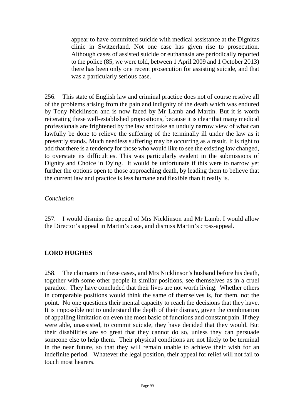appear to have committed suicide with medical assistance at the Dignitas clinic in Switzerland. Not one case has given rise to prosecution. Although cases of assisted suicide or euthanasia are periodically reported to the police (85, we were told, between 1 April 2009 and 1 October 2013) there has been only one recent prosecution for assisting suicide, and that was a particularly serious case.

256. This state of English law and criminal practice does not of course resolve all of the problems arising from the pain and indignity of the death which was endured by Tony Nicklinson and is now faced by Mr Lamb and Martin. But it is worth reiterating these well-established propositions, because it is clear that many medical professionals are frightened by the law and take an unduly narrow view of what can lawfully be done to relieve the suffering of the terminally ill under the law as it presently stands. Much needless suffering may be occurring as a result. It is right to add that there is a tendency for those who would like to see the existing law changed, to overstate its difficulties. This was particularly evident in the submissions of Dignity and Choice in Dying. It would be unfortunate if this were to narrow yet further the options open to those approaching death, by leading them to believe that the current law and practice is less humane and flexible than it really is.

### *Conclusion*

257. I would dismiss the appeal of Mrs Nicklinson and Mr Lamb. I would allow the Director's appeal in Martin's case, and dismiss Martin's cross-appeal.

# **LORD HUGHES**

258. The claimants in these cases, and Mrs Nicklinson's husband before his death, together with some other people in similar positions, see themselves as in a cruel paradox. They have concluded that their lives are not worth living. Whether others in comparable positions would think the same of themselves is, for them, not the point. No one questions their mental capacity to reach the decisions that they have. It is impossible not to understand the depth of their dismay, given the combination of appalling limitation on even the most basic of functions and constant pain. If they were able, unassisted, to commit suicide, they have decided that they would. But their disabilities are so great that they cannot do so, unless they can persuade someone else to help them. Their physical conditions are not likely to be terminal in the near future, so that they will remain unable to achieve their wish for an indefinite period. Whatever the legal position, their appeal for relief will not fail to touch most hearers.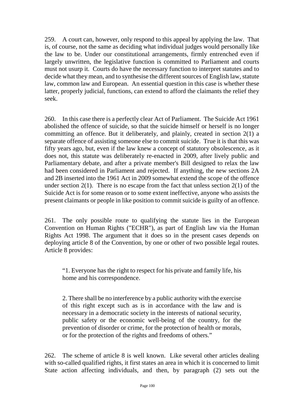259. A court can, however, only respond to this appeal by applying the law. That is, of course, not the same as deciding what individual judges would personally like the law to be. Under our constitutional arrangements, firmly entrenched even if largely unwritten, the legislative function is committed to Parliament and courts must not usurp it. Courts do have the necessary function to interpret statutes and to decide what they mean, and to synthesise the different sources of English law, statute law, common law and European. An essential question in this case is whether these latter, properly judicial, functions, can extend to afford the claimants the relief they seek.

260. In this case there is a perfectly clear Act of Parliament. The Suicide Act 1961 abolished the offence of suicide, so that the suicide himself or herself is no longer committing an offence. But it deliberately, and plainly, created in section 2(1) a separate offence of assisting someone else to commit suicide. True it is that this was fifty years ago, but, even if the law knew a concept of statutory obsolescence, as it does not, this statute was deliberately re-enacted in 2009, after lively public and Parliamentary debate, and after a private member's Bill designed to relax the law had been considered in Parliament and rejected. If anything, the new sections 2A and 2B inserted into the 1961 Act in 2009 somewhat extend the scope of the offence under section  $2(1)$ . There is no escape from the fact that unless section  $2(1)$  of the Suicide Act is for some reason or to some extent ineffective, anyone who assists the present claimants or people in like position to commit suicide is guilty of an offence.

261. The only possible route to qualifying the statute lies in the European Convention on Human Rights ("ECHR"), as part of English law via the Human Rights Act 1998. The argument that it does so in the present cases depends on deploying article 8 of the Convention, by one or other of two possible legal routes. Article 8 provides:

"1. Everyone has the right to respect for his private and family life, his home and his correspondence.

2. There shall be no interference by a public authority with the exercise of this right except such as is in accordance with the law and is necessary in a democratic society in the interests of national security, public safety or the economic well-being of the country, for the prevention of disorder or crime, for the protection of health or morals, or for the protection of the rights and freedoms of others."

262. The scheme of article 8 is well known. Like several other articles dealing with so-called qualified rights, it first states an area in which it is concerned to limit State action affecting individuals, and then, by paragraph (2) sets out the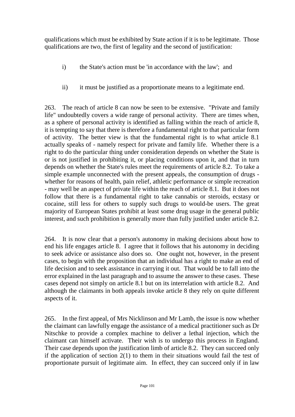qualifications which must be exhibited by State action if it is to be legitimate. Those qualifications are two, the first of legality and the second of justification:

- i) the State's action must be 'in accordance with the law'; and
- ii) it must be justified as a proportionate means to a legitimate end.

263. The reach of article 8 can now be seen to be extensive. "Private and family life" undoubtedly covers a wide range of personal activity. There are times when, as a sphere of personal activity is identified as falling within the reach of article 8, it is tempting to say that there is therefore a fundamental right to that particular form of activity. The better view is that the fundamental right is to what article 8.1 actually speaks of - namely respect for private and family life. Whether there is a right to do the particular thing under consideration depends on whether the State is or is not justified in prohibiting it, or placing conditions upon it, and that in turn depends on whether the State's rules meet the requirements of article 8.2. To take a simple example unconnected with the present appeals, the consumption of drugs whether for reasons of health, pain relief, athletic performance or simple recreation - may well be an aspect of private life within the reach of article 8.1. But it does not follow that there is a fundamental right to take cannabis or steroids, ecstasy or cocaine, still less for others to supply such drugs to would-be users. The great majority of European States prohibit at least some drug usage in the general public interest, and such prohibition is generally more than fully justified under article 8.2.

264. It is now clear that a person's autonomy in making decisions about how to end his life engages article 8. I agree that it follows that his autonomy in deciding to seek advice or assistance also does so. One ought not, however, in the present cases, to begin with the proposition that an individual has a right to make an end of life decision and to seek assistance in carrying it out. That would be to fall into the error explained in the last paragraph and to assume the answer to these cases. These cases depend not simply on article 8.1 but on its interrelation with article 8.2. And although the claimants in both appeals invoke article 8 they rely on quite different aspects of it.

265. In the first appeal, of Mrs Nicklinson and Mr Lamb, the issue is now whether the claimant can lawfully engage the assistance of a medical practitioner such as Dr Nitschke to provide a complex machine to deliver a lethal injection, which the claimant can himself activate. Their wish is to undergo this process in England. Their case depends upon the justification limb of article 8.2. They can succeed only if the application of section 2(1) to them in their situations would fail the test of proportionate pursuit of legitimate aim. In effect, they can succeed only if in law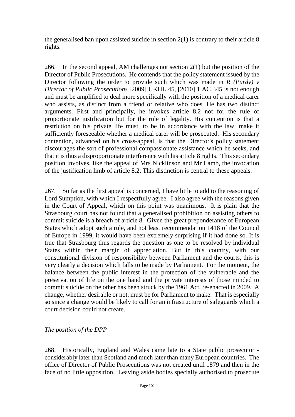the generalised ban upon assisted suicide in section  $2(1)$  is contrary to their article 8 rights.

266. In the second appeal, AM challenges not section 2(1) but the position of the Director of Public Prosecutions. He contends that the policy statement issued by the Director following the order to provide such which was made in *R (Purdy) v Director of Public Prosecutions* [2009] UKHL 45, [2010] 1 AC 345 is not enough and must be amplified to deal more specifically with the position of a medical carer who assists, as distinct from a friend or relative who does. He has two distinct arguments. First and principally, he invokes article 8.2 not for the rule of proportionate justification but for the rule of legality. His contention is that a restriction on his private life must, to be in accordance with the law, make it sufficiently foreseeable whether a medical carer will be prosecuted. His secondary contention, advanced on his cross-appeal, is that the Director's policy statement discourages the sort of professional compassionate assistance which he seeks, and that it is thus a disproportionate interference with his article 8 rights. This secondary position involves, like the appeal of Mrs Nicklinson and Mr Lamb, the invocation of the justification limb of article 8.2. This distinction is central to these appeals.

267. So far as the first appeal is concerned, I have little to add to the reasoning of Lord Sumption, with which I respectfully agree. I also agree with the reasons given in the Court of Appeal, which on this point was unanimous. It is plain that the Strasbourg court has not found that a generalised prohibition on assisting others to commit suicide is a breach of article 8. Given the great preponderance of European States which adopt such a rule, and not least recommendation 1418 of the Council of Europe in 1999, it would have been extremely surprising if it had done so. It is true that Strasbourg thus regards the question as one to be resolved by individual States within their margin of appreciation. But in this country, with our constitutional division of responsibility between Parliament and the courts, this is very clearly a decision which falls to be made by Parliament. For the moment, the balance between the public interest in the protection of the vulnerable and the preservation of life on the one hand and the private interests of those minded to commit suicide on the other has been struck by the 1961 Act, re-enacted in 2009. A change, whether desirable or not, must be for Parliament to make. That is especially so since a change would be likely to call for an infrastructure of safeguards which a court decision could not create.

# *The position of the DPP*

268. Historically, England and Wales came late to a State public prosecutor considerably later than Scotland and much later than many European countries. The office of Director of Public Prosecutions was not created until 1879 and then in the face of no little opposition. Leaving aside bodies specially authorised to prosecute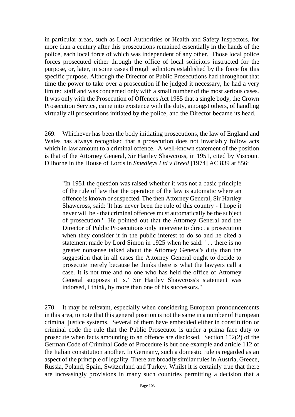in particular areas, such as Local Authorities or Health and Safety Inspectors, for more than a century after this prosecutions remained essentially in the hands of the police, each local force of which was independent of any other. Those local police forces prosecuted either through the office of local solicitors instructed for the purpose, or, later, in some cases through solicitors established by the force for this specific purpose. Although the Director of Public Prosecutions had throughout that time the power to take over a prosecution if he judged it necessary, he had a very limited staff and was concerned only with a small number of the most serious cases. It was only with the Prosecution of Offences Act 1985 that a single body, the Crown Prosecution Service, came into existence with the duty, amongst others, of handling virtually all prosecutions initiated by the police, and the Director became its head.

269. Whichever has been the body initiating prosecutions, the law of England and Wales has always recognised that a prosecution does not invariably follow acts which in law amount to a criminal offence. A well-known statement of the position is that of the Attorney General, Sir Hartley Shawcross, in 1951, cited by Viscount Dilhorne in the House of Lords in *Smedleys Ltd v Breed* [1974] AC 839 at 856:

"In 1951 the question was raised whether it was not a basic principle of the rule of law that the operation of the law is automatic where an offence is known or suspected. The then Attorney General, Sir Hartley Shawcross, said: 'It has never been the rule of this country - I hope it never will be - that criminal offences must automatically be the subject of prosecution.' He pointed out that the Attorney General and the Director of Public Prosecutions only intervene to direct a prosecution when they consider it in the public interest to do so and he cited a statement made by Lord Simon in 1925 when he said: ' . . there is no greater nonsense talked about the Attorney General's duty than the suggestion that in all cases the Attorney General ought to decide to prosecute merely because he thinks there is what the lawyers call a case. It is not true and no one who has held the office of Attorney General supposes it is.' Sir Hartley Shawcross's statement was indorsed, I think, by more than one of his successors."

270. It may be relevant, especially when considering European pronouncements in this area, to note that this general position is not the same in a number of European criminal justice systems. Several of them have embedded either in constitution or criminal code the rule that the Public Prosecutor is under a prima face duty to prosecute when facts amounting to an offence are disclosed. Section 152(2) of the German Code of Criminal Code of Procedure is but one example and article 112 of the Italian constitution another. In Germany, such a domestic rule is regarded as an aspect of the principle of legality. There are broadly similar rules in Austria, Greece, Russia, Poland, Spain, Switzerland and Turkey. Whilst it is certainly true that there are increasingly provisions in many such countries permitting a decision that a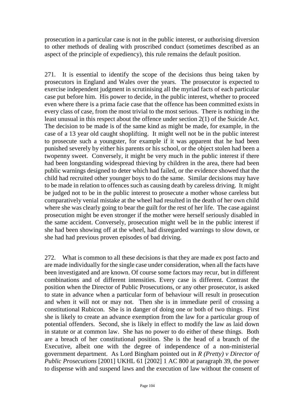prosecution in a particular case is not in the public interest, or authorising diversion to other methods of dealing with proscribed conduct (sometimes described as an aspect of the principle of expediency), this rule remains the default position.

271. It is essential to identify the scope of the decisions thus being taken by prosecutors in England and Wales over the years. The prosecutor is expected to exercise independent judgment in scrutinising all the myriad facts of each particular case put before him. His power to decide, in the public interest, whether to proceed even where there is a prima facie case that the offence has been committed exists in every class of case, from the most trivial to the most serious. There is nothing in the least unusual in this respect about the offence under section 2(1) of the Suicide Act. The decision to be made is of the same kind as might be made, for example, in the case of a 13 year old caught shoplifting. It might well not be in the public interest to prosecute such a youngster, for example if it was apparent that he had been punished severely by either his parents or his school, or the object stolen had been a twopenny sweet. Conversely, it might be very much in the public interest if there had been longstanding widespread thieving by children in the area, there had been public warnings designed to deter which had failed, or the evidence showed that the child had recruited other younger boys to do the same. Similar decisions may have to be made in relation to offences such as causing death by careless driving. It might be judged not to be in the public interest to prosecute a mother whose careless but comparatively venial mistake at the wheel had resulted in the death of her own child where she was clearly going to bear the guilt for the rest of her life. The case against prosecution might be even stronger if the mother were herself seriously disabled in the same accident. Conversely, prosecution might well be in the public interest if she had been showing off at the wheel, had disregarded warnings to slow down, or she had had previous proven episodes of bad driving.

272. What is common to all these decisions is that they are made ex post facto and are made individually for the single case under consideration, when all the facts have been investigated and are known. Of course some factors may recur, but in different combinations and of different intensities. Every case is different. Contrast the position when the Director of Public Prosecutions, or any other prosecutor, is asked to state in advance when a particular form of behaviour will result in prosecution and when it will not or may not. Then she is in immediate peril of crossing a constitutional Rubicon. She is in danger of doing one or both of two things. First she is likely to create an advance exemption from the law for a particular group of potential offenders. Second, she is likely in effect to modify the law as laid down in statute or at common law. She has no power to do either of these things. Both are a breach of her constitutional position. She is the head of a branch of the Executive, albeit one with the degree of independence of a non-ministerial government department. As Lord Bingham pointed out in *R (Pretty) v Director of Public Prosecutions* [2001] UKHL 61 [2002] 1 AC 800 at paragraph 39, the power to dispense with and suspend laws and the execution of law without the consent of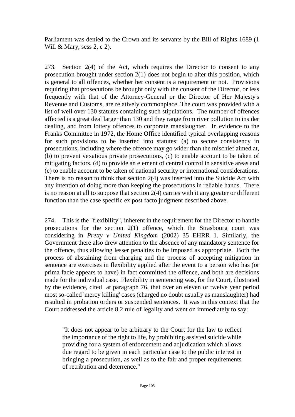Parliament was denied to the Crown and its servants by the Bill of Rights 1689 (1 Will & Mary, sess 2, c 2).

273. Section 2(4) of the Act, which requires the Director to consent to any prosecution brought under section 2(1) does not begin to alter this position, which is general to all offences, whether her consent is a requirement or not. Provisions requiring that prosecutions be brought only with the consent of the Director, or less frequently with that of the Attorney-General or the Director of Her Majesty's Revenue and Customs, are relatively commonplace. The court was provided with a list of well over 130 statutes containing such stipulations. The number of offences affected is a great deal larger than 130 and they range from river pollution to insider dealing, and from lottery offences to corporate manslaughter. In evidence to the Franks Committee in 1972, the Home Office identified typical overlapping reasons for such provisions to be inserted into statutes: (a) to secure consistency in prosecutions, including where the offence may go wider than the mischief aimed at, (b) to prevent vexatious private prosecutions, (c) to enable account to be taken of mitigating factors, (d) to provide an element of central control in sensitive areas and (e) to enable account to be taken of national security or international considerations. There is no reason to think that section 2(4) was inserted into the Suicide Act with any intention of doing more than keeping the prosecutions in reliable hands. There is no reason at all to suppose that section 2(4) carries with it any greater or different function than the case specific ex post facto judgment described above.

274. This is the "flexibility", inherent in the requirement for the Director to handle prosecutions for the section 2(1) offence, which the Strasbourg court was considering in *Pretty v United Kingdom* (2002) 35 EHRR 1. Similarly, the Government there also drew attention to the absence of any mandatory sentence for the offence, thus allowing lesser penalties to be imposed as appropriate. Both the process of abstaining from charging and the process of accepting mitigation in sentence are exercises in flexibility applied after the event to a person who has (or prima facie appears to have) in fact committed the offence, and both are decisions made for the individual case. Flexibility in sentencing was, for the Court, illustrated by the evidence, cited at paragraph 76, that over an eleven or twelve year period most so-called 'mercy killing' cases (charged no doubt usually as manslaughter) had resulted in probation orders or suspended sentences. It was in this context that the Court addressed the article 8.2 rule of legality and went on immediately to say:

"It does not appear to be arbitrary to the Court for the law to reflect the importance of the right to life, by prohibiting assisted suicide while providing for a system of enforcement and adjudication which allows due regard to be given in each particular case to the public interest in bringing a prosecution, as well as to the fair and proper requirements of retribution and deterrence."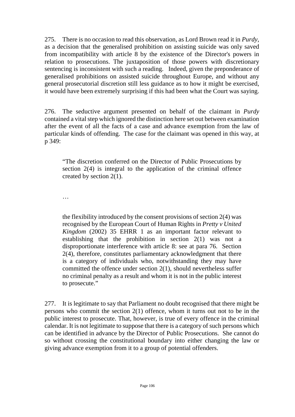275. There is no occasion to read this observation, as Lord Brown read it in *Purdy*, as a decision that the generalised prohibition on assisting suicide was only saved from incompatibility with article 8 by the existence of the Director's powers in relation to prosecutions. The juxtaposition of those powers with discretionary sentencing is inconsistent with such a reading. Indeed, given the preponderance of generalised prohibitions on assisted suicide throughout Europe, and without any general prosecutorial discretion still less guidance as to how it might be exercised, it would have been extremely surprising if this had been what the Court was saying.

276. The seductive argument presented on behalf of the claimant in *Purdy* contained a vital step which ignored the distinction here set out between examination after the event of all the facts of a case and advance exemption from the law of particular kinds of offending. The case for the claimant was opened in this way, at p 349:

"The discretion conferred on the Director of Public Prosecutions by section 2(4) is integral to the application of the criminal offence created by section 2(1).

…

the flexibility introduced by the consent provisions of section 2(4) was recognised by the European Court of Human Rights in *Pretty v United Kingdom* (2002) 35 EHRR 1 as an important factor relevant to establishing that the prohibition in section 2(1) was not a disproportionate interference with article 8: see at para 76. Section 2(4), therefore, constitutes parliamentary acknowledgment that there is a category of individuals who, notwithstanding they may have committed the offence under section 2(1), should nevertheless suffer no criminal penalty as a result and whom it is not in the public interest to prosecute."

277. It is legitimate to say that Parliament no doubt recognised that there might be persons who commit the section  $2(1)$  offence, whom it turns out not to be in the public interest to prosecute. That, however, is true of every offence in the criminal calendar. It is not legitimate to suppose that there is a category of such persons which can be identified in advance by the Director of Public Prosecutions. She cannot do so without crossing the constitutional boundary into either changing the law or giving advance exemption from it to a group of potential offenders.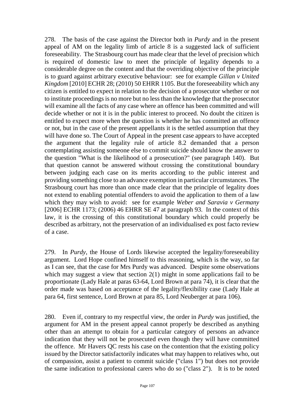278. The basis of the case against the Director both in *Purdy* and in the present appeal of AM on the legality limb of article 8 is a suggested lack of sufficient foreseeability. The Strasbourg court has made clear that the level of precision which is required of domestic law to meet the principle of legality depends to a considerable degree on the content and that the overriding objective of the principle is to guard against arbitrary executive behaviour: see for example *Gillan v United Kingdom* [2010] ECHR 28; (2010) 50 EHRR 1105. But the foreseeability which any citizen is entitled to expect in relation to the decision of a prosecutor whether or not to institute proceedings is no more but no less than the knowledge that the prosecutor will examine all the facts of any case where an offence has been committed and will decide whether or not it is in the public interest to proceed. No doubt the citizen is entitled to expect more when the question is whether he has committed an offence or not, but in the case of the present appellants it is the settled assumption that they will have done so. The Court of Appeal in the present case appears to have accepted the argument that the legality rule of article 8.2 demanded that a person contemplating assisting someone else to commit suicide should know the answer to the question "What is the likelihood of a prosecution?" (see paragraph 140). But that question cannot be answered without crossing the constitutional boundary between judging each case on its merits according to the public interest and providing something close to an advance exemption in particular circumstances. The Strasbourg court has more than once made clear that the principle of legality does not extend to enabling potential offenders to avoid the application to them of a law which they may wish to avoid: see for example *Weber and Saravia v Germany* [2006] ECHR 1173; (2006) 46 EHRR SE 47 at paragraph 93. In the context of this law, it is the crossing of this constitutional boundary which could properly be described as arbitrary, not the preservation of an individualised ex post facto review of a case.

279. In *Purdy*, the House of Lords likewise accepted the legality/foreseeability argument. Lord Hope confined himself to this reasoning, which is the way, so far as I can see, that the case for Mrs Purdy was advanced. Despite some observations which may suggest a view that section 2(1) might in some applications fail to be proportionate (Lady Hale at paras 63-64, Lord Brown at para 74), it is clear that the order made was based on acceptance of the legality/flexibility case (Lady Hale at para 64, first sentence, Lord Brown at para 85, Lord Neuberger at para 106).

280. Even if, contrary to my respectful view, the order in *Purdy* was justified, the argument for AM in the present appeal cannot properly be described as anything other than an attempt to obtain for a particular category of persons an advance indication that they will not be prosecuted even though they will have committed the offence. Mr Havers QC rests his case on the contention that the existing policy issued by the Director satisfactorily indicates what may happen to relatives who, out of compassion, assist a patient to commit suicide ("class 1") but does not provide the same indication to professional carers who do so ("class 2"). It is to be noted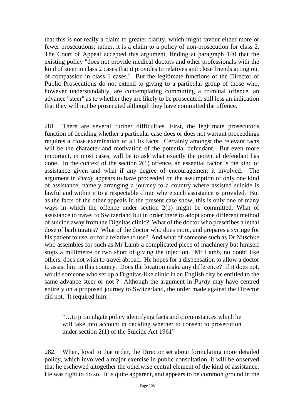that this is not really a claim to greater clarity, which might favour either more or fewer prosecutions; rather, it is a claim to a policy of non-prosecution for class 2. The Court of Appeal accepted this argument, finding at paragraph 140 that the existing policy "does not provide medical doctors and other professionals with the kind of steer in class 2 cases that it provides to relatives and close friends acting out of compassion in class 1 cases." But the legitimate functions of the Director of Public Prosecutions do not extend to giving to a particular group of those who, however understandably, are contemplating committing a criminal offence, an advance "steer" as to whether they are likely to be prosecuted, still less an indication that they will not be prosecuted although they have committed the offence.

281. There are several further difficulties. First, the legitimate prosecutor's function of deciding whether a particular case does or does not warrant proceedings requires a close examination of all its facts. Certainly amongst the relevant facts will be the character and motivation of the potential defendant. But even more important, in most cases, will be to ask what exactly the potential defendant has done. In the context of the section 2(1) offence, an essential factor is the kind of assistance given and what if any degree of encouragement it involved. The argument in *Purdy* appears to have proceeded on the assumption of only one kind of assistance, namely arranging a journey to a country where assisted suicide is lawful and within it to a respectable clinic where such assistance is provided. But as the facts of the other appeals in the present case show, this is only one of many ways in which the offence under section 2(1) might be committed. What of assistance to travel to Switzerland but in order there to adopt some different method of suicide away from the Dignitas clinic? What of the doctor who prescribes a lethal dose of barbiturates? What of the doctor who does more, and prepares a syringe for his patient to use, or for a relative to use? And what of someone such as Dr Nitschke who assembles for such as Mr Lamb a complicated piece of machinery but himself stops a millimetre or two short of giving the injection. Mr Lamb, no doubt like others, does not wish to travel abroad. He hopes for a dispensation to allow a doctor to assist him in this country. Does the location make any difference? If it does not, would someone who set up a Dignitas-like clinic in an English city be entitled to the same advance steer or not ? Although the argument in *Purdy* may have centred entirely on a proposed journey to Switzerland, the order made against the Director did not. It required him:

"…to promulgate policy identifying facts and circumstances which he will take into account in deciding whether to consent to prosecution under section 2(1) of the Suicide Act 1961"

282. When, loyal to that order, the Director set about formulating more detailed policy, which involved a major exercise in public consultation, it will be observed that he eschewed altogether the otherwise central element of the kind of assistance. He was right to do so. It is quite apparent, and appears to be common ground in the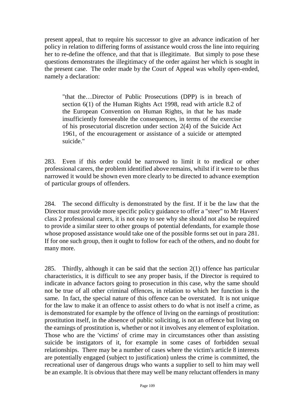present appeal, that to require his successor to give an advance indication of her policy in relation to differing forms of assistance would cross the line into requiring her to re-define the offence, and that that is illegitimate. But simply to pose these questions demonstrates the illegitimacy of the order against her which is sought in the present case. The order made by the Court of Appeal was wholly open-ended, namely a declaration:

"that the…Director of Public Prosecutions (DPP) is in breach of section 6(1) of the Human Rights Act 1998, read with article 8.2 of the European Convention on Human Rights, in that he has made insufficiently foreseeable the consequences, in terms of the exercise of his prosecutorial discretion under section 2(4) of the Suicide Act 1961, of the encouragement or assistance of a suicide or attempted suicide."

283. Even if this order could be narrowed to limit it to medical or other professional carers, the problem identified above remains, whilst if it were to be thus narrowed it would be shown even more clearly to be directed to advance exemption of particular groups of offenders.

284. The second difficulty is demonstrated by the first. If it be the law that the Director must provide more specific policy guidance to offer a "steer" to Mr Havers' class 2 professional carers, it is not easy to see why she should not also be required to provide a similar steer to other groups of potential defendants, for example those whose proposed assistance would take one of the possible forms set out in para 281. If for one such group, then it ought to follow for each of the others, and no doubt for many more.

285. Thirdly, although it can be said that the section 2(1) offence has particular characteristics, it is difficult to see any proper basis, if the Director is required to indicate in advance factors going to prosecution in this case, why the same should not be true of all other criminal offences, in relation to which her function is the same. In fact, the special nature of this offence can be overstated. It is not unique for the law to make it an offence to assist others to do what is not itself a crime, as is demonstrated for example by the offence of living on the earnings of prostitution: prostitution itself, in the absence of public soliciting, is not an offence but living on the earnings of prostitution is, whether or not it involves any element of exploitation. Those who are the 'victims' of crime may in circumstances other than assisting suicide be instigators of it, for example in some cases of forbidden sexual relationships. There may be a number of cases where the victim's article 8 interests are potentially engaged (subject to justification) unless the crime is committed, the recreational user of dangerous drugs who wants a supplier to sell to him may well be an example. It is obvious that there may well be many reluctant offenders in many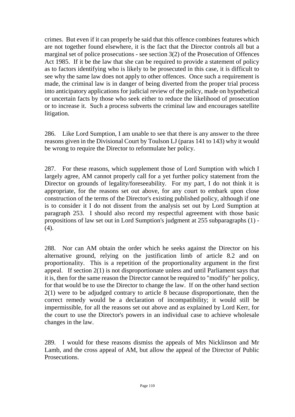crimes. But even if it can properly be said that this offence combines features which are not together found elsewhere, it is the fact that the Director controls all but a marginal set of police prosecutions - see section 3(2) of the Prosecution of Offences Act 1985. If it be the law that she can be required to provide a statement of policy as to factors identifying who is likely to be prosecuted in this case, it is difficult to see why the same law does not apply to other offences. Once such a requirement is made, the criminal law is in danger of being diverted from the proper trial process into anticipatory applications for judicial review of the policy, made on hypothetical or uncertain facts by those who seek either to reduce the likelihood of prosecution or to increase it. Such a process subverts the criminal law and encourages satellite litigation.

286. Like Lord Sumption, I am unable to see that there is any answer to the three reasons given in the Divisional Court by Toulson LJ (paras 141 to 143) why it would be wrong to require the Director to reformulate her policy.

287. For these reasons, which supplement those of Lord Sumption with which I largely agree, AM cannot properly call for a yet further policy statement from the Director on grounds of legality/foreseeability. For my part, I do not think it is appropriate, for the reasons set out above, for any court to embark upon close construction of the terms of the Director's existing published policy, although if one is to consider it I do not dissent from the analysis set out by Lord Sumption at paragraph 253. I should also record my respectful agreement with those basic propositions of law set out in Lord Sumption's judgment at 255 subparagraphs (1) -  $(4).$ 

288. Nor can AM obtain the order which he seeks against the Director on his alternative ground, relying on the justification limb of article 8.2 and on proportionality. This is a repetition of the proportionality argument in the first appeal. If section 2(1) is not disproportionate unless and until Parliament says that it is, then for the same reason the Director cannot be required to "modify" her policy, for that would be to use the Director to change the law. If on the other hand section 2(1) were to be adjudged contrary to article 8 because disproportionate, then the correct remedy would be a declaration of incompatibility; it would still be impermissible, for all the reasons set out above and as explained by Lord Kerr, for the court to use the Director's powers in an individual case to achieve wholesale changes in the law.

289. I would for these reasons dismiss the appeals of Mrs Nicklinson and Mr Lamb, and the cross appeal of AM, but allow the appeal of the Director of Public Prosecutions.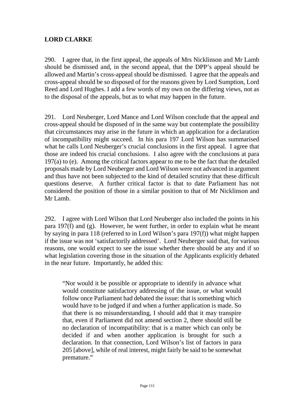# **LORD CLARKE**

290. I agree that, in the first appeal, the appeals of Mrs Nicklinson and Mr Lamb should be dismissed and, in the second appeal, that the DPP's appeal should be allowed and Martin's cross-appeal should be dismissed. I agree that the appeals and cross-appeal should be so disposed of for the reasons given by Lord Sumption, Lord Reed and Lord Hughes. I add a few words of my own on the differing views, not as to the disposal of the appeals, but as to what may happen in the future.

291. Lord Neuberger, Lord Mance and Lord Wilson conclude that the appeal and cross-appeal should be disposed of in the same way but contemplate the possibility that circumstances may arise in the future in which an application for a declaration of incompatibility might succeed. In his para 197 Lord Wilson has summarised what he calls Lord Neuberger's crucial conclusions in the first appeal. I agree that those are indeed his crucial conclusions. I also agree with the conclusions at para 197(a) to (e). Among the critical factors appear to me to be the fact that the detailed proposals made by Lord Neuberger and Lord Wilson were not advanced in argument and thus have not been subjected to the kind of detailed scrutiny that these difficult questions deserve. A further critical factor is that to date Parliament has not considered the position of those in a similar position to that of Mr Nicklinson and Mr Lamb.

292. I agree with Lord Wilson that Lord Neuberger also included the points in his para 197(f) and (g). However, he went further, in order to explain what he meant by saying in para 118 (referred to in Lord Wilson's para 197(f)) what might happen if the issue was not 'satisfactorily addressed'. Lord Neuberger said that, for various reasons, one would expect to see the issue whether there should be any and if so what legislation covering those in the situation of the Applicants explicitly debated in the near future. Importantly, he added this:

"Nor would it be possible or appropriate to identify in advance what would constitute satisfactory addressing of the issue, or what would follow once Parliament had debated the issue: that is something which would have to be judged if and when a further application is made. So that there is no misunderstanding, I should add that it may transpire that, even if Parliament did not amend section 2, there should still be no declaration of incompatibility: that is a matter which can only be decided if and when another application is brought for such a declaration. In that connection, Lord Wilson's list of factors in para 205 [above], while of real interest, might fairly be said to be somewhat premature."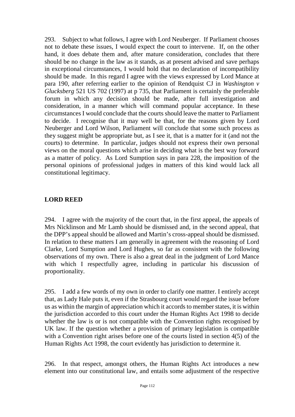293. Subject to what follows, I agree with Lord Neuberger. If Parliament chooses not to debate these issues, I would expect the court to intervene. If, on the other hand, it does debate them and, after mature consideration, concludes that there should be no change in the law as it stands, as at present advised and save perhaps in exceptional circumstances, I would hold that no declaration of incompatibility should be made. In this regard I agree with the views expressed by Lord Mance at para 190, after referring earlier to the opinion of Rendquist CJ in *Washington v Glucksberg* 521 US 702 (1997) at p 735, that Parliament is certainly the preferable forum in which any decision should be made, after full investigation and consideration, in a manner which will command popular acceptance. In these circumstances I would conclude that the courts should leave the matter to Parliament to decide. I recognise that it may well be that, for the reasons given by Lord Neuberger and Lord Wilson, Parliament will conclude that some such process as they suggest might be appropriate but, as I see it, that is a matter for it (and not the courts) to determine. In particular, judges should not express their own personal views on the moral questions which arise in deciding what is the best way forward as a matter of policy. As Lord Sumption says in para 228, the imposition of the personal opinions of professional judges in matters of this kind would lack all constitutional legitimacy.

# **LORD REED**

294. I agree with the majority of the court that, in the first appeal, the appeals of Mrs Nicklinson and Mr Lamb should be dismissed and, in the second appeal, that the DPP's appeal should be allowed and Martin's cross-appeal should be dismissed. In relation to these matters I am generally in agreement with the reasoning of Lord Clarke, Lord Sumption and Lord Hughes, so far as consistent with the following observations of my own. There is also a great deal in the judgment of Lord Mance with which I respectfully agree, including in particular his discussion of proportionality.

295. I add a few words of my own in order to clarify one mattter. I entirely accept that, as Lady Hale puts it, even if the Strasbourg court would regard the issue before us as within the margin of appreciation which it accords to member states, it is within the jurisdiction accorded to this court under the Human Rights Act 1998 to decide whether the law is or is not compatible with the Convention rights recognised by UK law. If the question whether a provision of primary legislation is compatible with a Convention right arises before one of the courts listed in section 4(5) of the Human Rights Act 1998, the court evidently has jurisdiction to determine it.

296. In that respect, amongst others, the Human Rights Act introduces a new element into our constitutional law, and entails some adjustment of the respective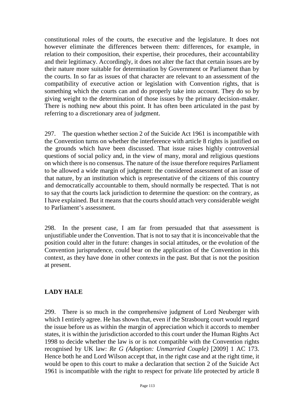constitutional roles of the courts, the executive and the legislature. It does not however eliminate the differences between them: differences, for example, in relation to their composition, their expertise, their procedures, their accountability and their legitimacy. Accordingly, it does not alter the fact that certain issues are by their nature more suitable for determination by Government or Parliament than by the courts. In so far as issues of that character are relevant to an assessment of the compatibility of executive action or legislation with Convention rights, that is something which the courts can and do properly take into account. They do so by giving weight to the determination of those issues by the primary decision-maker. There is nothing new about this point. It has often been articulated in the past by referring to a discretionary area of judgment.

297. The question whether section 2 of the Suicide Act 1961 is incompatible with the Convention turns on whether the interference with article 8 rights is justified on the grounds which have been discussed. That issue raises highly controversial questions of social policy and, in the view of many, moral and religious questions on which there is no consensus. The nature of the issue therefore requires Parliament to be allowed a wide margin of judgment: the considered assessment of an issue of that nature, by an institution which is representative of the citizens of this country and democratically accountable to them, should normally be respected. That is not to say that the courts lack jurisdiction to determine the question: on the contrary, as I have explained. But it means that the courts should attach very considerable weight to Parliament's assessment.

298. In the present case, I am far from persuaded that that assessment is unjustifiable under the Convention. That is not to say that it is inconceivable that the position could alter in the future: changes in social attitudes, or the evolution of the Convention jurisprudence, could bear on the application of the Convention in this context, as they have done in other contexts in the past. But that is not the position at present.

## **LADY HALE**

299. There is so much in the comprehensive judgment of Lord Neuberger with which I entirely agree. He has shown that, even if the Strasbourg court would regard the issue before us as within the margin of appreciation which it accords to member states, it is within the jurisdiction accorded to this court under the Human Rights Act 1998 to decide whether the law is or is not compatible with the Convention rights recognised by UK law: *Re G (Adoption: Unmarried Couple)* [2009] 1 AC 173. Hence both he and Lord Wilson accept that, in the right case and at the right time, it would be open to this court to make a declaration that section 2 of the Suicide Act 1961 is incompatible with the right to respect for private life protected by article 8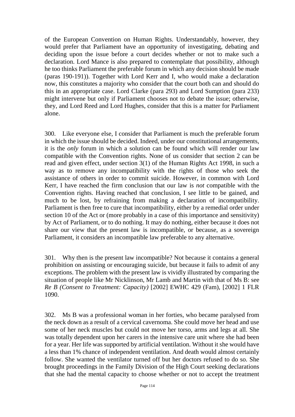of the European Convention on Human Rights. Understandably, however, they would prefer that Parliament have an opportunity of investigating, debating and deciding upon the issue before a court decides whether or not to make such a declaration. Lord Mance is also prepared to contemplate that possibility, although he too thinks Parliament the preferable forum in which any decision should be made (paras 190-191)). Together with Lord Kerr and I, who would make a declaration now, this constitutes a majority who consider that the court both can and should do this in an appropriate case. Lord Clarke (para 293) and Lord Sumption (para 233) might intervene but only if Parliament chooses not to debate the issue; otherwise, they, and Lord Reed and Lord Hughes, consider that this is a matter for Parliament alone.

300. Like everyone else, I consider that Parliament is much the preferable forum in which the issue should be decided. Indeed, under our constitutional arrangements, it is the *only* forum in which a solution can be found which will render our law compatible with the Convention rights. None of us consider that section 2 can be read and given effect, under section 3(1) of the Human Rights Act 1998, in such a way as to remove any incompatibility with the rights of those who seek the assistance of others in order to commit suicide. However, in common with Lord Kerr, I have reached the firm conclusion that our law is *not* compatible with the Convention rights. Having reached that conclusion, I see little to be gained, and much to be lost, by refraining from making a declaration of incompatibility. Parliament is then free to cure that incompatibility, either by a remedial order under section 10 of the Act or (more probably in a case of this importance and sensitivity) by Act of Parliament, or to do nothing. It may do nothing, either because it does not share our view that the present law is incompatible, or because, as a sovereign Parliament, it considers an incompatible law preferable to any alternative.

301. Why then is the present law incompatible? Not because it contains a general prohibition on assisting or encouraging suicide, but because it fails to admit of any exceptions. The problem with the present law is vividly illustrated by comparing the situation of people like Mr Nicklinson, Mr Lamb and Martin with that of Ms B: see *Re B (Consent to Treatment: Capacity)* [2002] EWHC 429 (Fam), [2002] 1 FLR 1090.

302. Ms B was a professional woman in her forties, who became paralysed from the neck down as a result of a cervical cavernoma. She could move her head and use some of her neck muscles but could not move her torso, arms and legs at all. She was totally dependent upon her carers in the intensive care unit where she had been for a year. Her life was supported by artificial ventilation. Without it she would have a less than 1% chance of independent ventilation. And death would almost certainly follow. She wanted the ventilator turned off but her doctors refused to do so. She brought proceedings in the Family Division of the High Court seeking declarations that she had the mental capacity to choose whether or not to accept the treatment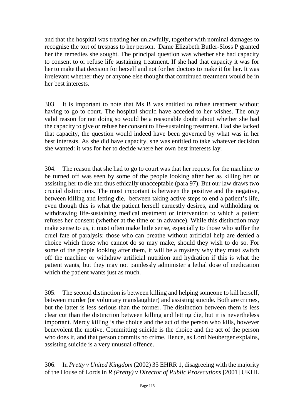and that the hospital was treating her unlawfully, together with nominal damages to recognise the tort of trespass to her person. Dame Elizabeth Butler-Sloss P granted her the remedies she sought. The principal question was whether she had capacity to consent to or refuse life sustaining treatment. If she had that capacity it was for her to make that decision for herself and not for her doctors to make it for her. It was irrelevant whether they or anyone else thought that continued treatment would be in her best interests.

303. It is important to note that Ms B was entitled to refuse treatment without having to go to court. The hospital should have acceded to her wishes. The only valid reason for not doing so would be a reasonable doubt about whether she had the capacity to give or refuse her consent to life-sustaining treatment. Had she lacked that capacity, the question would indeed have been governed by what was in her best interests. As she did have capacity, she was entitled to take whatever decision she wanted: it was for her to decide where her own best interests lay.

304. The reason that she had to go to court was that her request for the machine to be turned off was seen by some of the people looking after her as killing her or assisting her to die and thus ethically unacceptable (para 97). But our law draws two crucial distinctions. The most important is between the positive and the negative, between killing and letting die, between taking active steps to end a patient's life, even though this is what the patient herself earnestly desires, and withholding or withdrawing life-sustaining medical treatment or intervention to which a patient refuses her consent (whether at the time or in advance). While this distinction may make sense to us, it must often make little sense, especially to those who suffer the cruel fate of paralysis: those who can breathe without artificial help are denied a choice which those who cannot do so may make, should they wish to do so. For some of the people looking after them, it will be a mystery why they must switch off the machine or withdraw artificial nutrition and hydration if this is what the patient wants, but they may not painlessly administer a lethal dose of medication which the patient wants just as much.

305. The second distinction is between killing and helping someone to kill herself, between murder (or voluntary manslaughter) and assisting suicide. Both are crimes, but the latter is less serious than the former. The distinction between them is less clear cut than the distinction between killing and letting die, but it is nevertheless important. Mercy killing is the choice and the act of the person who kills, however benevolent the motive. Committing suicide is the choice and the act of the person who does it, and that person commits no crime. Hence, as Lord Neuberger explains, assisting suicide is a very unusual offence.

306. In *Pretty v United Kingdom* (2002) 35 EHRR 1*,* disagreeing with the majority of the House of Lords in *R (Pretty) v Director of Public Prosecutions* [2001] UKHL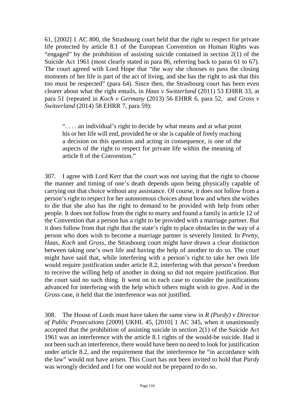61, [2002] 1 AC 800, the Strasbourg court held that the right to respect for private life protected by article 8.1 of the European Convention on Human Rights was "engaged" by the prohibition of assisting suicide contained in section 2(1) of the Suicide Act 1961 (most clearly stated in para 86, referring back to paras 61 to 67). The court agreed with Lord Hope that "the way she chooses to pass the closing moments of her life is part of the act of living, and she has the right to ask that this too must be respected" (para 64). Since then, the Strasbourg court has been even clearer about what the right entails, in *Haas v Switzerland* (2011) 53 EHRR 33, at para 51 (repeated in *Koch v Germany* (2013) 56 EHRR 6, para 52, and *Gross v Switzerland* (2014) 58 EHRR 7, para 59):

". . . . an individual's right to decide by what means and at what point his or her life will end, provided he or she is capable of freely reaching a decision on this question and acting in consequence, is one of the aspects of the right to respect for private life within the meaning of article 8 of the Convention."

307. I agree with Lord Kerr that the court was *not* saying that the right to choose the manner and timing of one's death depends upon being physically capable of carrying out that choice without any assistance. Of course, it does not follow from a person's right to respect for her autonomous choices about how and when she wishes to die that she also has the right to demand to be provided with help from other people. It does not follow from the right to marry and found a family in article 12 of the Convention that a person has a right to be provided with a marriage partner. But it does follow from that right that the state's right to place obstacles in the way of a person who does wish to become a marriage partner is severely limited. In *Pretty, Haas, Koch* and *Gross*, the Strasbourg court might have drawn a clear distinction between taking one's own life and having the help of another to do so. The court might have said that, while interfering with a person's right to take her own life would require justification under article 8.2, interfering with that person's freedom to receive the willing help of another in doing so did not require justification. But the court said no such thing. It went on in each case to consider the justifications advanced for interfering with the help which others might wish to give. And in the *Gross* case, it held that the interference was not justified.

308. The House of Lords must have taken the same view in *R (Purdy) v Director of Public Prosecutions* [2009] UKHL 45, [2010] 1 AC 345, when it unanimously accepted that the prohibition of assisting suicide in section 2(1) of the Suicide Act 1961 was an interference with the article 8.1 rights of the would-be suicide. Had it not been such an interference, there would have been no need to look for justification under article 8.2, and the requirement that the interference be "in accordance with the law" would not have arisen. This Court has not been invited to hold that *Purdy*  was wrongly decided and I for one would not be prepared to do so.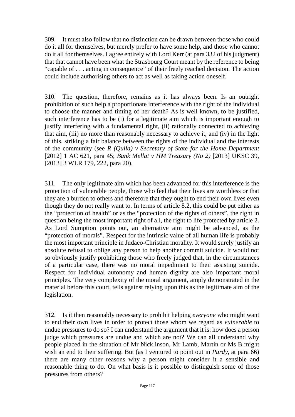309. It must also follow that no distinction can be drawn between those who could do it all for themselves, but merely prefer to have some help, and those who cannot do it all for themselves. I agree entirely with Lord Kerr (at para 332 of his judgment) that that cannot have been what the Strasbourg Court meant by the reference to being "capable of . . . acting in consequence" of their freely reached decision. The action could include authorising others to act as well as taking action oneself.

310. The question, therefore, remains as it has always been. Is an outright prohibition of such help a proportionate interference with the right of the individual to choose the manner and timing of her death? As is well known, to be justified, such interference has to be (i) for a legitimate aim which is important enough to justify interfering with a fundamental right, (ii) rationally connected to achieving that aim, (iii) no more than reasonably necessary to achieve it, and (iv) in the light of this, striking a fair balance between the rights of the individual and the interests of the community (see *R (Quila) v Secretary of State for the Home Department*  [2012] 1 AC 621, para 45; *Bank Mellat v HM Treasury (No 2)* [2013] UKSC 39, [2013] 3 WLR 179, 222, para 20).

311. The only legitimate aim which has been advanced for this interference is the protection of vulnerable people, those who feel that their lives are worthless or that they are a burden to others and therefore that they ought to end their own lives even though they do not really want to. In terms of article 8.2, this could be put either as the "protection of health" or as the "protection of the rights of others", the right in question being the most important right of all, the right to life protected by article 2. As Lord Sumption points out, an alternative aim might be advanced, as the "protection of morals". Respect for the intrinsic value of all human life is probably the most important principle in Judaeo-Christian morality. It would surely justify an absolute refusal to oblige any person to help another commit suicide. It would not so obviously justify prohibiting those who freely judged that, in the circumstances of a particular case, there was no moral impediment to their assisting suicide. Respect for individual autonomy and human dignity are also important moral principles. The very complexity of the moral argument, amply demonstrated in the material before this court, tells against relying upon this as the legitimate aim of the legislation.

312. Is it then reasonably necessary to prohibit helping *everyone* who might want to end their own lives in order to protect those whom we regard as *vulnerable* to undue pressures to do so? I can understand the argument that it is: how does a person judge which pressures are undue and which are not? We can all understand why people placed in the situation of Mr Nicklinson, Mr Lamb, Martin or Ms B might wish an end to their suffering. But (as I ventured to point out in *Purdy*, at para 66) there are many other reasons why a person might consider it a sensible and reasonable thing to do. On what basis is it possible to distinguish some of those pressures from others?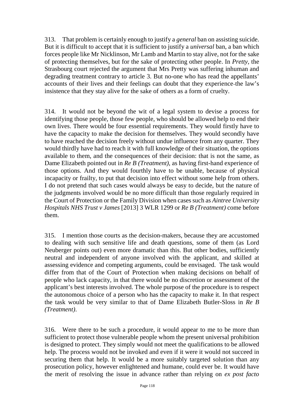313. That problem is certainly enough to justify a *general* ban on assisting suicide. But it is difficult to accept that it is sufficient to justify a *universal* ban, a ban which forces people like Mr Nicklinson, Mr Lamb and Martin to stay alive, not for the sake of protecting themselves, but for the sake of protecting other people. In *Pretty*, the Strasbourg court rejected the argument that Mrs Pretty was suffering inhuman and degrading treatment contrary to article 3. But no-one who has read the appellants' accounts of their lives and their feelings can doubt that they experience the law's insistence that they stay alive for the sake of others as a form of cruelty.

314. It would not be beyond the wit of a legal system to devise a process for identifying those people, those few people, who should be allowed help to end their own lives. There would be four essential requirements. They would firstly have to have the capacity to make the decision for themselves. They would secondly have to have reached the decision freely without undue influence from any quarter. They would thirdly have had to reach it with full knowledge of their situation, the options available to them, and the consequences of their decision: that is not the same, as Dame Elizabeth pointed out in *Re B (Treatment)*, as having first-hand experience of those options. And they would fourthly have to be unable, because of physical incapacity or frailty, to put that decision into effect without some help from others. I do not pretend that such cases would always be easy to decide, but the nature of the judgments involved would be no more difficult than those regularly required in the Court of Protection or the Family Division when cases such as *Aintree University Hospitals NHS Trust v James* [2013] 3 WLR 1299 or *Re B (Treatment)* come before them.

315. I mention those courts as the decision-makers, because they are accustomed to dealing with such sensitive life and death questions, some of them (as Lord Neuberger points out) even more dramatic than this. But other bodies, sufficiently neutral and independent of anyone involved with the applicant, and skilled at assessing evidence and competing arguments, could be envisaged. The task would differ from that of the Court of Protection when making decisions on behalf of people who lack capacity, in that there would be no discretion or assessment of the applicant's best interests involved. The whole purpose of the procedure is to respect the autonomous choice of a person who has the capacity to make it. In that respect the task would be very similar to that of Dame Elizabeth Butler-Sloss in *Re B (Treatment)*.

316. Were there to be such a procedure, it would appear to me to be more than sufficient to protect those vulnerable people whom the present universal prohibition is designed to protect. They simply would not meet the qualifications to be allowed help. The process would not be invoked and even if it were it would not succeed in securing them that help. It would be a more suitably targeted solution than any prosecution policy, however enlightened and humane, could ever be. It would have the merit of resolving the issue in advance rather than relying on *ex post facto*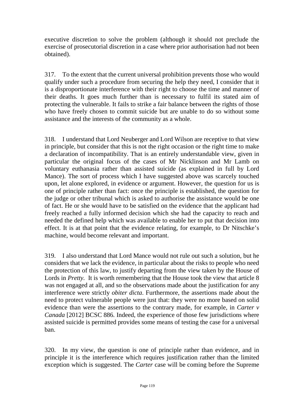executive discretion to solve the problem (although it should not preclude the exercise of prosecutorial discretion in a case where prior authorisation had not been obtained).

317. To the extent that the current universal prohibition prevents those who would qualify under such a procedure from securing the help they need, I consider that it is a disproportionate interference with their right to choose the time and manner of their deaths. It goes much further than is necessary to fulfil its stated aim of protecting the vulnerable. It fails to strike a fair balance between the rights of those who have freely chosen to commit suicide but are unable to do so without some assistance and the interests of the community as a whole.

318. I understand that Lord Neuberger and Lord Wilson are receptive to that view in principle, but consider that this is not the right occasion or the right time to make a declaration of incompatibility. That is an entirely understandable view, given in particular the original focus of the cases of Mr Nicklinson and Mr Lamb on voluntary euthanasia rather than assisted suicide (as explained in full by Lord Mance). The sort of process which I have suggested above was scarcely touched upon, let alone explored, in evidence or argument. However, the question for us is one of principle rather than fact: once the principle is established, the question for the judge or other tribunal which is asked to authorise the assistance would be one of fact. He or she would have to be satisfied on the evidence that the applicant had freely reached a fully informed decision which she had the capacity to reach and needed the defined help which was available to enable her to put that decision into effect. It is at that point that the evidence relating, for example, to Dr Nitschke's machine, would become relevant and important.

319. I also understand that Lord Mance would not rule out such a solution, but he considers that we lack the evidence, in particular about the risks to people who need the protection of this law, to justify departing from the view taken by the House of Lords in *Pretty*. It is worth remembering that the House took the view that article 8 was not engaged at all, and so the observations made about the justification for any interference were strictly *obiter dicta*. Furthermore, the assertions made about the need to protect vulnerable people were just that: they were no more based on solid evidence than were the assertions to the contrary made, for example, in *Carter v Canada* [2012] BCSC 886*.* Indeed, the experience of those few jurisdictions where assisted suicide is permitted provides some means of testing the case for a universal ban.

320. In my view, the question is one of principle rather than evidence, and in principle it is the interference which requires justification rather than the limited exception which is suggested. The *Carter* case will be coming before the Supreme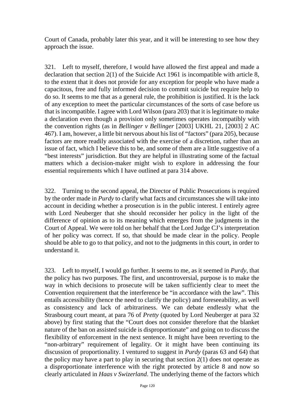Court of Canada, probably later this year, and it will be interesting to see how they approach the issue.

321. Left to myself, therefore, I would have allowed the first appeal and made a declaration that section 2(1) of the Suicide Act 1961 is incompatible with article 8, to the extent that it does not provide for any exception for people who have made a capacitous, free and fully informed decision to commit suicide but require help to do so. It seems to me that as a general rule, the prohibition is justified. It is the lack of any exception to meet the particular circumstances of the sorts of case before us that is incompatible. I agree with Lord Wilson (para 203) that it is legitimate to make a declaration even though a provision only sometimes operates incompatibly with the convention rights (as in *Bellinger v Bellinger* [2003] UKHL 21, [2003] 2 AC 467). I am, however, a little bit nervous about his list of "factors" (para 205), because factors are more readily associated with the exercise of a discretion, rather than an issue of fact, which I believe this to be, and some of them are a little suggestive of a "best interests" jurisdiction. But they are helpful in illustrating some of the factual matters which a decision-maker might wish to explore in addressing the four essential requirements which I have outlined at para 314 above.

322. Turning to the second appeal, the Director of Public Prosecutions is required by the order made in *Purdy* to clarify what facts and circumstances she will take into account in deciding whether a prosecution is in the public interest. I entirely agree with Lord Neuberger that she should reconsider her policy in the light of the difference of opinion as to its meaning which emerges from the judgments in the Court of Appeal. We were told on her behalf that the Lord Judge CJ's interpretation of her policy was correct. If so, that should be made clear in the policy. People should be able to go to that policy, and not to the judgments in this court, in order to understand it.

323. Left to myself, I would go further. It seems to me, as it seemed in *Purdy*, that the policy has two purposes. The first, and uncontroversial, purpose is to make the way in which decisions to prosecute will be taken sufficiently clear to meet the Convention requirement that the interference be "in accordance with the law". This entails accessibility (hence the need to clarify the policy) and foreseeability, as well as consistency and lack of arbitrariness. We can debate endlessly what the Strasbourg court meant, at para 76 of *Pretty* (quoted by Lord Neuberger at para 32 above) by first stating that the "Court does not consider therefore that the blanket nature of the ban on assisted suicide is disproportionate" and going on to discuss the flexibility of enforcement in the next sentence. It might have been reverting to the "non-arbitrary" requirement of legality. Or it might have been continuing its discussion of proportionality. I ventured to suggest in *Purdy* (paras 63 and 64) that the policy may have a part to play in securing that section 2(1) does not operate as a disproportionate interference with the right protected by article 8 and now so clearly articulated in *Haas v Swizerland*. The underlying theme of the factors which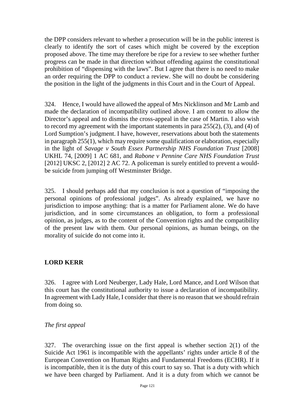the DPP considers relevant to whether a prosecution will be in the public interest is clearly to identify the sort of cases which might be covered by the exception proposed above. The time may therefore be ripe for a review to see whether further progress can be made in that direction without offending against the constitutional prohibition of "dispensing with the laws". But I agree that there is no need to make an order requiring the DPP to conduct a review. She will no doubt be considering the position in the light of the judgments in this Court and in the Court of Appeal.

324. Hence, I would have allowed the appeal of Mrs Nicklinson and Mr Lamb and made the declaration of incompatibility outlined above. I am content to allow the Director's appeal and to dismiss the cross-appeal in the case of Martin. I also wish to record my agreement with the important statements in para 255(2), (3), and (4) of Lord Sumption's judgment. I have, however, reservations about both the statements in paragraph 255(1), which may require some qualification or elaboration, especially in the light of *Savage v South Essex Partnership NHS Foundation Trust* [2008] UKHL 74, [2009] 1 AC 681, and *Rabone v Pennine Care NHS Foundation Trust*  [2012] UKSC 2, [2012] 2 AC 72. A policeman is surely entitled to prevent a wouldbe suicide from jumping off Westminster Bridge.

325. I should perhaps add that my conclusion is not a question of "imposing the personal opinions of professional judges". As already explained, we have no jurisdiction to impose anything: that is a matter for Parliament alone. We do have jurisdiction, and in some circumstances an obligation, to form a professional opinion, as judges, as to the content of the Convention rights and the compatibility of the present law with them. Our personal opinions, as human beings, on the morality of suicide do not come into it.

## **LORD KERR**

326. I agree with Lord Neuberger, Lady Hale, Lord Mance, and Lord Wilson that this court has the constitutional authority to issue a declaration of incompatibility. In agreement with Lady Hale, I consider that there is no reason that we should refrain from doing so.

#### *The first appeal*

327. The overarching issue on the first appeal is whether section 2(1) of the Suicide Act 1961 is incompatible with the appellants' rights under article 8 of the European Convention on Human Rights and Fundamental Freedoms (ECHR). If it is incompatible, then it is the duty of this court to say so. That is a duty with which we have been charged by Parliament. And it is a duty from which we cannot be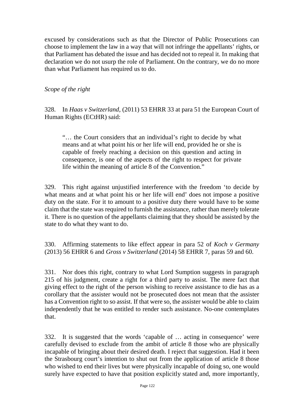excused by considerations such as that the Director of Public Prosecutions can choose to implement the law in a way that will not infringe the appellants' rights, or that Parliament has debated the issue and has decided not to repeal it. In making that declaration we do not usurp the role of Parliament. On the contrary, we do no more than what Parliament has required us to do.

### *Scope of the right*

328. In *Haas v Switzerland*, (2011) 53 EHRR 33 at para 51 the European Court of Human Rights (ECtHR) said:

"… the Court considers that an individual's right to decide by what means and at what point his or her life will end, provided he or she is capable of freely reaching a decision on this question and acting in consequence, is one of the aspects of the right to respect for private life within the meaning of article 8 of the Convention."

329. This right against unjustified interference with the freedom 'to decide by what means and at what point his or her life will end' does not impose a positive duty on the state. For it to amount to a positive duty there would have to be some claim that the state was required to furnish the assistance, rather than merely tolerate it. There is no question of the appellants claiming that they should be assisted by the state to do what they want to do.

330. Affirming statements to like effect appear in para 52 of *Koch v Germany*  (2013) 56 EHRR 6 and *Gross v Switzerland* (2014) 58 EHRR 7, paras 59 and 60.

331. Nor does this right, contrary to what Lord Sumption suggests in paragraph 215 of his judgment, create a right for a third party to assist. The mere fact that giving effect to the right of the person wishing to receive assistance to die has as a corollary that the assister would not be prosecuted does not mean that the assister has a Convention right to so assist. If that were so, the assister would be able to claim independently that he was entitled to render such assistance. No-one contemplates that.

332. It is suggested that the words 'capable of … acting in consequence' were carefully devised to exclude from the ambit of article 8 those who are physically incapable of bringing about their desired death. I reject that suggestion. Had it been the Strasbourg court's intention to shut out from the application of article 8 those who wished to end their lives but were physically incapable of doing so, one would surely have expected to have that position explicitly stated and, more importantly,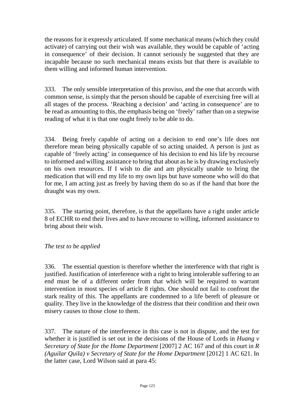the reasons for it expressly articulated. If some mechanical means (which they could activate) of carrying out their wish was available, they would be capable of 'acting in consequence' of their decision. It cannot seriously be suggested that they are incapable because no such mechanical means exists but that there is available to them willing and informed human intervention.

333. The only sensible interpretation of this proviso, and the one that accords with common sense, is simply that the person should be capable of exercising free will at all stages of the process. 'Reaching a decision' and 'acting in consequence' are to be read as amounting to this, the emphasis being on 'freely' rather than on a stepwise reading of what it is that one ought freely to be able to do.

334. Being freely capable of acting on a decision to end one's life does not therefore mean being physically capable of so acting unaided. A person is just as capable of 'freely acting' in consequence of his decision to end his life by recourse to informed and willing assistance to bring that about as he is by drawing exclusively on his own resources. If I wish to die and am physically unable to bring the medication that will end my life to my own lips but have someone who will do that for me, I am acting just as freely by having them do so as if the hand that bore the draught was my own.

335. The starting point, therefore, is that the appellants have a right under article 8 of ECHR to end their lives and to have recourse to willing, informed assistance to bring about their wish.

## *The test to be applied*

336. The essential question is therefore whether the interference with that right is justified. Justification of interference with a right to bring intolerable suffering to an end must be of a different order from that which will be required to warrant intervention in most species of article 8 rights. One should not fail to confront the stark reality of this. The appellants are condemned to a life bereft of pleasure or quality. They live in the knowledge of the distress that their condition and their own misery causes to those close to them.

337. The nature of the interference in this case is not in dispute, and the test for whether it is justified is set out in the decisions of the House of Lords in *Huang v Secretary of State for the Home Department* [2007] 2 AC 167 and of this court in *R (Aguilar Quila) v Secretary of State for the Home Department* [2012] 1 AC 621. In the latter case, Lord Wilson said at para 45: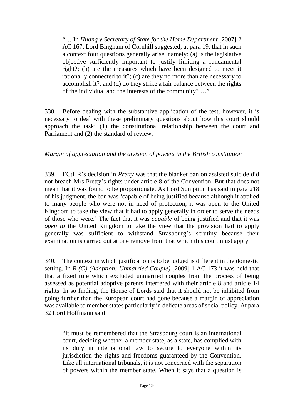"… In *Huang v Secretary of State for the Home Department* [2007] 2 AC 167, Lord Bingham of Cornhill suggested, at para 19, that in such a context four questions generally arise, namely: (a) is the legislative objective sufficiently important to justify limiting a fundamental right?; (b) are the measures which have been designed to meet it rationally connected to it?; (c) are they no more than are necessary to accomplish it?; and (d) do they strike a fair balance between the rights of the individual and the interests of the community? …"

338. Before dealing with the substantive application of the test, however, it is necessary to deal with these preliminary questions about how this court should approach the task: (1) the constitutional relationship between the court and Parliament and (2) the standard of review.

## *Margin of appreciation and the division of powers in the British constitution*

339. ECtHR's decision in *Pretty* was that the blanket ban on assisted suicide did not breach Mrs Pretty's rights under article 8 of the Convention. But that does not mean that it was found to be proportionate. As Lord Sumption has said in para 218 of his judgment, the ban was 'capable of being justified because although it applied to many people who were not in need of protection, it was open to the United Kingdom to take the view that it had to apply generally in order to serve the needs of those who were.' The fact that it was *capable* of being justified and that it was *open to* the United Kingdom to take the view that the provision had to apply generally was sufficient to withstand Strasbourg's scrutiny because their examination is carried out at one remove from that which this court must apply.

340. The context in which justification is to be judged is different in the domestic setting. In *R (G) (Adoption: Unmarried Couple)* [2009] 1 AC 173 it was held that that a fixed rule which excluded unmarried couples from the process of being assessed as potential adoptive parents interfered with their article 8 and article 14 rights. In so finding, the House of Lords said that it should not be inhibited from going further than the European court had gone because a margin of appreciation was available to member states particularly in delicate areas of social policy. At para 32 Lord Hoffmann said:

"It must be remembered that the Strasbourg court is an international court, deciding whether a member state, as a state, has complied with its duty in international law to secure to everyone within its jurisdiction the rights and freedoms guaranteed by the Convention. Like all international tribunals, it is not concerned with the separation of powers within the member state. When it says that a question is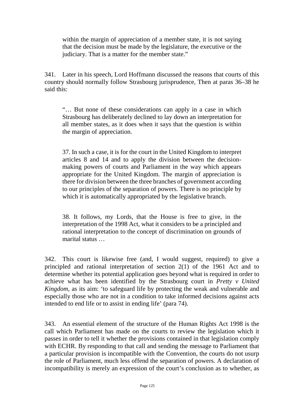within the margin of appreciation of a member state, it is not saying that the decision must be made by the legislature, the executive or the judiciary. That is a matter for the member state."

341. Later in his speech, Lord Hoffmann discussed the reasons that courts of this country should normally follow Strasbourg jurisprudence, Then at paras 36–38 he said this:

"… But none of these considerations can apply in a case in which Strasbourg has deliberately declined to lay down an interpretation for all member states, as it does when it says that the question is within the margin of appreciation.

37. In such a case, it is for the court in the United Kingdom to interpret articles 8 and 14 and to apply the division between the decisionmaking powers of courts and Parliament in the way which appears appropriate for the United Kingdom. The margin of appreciation is there for division between the three branches of government according to our principles of the separation of powers. There is no principle by which it is automatically appropriated by the legislative branch.

38. It follows, my Lords, that the House is free to give, in the interpretation of the 1998 Act, what it considers to be a principled and rational interpretation to the concept of discrimination on grounds of marital status …

342. This court is likewise free (and, I would suggest, required) to give a principled and rational interpretation of section 2(1) of the 1961 Act and to determine whether its potential application goes beyond what is required in order to achieve what has been identified by the Strasbourg court in *Pretty v United Kingdom*, as its aim: 'to safeguard life by protecting the weak and vulnerable and especially those who are not in a condition to take informed decisions against acts intended to end life or to assist in ending life' (para 74).

343. An essential element of the structure of the Human Rights Act 1998 is the call which Parliament has made on the courts to review the legislation which it passes in order to tell it whether the provisions contained in that legislation comply with ECHR. By responding to that call and sending the message to Parliament that a particular provision is incompatible with the Convention, the courts do not usurp the role of Parliament, much less offend the separation of powers. A declaration of incompatibility is merely an expression of the court's conclusion as to whether, as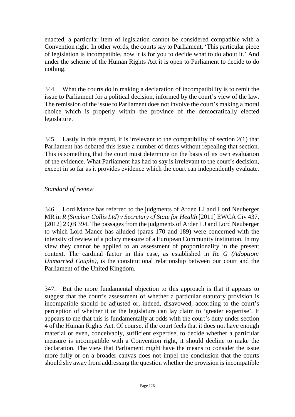enacted, a particular item of legislation cannot be considered compatible with a Convention right. In other words, the courts say to Parliament, 'This particular piece of legislation is incompatible, now it is for you to decide what to do about it.' And under the scheme of the Human Rights Act it is open to Parliament to decide to do nothing.

344. What the courts do in making a declaration of incompatibility is to remit the issue to Parliament for a political decision, informed by the court's view of the law. The remission of the issue to Parliament does not involve the court's making a moral choice which is properly within the province of the democratically elected legislature.

345. Lastly in this regard, it is irrelevant to the compatibility of section 2(1) that Parliament has debated this issue a number of times without repealing that section. This is something that the court must determine on the basis of its own evaluation of the evidence. What Parliament has had to say is irrelevant to the court's decision, except in so far as it provides evidence which the court can independently evaluate.

## *Standard of review*

346. Lord Mance has referred to the judgments of Arden LJ and Lord Neuberger MR in *R* (Sinclair Collis Ltd) v Secretary of State for Health [2011] EWCA Civ 437, [2012] 2 QB 394. The passages from the judgments of Arden LJ and Lord Neuberger to which Lord Mance has alluded (paras 170 and 189) were concerned with the intensity of review of a policy measure of a European Community institution. In my view they cannot be applied to an assessment of proportionality in the present context. The cardinal factor in this case, as established in *Re G (Adoption: Unmarried Couple)*, is the constitutional relationship between our court and the Parliament of the United Kingdom.

347. But the more fundamental objection to this approach is that it appears to suggest that the court's assessment of whether a particular statutory provision is incompatible should be adjusted or, indeed, disavowed, according to the court's perception of whether it or the legislature can lay claim to 'greater expertise'. It appears to me that this is fundamentally at odds with the court's duty under section 4 of the Human Rights Act. Of course, if the court feels that it does not have enough material or even, conceivably, sufficient expertise, to decide whether a particular measure is incompatible with a Convention right, it should decline to make the declaration. The view that Parliament might have the means to consider the issue more fully or on a broader canvas does not impel the conclusion that the courts should shy away from addressing the question whether the provision is incompatible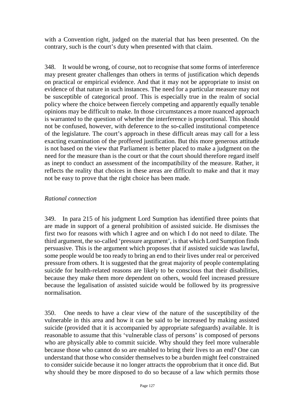with a Convention right, judged on the material that has been presented. On the contrary, such is the court's duty when presented with that claim.

348. It would be wrong, of course, not to recognise that some forms of interference may present greater challenges than others in terms of justification which depends on practical or empirical evidence. And that it may not be appropriate to insist on evidence of that nature in such instances. The need for a particular measure may not be susceptible of categorical proof. This is especially true in the realm of social policy where the choice between fiercely competing and apparently equally tenable opinions may be difficult to make. In those circumstances a more nuanced approach is warranted to the question of whether the interference is proportional. This should not be confused, however, with deference to the so-called institutional competence of the legislature. The court's approach in these difficult areas may call for a less exacting examination of the proffered justification. But this more generous attitude is not based on the view that Parliament is better placed to make a judgment on the need for the measure than is the court or that the court should therefore regard itself as inept to conduct an assessment of the incompatibility of the measure. Rather, it reflects the reality that choices in these areas are difficult to make and that it may not be easy to prove that the right choice has been made.

#### *Rational connection*

349. In para 215 of his judgment Lord Sumption has identified three points that are made in support of a general prohibition of assisted suicide. He dismisses the first two for reasons with which I agree and on which I do not need to dilate. The third argument, the so-called 'pressure argument', is that which Lord Sumption finds persuasive. This is the argument which proposes that if assisted suicide was lawful, some people would be too ready to bring an end to their lives under real or perceived pressure from others. It is suggested that the great majority of people contemplating suicide for health-related reasons are likely to be conscious that their disabilities, because they make them more dependent on others, would feel increased pressure because the legalisation of assisted suicide would be followed by its progressive normalisation.

350. One needs to have a clear view of the nature of the susceptibility of the vulnerable in this area and how it can be said to be increased by making assisted suicide (provided that it is accompanied by appropriate safeguards) available. It is reasonable to assume that this 'vulnerable class of persons' is composed of persons who are physically able to commit suicide. Why should they feel more vulnerable because those who cannot do so are enabled to bring their lives to an end? One can understand that those who consider themselves to be a burden might feel constrained to consider suicide because it no longer attracts the opprobrium that it once did. But why should they be more disposed to do so because of a law which permits those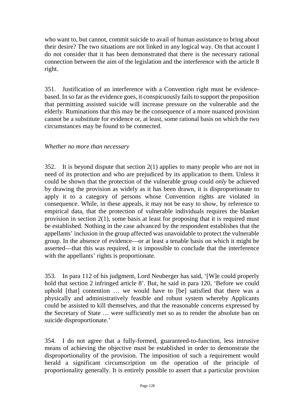who want to, but cannot, commit suicide to avail of human assistance to bring about their desire? The two situations are not linked in any logical way. On that account I do not consider that it has been demonstrated that there is the necessary rational connection between the aim of the legislation and the interference with the article 8 right.

351. Justification of an interference with a Convention right must be evidencebased. In so far as the evidence goes, it conspicuously fails to support the proposition that permitting assisted suicide will increase pressure on the vulnerable and the elderly. Ruminations that this may be the consequence of a more nuanced provision cannot be a substitute for evidence or, at least, some rational basis on which the two circumstances may be found to be connected.

## *Whether no more than necessary*

352. It is beyond dispute that section 2(1) applies to many people who are not in need of its protection and who are prejudiced by its application to them. Unless it could be shown that the protection of the vulnerable group could *only* be achieved by drawing the provision as widely as it has been drawn, it is disproportionate to apply it to a category of persons whose Convention rights are violated in consequence. While, in these appeals, it may not be easy to show, by reference to empirical data, that the protection of vulnerable individuals requires the blanket provision in section 2(1), some basis at least for proposing that it is required must be established. Nothing in the case advanced by the respondent establishes that the appellants' inclusion in the group affected was unavoidable to protect the vulnerable group. In the absence of evidence—or at least a tenable basis on which it might be asserted—that this was required, it is impossible to conclude that the interference with the appellants' rights is proportionate.

353. In para 112 of his judgment, Lord Neuberger has said, '[W]e could properly hold that section 2 infringed article 8'. But, he said in para 120, 'Before we could uphold [that] contention … we would have to [be] satisfied that there was a physically and administratively feasible and robust system whereby Applicants could be assisted to kill themselves, and that the reasonable concerns expressed by the Secretary of State … were sufficiently met so as to render the absolute ban on suicide disproportionate.'

354. I do not agree that a fully-formed, guaranteed-to-function, less intrusive means of achieving the objective must be established in order to demonstrate the disproportionality of the provision. The imposition of such a requirement would herald a significant circumscription on the operation of the principle of proportionality generally. It is entirely possible to assert that a particular provision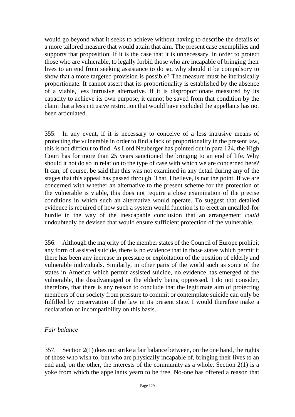would go beyond what it seeks to achieve without having to describe the details of a more tailored measure that would attain that aim. The present case exemplifies and supports that proposition. If it is the case that it is unnecessary, in order to protect those who are vulnerable, to legally forbid those who are incapable of bringing their lives to an end from seeking assistance to do so, why should it be compulsory to show that a more targeted provision is possible? The measure must be intrinsically proportionate. It cannot assert that its proportionality is established by the absence of a viable, less intrusive alternative. If it is disproportionate measured by its capacity to achieve its own purpose, it cannot be saved from that condition by the claim that a less intrusive restriction that would have excluded the appellants has not been articulated.

355. In any event, if it is necessary to conceive of a less intrusive means of protecting the vulnerable in order to find a lack of proportionality in the present law, this is not difficult to find. As Lord Neuberger has pointed out in para 124, the High Court has for more than 25 years sanctioned the bringing to an end of life. Why should it not do so in relation to the type of case with which we are concerned here? It can, of course, be said that this was not examined in any detail during any of the stages that this appeal has passed through. That, I believe, is not the point. If we are concerned with whether an alternative to the present scheme for the protection of the vulnerable is viable, this does not require a close examination of the precise conditions in which such an alternative would operate. To suggest that detailed evidence is required of how such a system would function is to erect an uncalled-for hurdle in the way of the inescapable conclusion that an arrangement *could* undoubtedly be devised that would ensure sufficient protection of the vulnerable.

356. Although the majority of the member states of the Council of Europe prohibit any form of assisted suicide, there is no evidence that in those states which permit it there has been any increase in pressure or exploitation of the position of elderly and vulnerable individuals. Similarly, in other parts of the world such as some of the states in America which permit assisted suicide, no evidence has emerged of the vulnerable, the disadvantaged or the elderly being oppressed. I do not consider, therefore, that there is any reason to conclude that the legitimate aim of protecting members of our society from pressure to commit or contemplate suicide can only be fulfilled by preservation of the law in its present state. I would therefore make a declaration of incompatibility on this basis.

#### *Fair balance*

357. Section 2(1) does not strike a fair balance between, on the one hand, the rights of those who wish to, but who are physically incapable of, bringing their lives to an end and, on the other, the interests of the community as a whole. Section 2(1) is a yoke from which the appellants yearn to be free. No-one has offered a reason that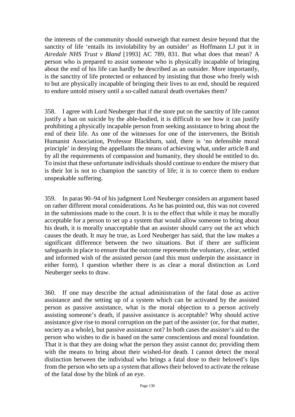the interests of the community should outweigh that earnest desire beyond that the sanctity of life 'entails its inviolability by an outsider' as Hoffmann LJ put it in *Airedale NHS Trust v Bland* [1993] AC 789, 831. But what does that mean? A person who is prepared to assist someone who is physically incapable of bringing about the end of his life can hardly be described as an outsider. More importantly, is the sanctity of life protected or enhanced by insisting that those who freely wish to but are physically incapable of bringing their lives to an end, should be required to endure untold misery until a so-called natural death overtakes them?

358. I agree with Lord Neuberger that if the store put on the sanctity of life cannot justify a ban on suicide by the able-bodied, it is difficult to see how it can justify prohibiting a physically incapable person from seeking assistance to bring about the end of their life. As one of the witnesses for one of the interveners, the British Humanist Association, Professor Blackburn, said, there is 'no defensible moral principle' in denying the appellants the means of achieving what, under article 8 and by all the requirements of compassion and humanity, they should be entitled to do. To insist that these unfortunate individuals should continue to endure the misery that is their lot is not to champion the sanctity of life; it is to coerce them to endure unspeakable suffering.

359. In paras 90–94 of his judgment Lord Neuberger considers an argument based on rather different moral considerations. As he has pointed out, this was not covered in the submissions made to the court. It is to the effect that while it may be morally acceptable for a person to set up a system that would allow someone to bring about his death, it is morally unacceptable that an assister should carry out the act which causes the death. It may be true, as Lord Neuberger has said, that the law makes a significant difference between the two situations. But if there are sufficient safeguards in place to ensure that the outcome represents the voluntary, clear, settled and informed wish of the assisted person (and this must underpin the assistance in either form), I question whether there is as clear a moral distinction as Lord Neuberger seeks to draw.

360. If one may describe the actual administration of the fatal dose as active assistance and the setting up of a system which can be activated by the assisted person as passive assistance, what is the moral objection to a person actively assisting someone's death, if passive assistance is acceptable? Why should active assistance give rise to moral corruption on the part of the assister (or, for that matter, society as a whole), but passive assistance not? In both cases the assister's aid to the person who wishes to die is based on the same conscientious and moral foundation. That it is that they are doing what the person they assist cannot do; providing them with the means to bring about their wished-for death. I cannot detect the moral distinction between the individual who brings a fatal dose to their beloved's lips from the person who sets up a system that allows their beloved to activate the release of the fatal dose by the blink of an eye.